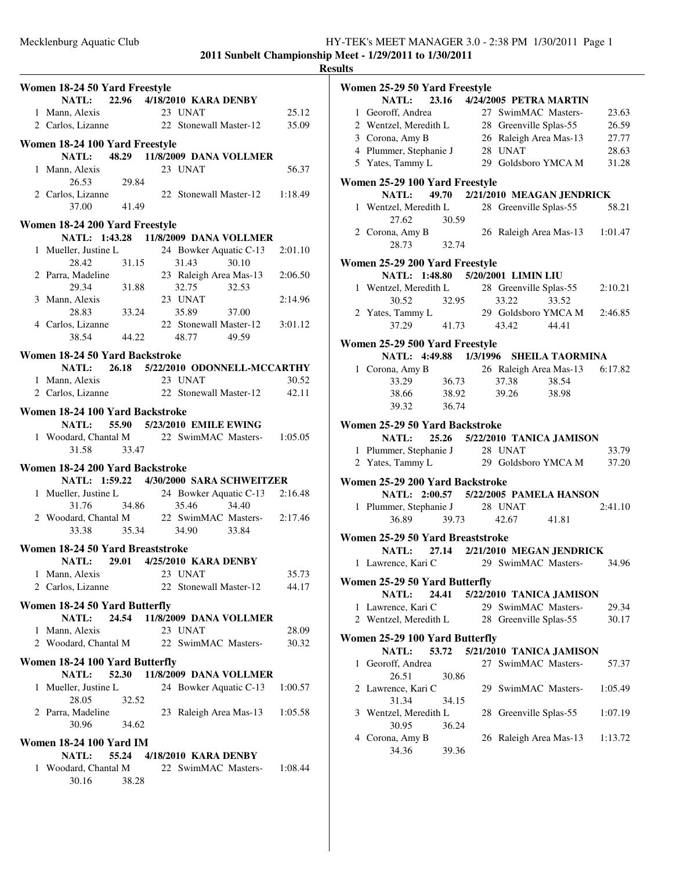**Results**

### **Women 18-24 50 Yard Freestyle NATL:** 22.96 4/18/2010 **KARA DENBY** 1 Mann, Alexis 23 UNAT 25.12 2 Carlos, Lizanne 22 Stonewall Master-12 35.09 **Women 18-24 100 Yard Freestyle NATL:** 48.29 11/8/2009 DANA VOLLMER 1 Mann, Alexis 23 UNAT 56.37 26.53 29.84 2 Carlos, Lizanne 22 Stonewall Master-12 1:18.49 37.00 41.49 **Women 18-24 200 Yard Freestyle NATL: 1:43.28 11/8/2009 DANA VOLLMER** 1 Mueller, Justine L 24 Bowker Aquatic C-13 2:01.10 28.42 31.15 31.43 30.10 2 Parra, Madeline 23 Raleigh Area Mas-13 2:06.50 29.34 31.88 32.75 32.53 3 Mann, Alexis 23 UNAT 2:14.96 28.83 33.24 35.89 37.00 4 Carlos, Lizanne 22 Stonewall Master-12 3:01.12 38.54 44.22 48.77 49.59 **Women 18-24 50 Yard Backstroke NATL:** 26.18 5/22/2010 ODONNELL-MCCARTHY 1 Mann, Alexis 23 UNAT 30.52 2 Carlos, Lizanne 22 Stonewall Master-12 42.11 **Women 18-24 100 Yard Backstroke NATL: 55.90 EMILE EWING 5/23/2010** 1 Woodard, Chantal M 22 SwimMAC Masters-1:05.05 31.58 33.47 **Women 18-24 200 Yard Backstroke NATL: 1:59.22 4/30/2000 SARA SCHWEITZER** 1 Mueller, Justine L 24 Bowker Aquatic C-13 2:16.48 31.76 34.86 35.46 34.40 2 Woodard, Chantal M 22 SwimMAC Masters-2:17.46 33.38 35.34 34.90 33.84 **Women 18-24 50 Yard Breaststroke NATL:** 29.01 4/25/2010 **KARA DENBY** 1 Mann, Alexis 23 UNAT 35.73 2 Carlos, Lizanne 22 Stonewall Master-12 44.17 **Women 18-24 50 Yard Butterfly NATL:** 24.54 11/8/2009 DANA VOLLMER 1 Mann, Alexis 23 UNAT 28.09 2 Woodard, Chantal M 22 SwimMAC Masters-130.32 **Women 18-24 100 Yard Butterfly NATL:** 52.30 11/8/2009 DANA VOLLMER 1 Mueller, Justine L 24 Bowker Aquatic C-13 1:00.57 28.05 32.52 2 Parra, Madeline 23 Raleigh Area Mas-13 1:05.58 30.96 34.62 **Women 18-24 100 Yard IM NATL:** 55.24 4/18/2010 **KARA DENBY** odard, Chantal M 22 SwimMAC Masters-1 Woodard, Chantal M 22 SwimMAC Masters-1:08.44 30.16 38.28

|    | Women 25-29 50 Yard Freestyle                                            |                 |                                 |       |         |
|----|--------------------------------------------------------------------------|-----------------|---------------------------------|-------|---------|
|    | NATL: 23.16 4/24/2005 PETRA MARTIN                                       |                 |                                 |       |         |
|    | 1 Georoff, Andrea                                                        |                 | 27 SwimMAC Masters-             |       | 23.63   |
|    | 2 Wentzel, Meredith L                                                    |                 | 28 Greenville Splas-55          |       | 26.59   |
|    | 3 Corona, Amy B                                                          |                 | 26 Raleigh Area Mas-13          |       | 27.77   |
|    | 4 Plummer, Stephanie J                                                   |                 | 28 UNAT                         |       | 28.63   |
|    | 5 Yates, Tammy L                                                         |                 | 29 Goldsboro YMCA M             |       | 31.28   |
|    |                                                                          |                 |                                 |       |         |
|    | Women 25-29 100 Yard Freestyle<br><b>NATL:</b>                           |                 | 49.70 2/21/2010 MEAGAN JENDRICK |       |         |
|    |                                                                          |                 |                                 |       |         |
|    | 1 Wentzel, Meredith L 28 Greenville Splas-55<br>27.62                    | 30.59           |                                 |       | 58.21   |
|    | 2 Corona, Amy B                                                          |                 | 26 Raleigh Area Mas-13 1:01.47  |       |         |
|    | 28.73                                                                    | $rac{B}{32.74}$ |                                 |       |         |
|    | Women 25-29 200 Yard Freestyle                                           |                 |                                 |       |         |
|    | NATL: 1:48.80 5/20/2001 LIMIN LIU                                        |                 |                                 |       |         |
|    | 1 Wentzel, Meredith L 28 Greenville Splas-55                             |                 |                                 |       | 2:10.21 |
|    | 30.52                                                                    | 32.95           | 33.22                           | 33.52 |         |
|    | 2 Yates, Tammy L 29 Goldsboro YMCA M                                     |                 |                                 |       | 2:46.85 |
|    | 37.29                                                                    |                 | 41.73 43.42 44.41               |       |         |
|    |                                                                          |                 |                                 |       |         |
|    | Women 25-29 500 Yard Freestyle<br>NATL: 4:49.88 1/3/1996 SHEILA TAORMINA |                 |                                 |       |         |
|    | 1 Corona, Amy B                                                          |                 | 26 Raleigh Area Mas-13 6:17.82  |       |         |
|    | 33.29                                                                    | 36.73           | 37.38 38.54                     |       |         |
|    | 38.66 38.92                                                              |                 | 39.26                           | 38.98 |         |
|    | 39.32                                                                    | 36.74           |                                 |       |         |
|    |                                                                          |                 |                                 |       |         |
|    | Women 25-29 50 Yard Backstroke                                           |                 |                                 |       |         |
|    |                                                                          |                 |                                 |       |         |
|    | NATL: 25.26 5/22/2010 TANICA JAMISON                                     |                 |                                 |       |         |
|    |                                                                          |                 |                                 |       | 33.79   |
|    | 1 Plummer, Stephanie J 28 UNAT<br>2 Yates, Tammy L                       |                 | 29 Goldsboro YMCA M             |       | 37.20   |
|    |                                                                          |                 |                                 |       |         |
|    | Women 25-29 200 Yard Backstroke<br>NATL: 2:00.57 5/22/2005 PAMELA HANSON |                 |                                 |       |         |
|    | 1 Plummer, Stephanie J 28 UNAT                                           |                 |                                 |       | 2:41.10 |
|    | 36.89                                                                    | 39.73           | 42.67                           | 41.81 |         |
|    |                                                                          |                 |                                 |       |         |
|    | Women 25-29 50 Yard Breaststroke                                         |                 |                                 |       |         |
|    | NATL: 27.14 2/21/2010 MEGAN JENDRICK                                     |                 |                                 |       |         |
|    | 1 Lawrence, Kari C                                                       |                 | 29 SwimMAC Masters-             |       | 34.96   |
|    | Women 25-29 50 Yard Butterfly                                            |                 |                                 |       |         |
|    | <b>NATL:</b>                                                             |                 | 24.41 5/22/2010 TANICA JAMISON  |       |         |
|    | 1 Lawrence, Kari C                                                       |                 | 29 SwimMAC Masters-             |       | 29.34   |
|    | 2 Wentzel, Meredith L                                                    |                 | 28 Greenville Splas-55          |       | 30.17   |
|    | Women 25-29 100 Yard Butterfly                                           |                 |                                 |       |         |
|    | <b>NATL:</b>                                                             | 53.72           | 5/21/2010 TANICA JAMISON        |       |         |
| 1. | Georoff, Andrea                                                          |                 | 27 SwimMAC Masters-             |       | 57.37   |
|    | 26.51                                                                    | 30.86           |                                 |       |         |
|    | 2 Lawrence, Kari C                                                       |                 | 29 SwimMAC Masters-             |       | 1:05.49 |
|    | 31.34                                                                    | 34.15           |                                 |       |         |
|    | 3 Wentzel, Meredith L                                                    |                 | 28 Greenville Splas-55          |       | 1:07.19 |
|    | 30.95                                                                    | 36.24           |                                 |       |         |
|    | 4 Corona, Amy B                                                          |                 | 26 Raleigh Area Mas-13          |       | 1:13.72 |
|    | 34.36                                                                    | 39.36           |                                 |       |         |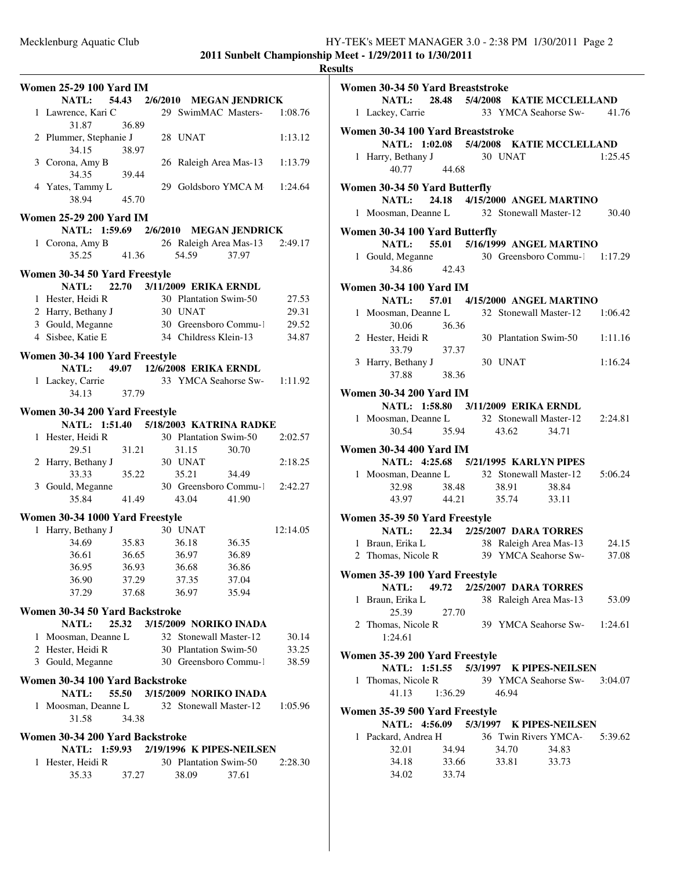|                                                                                   |                |                               |       |          | <b>Results</b> |
|-----------------------------------------------------------------------------------|----------------|-------------------------------|-------|----------|----------------|
| Women 25-29 100 Yard IM                                                           |                |                               |       |          | Wo             |
| <b>NATL:</b>                                                                      |                | 54.43 2/6/2010 MEGAN JENDRICK |       |          |                |
| 1 Lawrence, Kari C                                                                |                | 29 SwimMAC Masters-           |       | 1:08.76  |                |
| 31.87<br>2 Plummer, Stephanie J<br>34.15                                          | 36.89          | 28 UNAT                       |       | 1:13.12  | Wo             |
| 3 Corona, Amy B<br>34.35                                                          | 38.97<br>39.44 | 26 Raleigh Area Mas-13        |       | 1:13.79  |                |
| 4 Yates, Tammy L<br>38.94                                                         | 45.70          | 29 Goldsboro YMCA M 1:24.64   |       |          | Wo             |
| Women 25-29 200 Yard IM                                                           |                |                               |       |          |                |
| NATL: 1:59.69 2/6/2010 MEGAN JENDRICK                                             |                |                               |       |          | Wo             |
| 1 Corona, Amy B                                                                   |                | 26 Raleigh Area Mas-13        |       | 2:49.17  |                |
| 35.25                                                                             | 41.36          | 54.59                         | 37.97 |          |                |
| Women 30-34 50 Yard Freestyle                                                     |                |                               |       |          |                |
| NATL: 22.70 3/11/2009 ERIKA ERNDL                                                 |                |                               |       |          | Wo             |
| 1 Hester, Heidi R                                                                 |                | 30 Plantation Swim-50         |       | 27.53    |                |
| 2 Harry, Bethany J                                                                |                | 30 UNAT                       |       | 29.31    |                |
| 3 Gould, Meganne 30 Greensboro Commu-1                                            |                |                               |       | 29.52    |                |
| 4 Sisbee, Katie E                                                                 |                | 34 Childress Klein-13         |       | 34.87    |                |
| Women 30-34 100 Yard Freestyle                                                    |                |                               |       |          |                |
| <b>NATL:</b>                                                                      |                | 49.07 12/6/2008 ERIKA ERNDL   |       |          |                |
| 1 Lackey, Carrie 33 YMCA Seahorse Sw- 1:11.92<br>34.13                            | 37.79          |                               |       |          | Wo             |
|                                                                                   |                |                               |       |          |                |
| Women 30-34 200 Yard Freestyle                                                    |                |                               |       |          |                |
| NATL: 1:51.40 5/18/2003 KATRINA RADKE                                             |                |                               |       |          |                |
| 1 Hester, Heidi R                                                                 |                | 30 Plantation Swim-50         |       | 2:02.57  |                |
| 29.51                                                                             | 31.21          | 31.15                         | 30.70 |          | Wo             |
| 2 Harry, Bethany J                                                                |                | 30 UNAT                       |       | 2:18.25  |                |
| 33.33                                                                             | 35.22          | 35.21                         | 34.49 |          |                |
| 3 Gould, Meganne 30 Greensboro Commu-1 2:42.27<br>35.84                           | 41.49          | 43.04                         | 41.90 |          |                |
|                                                                                   |                |                               |       |          |                |
| Women 30-34 1000 Yard Freestyle                                                   |                |                               |       |          | Wo             |
| 1 Harry, Bethany J                                                                |                | 30 UNAT                       |       | 12:14.05 |                |
| 34.69                                                                             | 35.83          | 36.18                         | 36.35 |          |                |
| 36.61 36.65                                                                       |                | 36.97                         | 36.89 |          |                |
| 36.95                                                                             | 36.93          | 36.68                         | 36.86 |          | Wo             |
| 36.90                                                                             | 37.29          | 37.35                         | 37.04 |          |                |
| 37.29                                                                             | 37.68          | 36.97                         | 35.94 |          |                |
| Women 30-34 50 Yard Backstroke<br>NATL:                                           |                | 25.32 3/15/2009 NORIKO INADA  |       |          |                |
| 1 Moosman, Deanne L 32 Stonewall Master-12                                        |                |                               |       | 30.14    |                |
|                                                                                   |                |                               |       | 33.25    |                |
| 2 Hester, Heidi R 30 Plantation Swim-50<br>3 Gould, Meganne 30 Greensboro Commu-1 |                |                               |       | 38.59    | Wс             |
| Women 30-34 100 Yard Backstroke                                                   |                |                               |       |          |                |
| <b>NATL:</b>                                                                      |                | 55.50 3/15/2009 NORIKO INADA  |       |          |                |
| 1 Moosman, Deanne L 32 Stonewall Master-12<br>31.58                               | 34.38          |                               |       | 1:05.96  | W <sub>0</sub> |
| Women 30-34 200 Yard Backstroke                                                   |                |                               |       |          |                |
| NATL: 1:59.93 2/19/1996 K PIPES-NEILSEN                                           |                |                               |       |          |                |
| 1 Hester, Heidi R                                                                 |                | 30 Plantation Swim-50         |       | 2:28.30  |                |
| 35.33                                                                             | 37.27          | 38.09                         | 37.61 |          |                |
|                                                                                   |                |                               |       |          |                |
|                                                                                   |                |                               |       |          |                |

| Women 30-34 50 Yard Breaststroke                                        |                |       |         |       |                               |
|-------------------------------------------------------------------------|----------------|-------|---------|-------|-------------------------------|
| NATL: 28.48 5/4/2008 KATIE MCCLELLAND                                   |                |       |         |       |                               |
| 1 Lackey, Carrie 33 YMCA Seahorse Sw- 41.76                             |                |       |         |       |                               |
| Women 30-34 100 Yard Breaststroke                                       |                |       |         |       |                               |
| NATL: 1:02.08 5/4/2008 KATIE MCCLELLAND                                 |                |       |         |       |                               |
|                                                                         |                |       |         |       | 1:25.45                       |
| 1 Harry, Bethany J 30 UNAT<br>40.77                                     | 44.68          |       |         |       |                               |
|                                                                         |                |       |         |       |                               |
| Women 30-34 50 Yard Butterfly                                           |                |       |         |       |                               |
| NATL: 24.18 4/15/2000 ANGEL MARTINO                                     |                |       |         |       |                               |
| 1 Moosman, Deanne L 32 Stonewall Master-12 30.40                        |                |       |         |       |                               |
| Women 30-34 100 Yard Butterfly                                          |                |       |         |       |                               |
| NATL: 55.01 5/16/1999 ANGEL MARTINO                                     |                |       |         |       |                               |
| 1 Gould, Meganne 30 Greensboro Commu-1 1:17.29                          |                |       |         |       |                               |
| 34.86 42.43                                                             |                |       |         |       |                               |
|                                                                         |                |       |         |       |                               |
| <b>Women 30-34 100 Yard IM</b>                                          |                |       |         |       |                               |
| NATL: 57.01 4/15/2000 ANGEL MARTINO                                     |                |       |         |       |                               |
| 1 Moosman, Deanne L 32 Stonewall Master-12 1:06.42                      |                |       |         |       |                               |
| 30.06 36.36                                                             |                |       |         |       |                               |
| 2 Hester, Heidi R                                                       |                |       |         |       | 30 Plantation Swim-50 1:11.16 |
| 33.79                                                                   | 37.37          |       |         |       |                               |
| 3 Harry, Bethany J                                                      |                |       | 30 UNAT |       | 1:16.24                       |
| 37.88 38.36                                                             |                |       |         |       |                               |
| <b>Women 30-34 200 Yard IM</b>                                          |                |       |         |       |                               |
| NATL: 1:58.80 3/11/2009 ERIKA ERNDL                                     |                |       |         |       |                               |
| 1 Moosman, Deanne L 32 Stonewall Master-12 2:24.81                      |                |       |         |       |                               |
| 30.54 35.94                                                             |                |       | 43.62   | 34.71 |                               |
|                                                                         |                |       |         |       |                               |
| Women 30-34 400 Yard IM                                                 |                |       |         |       |                               |
| NATL: 4:25.68 5/21/1995 KARLYN PIPES                                    |                |       |         |       |                               |
| 1 Moosman, Deanne L 32 Stonewall Master-12 5:06.24                      |                |       |         |       |                               |
| 32.98 38.48 38.91                                                       |                |       |         | 38.84 |                               |
| 43.97 44.21 35.74 33.11                                                 |                |       |         |       |                               |
| Women 35-39 50 Yard Freestyle                                           |                |       |         |       |                               |
| NATL: 22.34 2/25/2007 DARA TORRES                                       |                |       |         |       |                               |
| 1 Braun, Erika L<br>2 Thomas, Nicole R<br>39 YMCA Seahorse Sw-<br>37.08 |                |       |         |       |                               |
|                                                                         |                |       |         |       |                               |
| Women 35-39 100 Yard Freestyle                                          |                |       |         |       |                               |
| NATL: 49.72 2/25/2007 DARA TORRES                                       |                |       |         |       |                               |
| 1 Braun, Erika L                                                        |                |       |         |       | 38 Raleigh Area Mas-13 53.09  |
| 25.39                                                                   | 27.70          |       |         |       |                               |
| 2 Thomas, Nicole R                                                      |                |       |         |       | 39 YMCA Seahorse Sw- 1:24.61  |
| 1:24.61                                                                 |                |       |         |       |                               |
|                                                                         |                |       |         |       |                               |
| Women 35-39 200 Yard Freestyle                                          |                |       |         |       |                               |
| NATL: 1:51.55 5/3/1997 K PIPES-NEILSEN                                  |                |       |         |       |                               |
| 1 Thomas, Nicole R                                                      |                |       |         |       | 39 YMCA Seahorse Sw- 3:04.07  |
| 41.13                                                                   | 1:36.29        | 46.94 |         |       |                               |
| Women 35-39 500 Yard Freestyle                                          |                |       |         |       |                               |
|                                                                         |                |       |         |       |                               |
|                                                                         |                |       |         |       |                               |
| NATL: 4:56.09 5/3/1997 K PIPES-NEILSEN                                  |                |       |         |       |                               |
|                                                                         |                |       |         |       | 36 Twin Rivers YMCA- 5:39.62  |
| 1 Packard, Andrea H<br>32.01 34.94                                      |                |       | 34.70   | 34.83 |                               |
| 34.18<br>34.02                                                          | 33.66<br>33.74 |       | 33.81   | 33.73 |                               |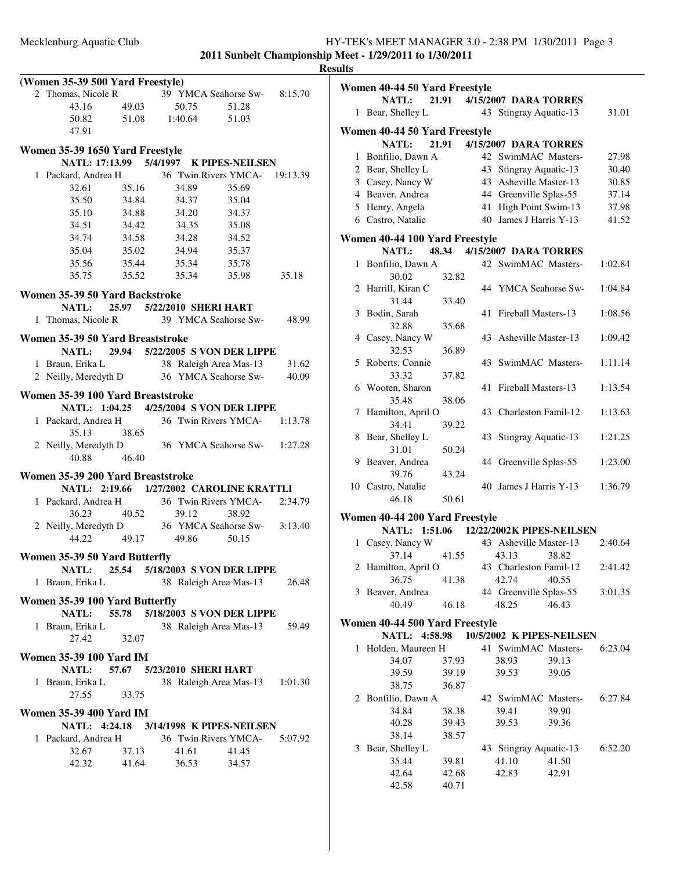**2011 Sunbelt Championship Meet - 1/29/2011 to 1/30/2011 Results**

| (Women 35-39 500 Yard Freestyle)                  |                            |       |             |                                 |         |
|---------------------------------------------------|----------------------------|-------|-------------|---------------------------------|---------|
| 2 Thomas, Nicole R                                |                            |       |             | 39 YMCA Seahorse Sw-8:15.70     |         |
| 43.16                                             | 49.03                      | 50.75 |             | 51.28                           |         |
| 50.82 51.08 1:40.64 51.03                         |                            |       |             |                                 |         |
| 47.91                                             |                            |       |             |                                 |         |
|                                                   |                            |       |             |                                 |         |
| Women 35-39 1650 Yard Freestyle                   |                            |       |             |                                 |         |
| NATL: 17:13.99 5/4/1997 K PIPES-NEILSEN           |                            |       |             |                                 |         |
| 1 Packard, Andrea H                               | $\frac{1}{35.16}$          |       |             | 36 Twin Rivers YMCA- 19:13.39   |         |
| 32.61                                             |                            | 34.89 |             | 35.69                           |         |
| 35.50                                             | 34.84                      | 34.37 |             | 35.04                           |         |
| 35.10                                             | 34.88                      | 34.20 |             | 34.37                           |         |
| 34.51                                             | 34.42 34.35                |       |             | 35.08                           |         |
| 34.74                                             | 34.58                      | 34.28 |             | 34.52                           |         |
| 35.04                                             | 35.02                      | 34.94 |             | 35.37                           |         |
| 35.56                                             | 35.44                      | 35.34 |             | 35.78                           |         |
| 35.75                                             | 35.52                      |       | 35.34 35.98 |                                 | 35.18   |
| Women 35-39 50 Yard Backstroke                    |                            |       |             |                                 |         |
| NATL: 25.97 5/22/2010 SHERI HART                  |                            |       |             |                                 |         |
| 1 Thomas, Nicole R                                |                            |       |             | 39 YMCA Seahorse Sw-            | 48.99   |
|                                                   |                            |       |             |                                 |         |
| Women 35-39 50 Yard Breaststroke                  |                            |       |             |                                 |         |
| NATL: 29.94 5/22/2005 S VON DER LIPPE             |                            |       |             |                                 |         |
| 1 Braun, Erika L                                  |                            |       |             | 38 Raleigh Area Mas-13          | 31.62   |
| 2 Neilly, Meredyth D                              |                            |       |             | 36 YMCA Seahorse Sw-            | 40.09   |
| Women 35-39 100 Yard Breaststroke                 |                            |       |             |                                 |         |
| NATL: 1:04.25 4/25/2004 S VON DER LIPPE           |                            |       |             |                                 |         |
| 1 Packard, Andrea H                               |                            |       |             | 36 Twin Rivers YMCA-1 1:13.78   |         |
| 35.13                                             | 38.65                      |       |             |                                 |         |
|                                                   |                            |       |             | 36 YMCA Seahorse Sw- 1:27.28    |         |
| 2 Neilly, Meredyth D<br>40.88                     | 46.40                      |       |             |                                 |         |
|                                                   |                            |       |             |                                 |         |
| Women 35-39 200 Yard Breaststroke                 |                            |       |             |                                 |         |
| NATL: 2:19.66 1/27/2002 CAROLINE KRATTLI          |                            |       |             |                                 |         |
| 1 Packard, Andrea H                               |                            |       |             | 36 Twin Rivers YMCA-            | 2:34.79 |
| 36.23                                             | 40.52                      | 39.12 |             | 38.92                           |         |
| 2 Neilly, Meredyth D 36 YMCA Seahorse Sw- 3:13.40 |                            |       |             |                                 |         |
| 44.22                                             | 49.17                      | 49.86 | 50.15       |                                 |         |
| Women 35-39 50 Yard Butterfly                     |                            |       |             |                                 |         |
| <b>NATL:</b>                                      |                            |       |             | 25.54 5/18/2003 S VON DER LIPPE |         |
| 1 Braun, Erika L                                  |                            |       |             | 38 Raleigh Area Mas-13          | 26.48   |
|                                                   |                            |       |             |                                 |         |
| Women 35-39 100 Yard Butterfly                    |                            |       |             |                                 |         |
| NATL:                                             |                            |       |             | 55.78 5/18/2003 S VON DER LIPPE |         |
| 1 Braun, Erika L                                  |                            |       |             | 38 Raleigh Area Mas-13          | 59.49   |
| 27.42                                             | 32.07                      |       |             |                                 |         |
| <b>Women 35-39 100 Yard IM</b>                    |                            |       |             |                                 |         |
| <b>NATL:</b>                                      | 57.67 5/23/2010 SHERI HART |       |             |                                 |         |
| 1 Braun, Erika L                                  |                            |       |             | 38 Raleigh Area Mas-13          | 1:01.30 |
| 27.55                                             | 33.75                      |       |             |                                 |         |
|                                                   |                            |       |             |                                 |         |
| <b>Women 35-39 400 Yard IM</b>                    |                            |       |             |                                 |         |
| NATL: 4:24.18 3/14/1998 K PIPES-NEILSEN           |                            |       |             |                                 |         |
| 1 Packard, Andrea H                               |                            |       |             | 36 Twin Rivers YMCA- 5:07.92    |         |
| 32.67                                             | 37.13                      | 41.61 |             | 41.45                           |         |
| 42.32                                             | 41.64                      | 36.53 |             | 34.57                           |         |
|                                                   |                            |       |             |                                 |         |

| vieet - 1/29/2011 to 1/30/2011<br>ults |  |
|----------------------------------------|--|
| Women 40-44 50 Yard Freestyle          |  |
| NATL: 21.91 4/15/20                    |  |

|              | <b>NATL:</b>                            | 21.91 |    | 4/15/2007 DARA TORRES       |                           |         |
|--------------|-----------------------------------------|-------|----|-----------------------------|---------------------------|---------|
|              | 1 Bear, Shelley L                       |       |    | 43 Stingray Aquatic-13      |                           | 31.01   |
|              | Women 40-44 50 Yard Freestyle           |       |    |                             |                           |         |
|              | NATL:                                   | 21.91 |    | 4/15/2007 DARA TORRES       |                           |         |
|              | 1 Bonfilio, Dawn A                      |       |    | 42 SwimMAC Masters-         |                           | 27.98   |
|              | 2 Bear, Shelley L                       |       |    | 43 Stingray Aquatic-13      |                           | 30.40   |
|              | 3 Casey, Nancy W                        |       |    | 43 Asheville Master-13      |                           | 30.85   |
|              | 4 Beaver, Andrea                        |       |    | 44 Greenville Splas-55      |                           | 37.14   |
|              | 5 Henry, Angela                         |       |    | 41 High Point Swim-13       |                           | 37.98   |
|              | 6 Castro, Natalie                       |       |    | 40 James J Harris Y-13      |                           | 41.52   |
|              | Women 40-44 100 Yard Freestyle          |       |    |                             |                           |         |
|              | NATL:                                   |       |    | 48.34 4/15/2007 DARA TORRES |                           |         |
|              | 1 Bonfilio, Dawn A                      |       |    | 42 SwimMAC Masters-         |                           | 1:02.84 |
|              | 30.02                                   | 32.82 |    |                             |                           |         |
|              | 2 Harrill, Kiran C                      |       |    | 44 YMCA Seahorse Sw-        |                           | 1:04.84 |
|              | 31.44                                   | 33.40 |    |                             |                           |         |
|              | 3 Bodin, Sarah                          |       |    | 41 Fireball Masters-13      |                           | 1:08.56 |
|              | 32.88                                   | 35.68 |    |                             |                           |         |
|              | 4 Casey, Nancy W                        |       |    | 43 Asheville Master-13      |                           | 1:09.42 |
|              | 32.53                                   | 36.89 |    |                             |                           |         |
|              | 5 Roberts, Connie                       |       |    | 43 SwimMAC Masters-         |                           | 1:11.14 |
|              | 33.32                                   | 37.82 |    |                             |                           |         |
|              | 6 Wooten, Sharon                        |       | 41 | Fireball Masters-13         |                           | 1:13.54 |
|              | 35.48                                   | 38.06 |    |                             |                           |         |
| 7            | Hamilton, April O                       |       |    | 43 Charleston Famil-12      |                           | 1:13.63 |
|              | 34.41                                   | 39.22 |    |                             |                           |         |
|              | 8 Bear, Shelley L                       |       |    | 43 Stingray Aquatic-13      |                           | 1:21.25 |
|              | 31.01                                   | 50.24 |    |                             |                           |         |
|              | 9 Beaver, Andrea                        |       |    | 44 Greenville Splas-55      |                           | 1:23.00 |
|              | 39.76                                   | 43.24 |    |                             |                           |         |
|              | 10 Castro, Natalie                      |       |    | 40 James J Harris Y-13      |                           | 1:36.79 |
|              | 46.18                                   | 50.61 |    |                             |                           |         |
|              | Women 40-44 200 Yard Freestyle          |       |    |                             |                           |         |
|              | NATL: 1:51.06 12/22/2002K PIPES-NEILSEN |       |    |                             |                           |         |
|              | 1 Casey, Nancy W                        |       |    | 43 Asheville Master-13      |                           | 2:40.64 |
|              | 37.14                                   | 41.55 |    | 43.13                       | 38.82                     |         |
|              | 2 Hamilton, April O                     |       |    | 43 Charleston Famil-12      |                           | 2:41.42 |
|              | 36.75                                   | 41.38 |    | 42.74                       | 40.55                     |         |
|              | 3 Beaver, Andrea                        |       |    | 44 Greenville Splas-55      |                           | 3:01.35 |
|              | 40.49                                   | 46.18 |    | 48.25                       | 46.43                     |         |
|              | Women 40-44 500 Yard Freestyle          |       |    |                             |                           |         |
|              | NATL: 4:58.98                           |       |    |                             | 10/5/2002 K PIPES-NEILSEN |         |
| $\mathbf{1}$ | Holden, Maureen H                       |       |    | 41 SwimMAC Masters-         |                           | 6:23.04 |
|              | 34.07                                   | 37.93 |    | 38.93                       | 39.13                     |         |
|              | 39.59                                   | 39.19 |    | 39.53                       | 39.05                     |         |
|              | 38.75                                   | 36.87 |    |                             |                           |         |
|              | 2 Bonfilio, Dawn A                      |       |    | 42 SwimMAC Masters-         |                           | 6:27.84 |
|              | 34.84                                   | 38.38 |    | 39.41                       | 39.90                     |         |
|              | 40.28                                   | 39.43 |    | 39.53                       | 39.36                     |         |
|              | 38.14                                   | 38.57 |    |                             |                           |         |

3 Bear, Shelley L 43 Stingray Aquatic-13 6:52.20

35.44 39.81 41.10 41.50

42.64 42.68 42.83 42.91

42.58 40.71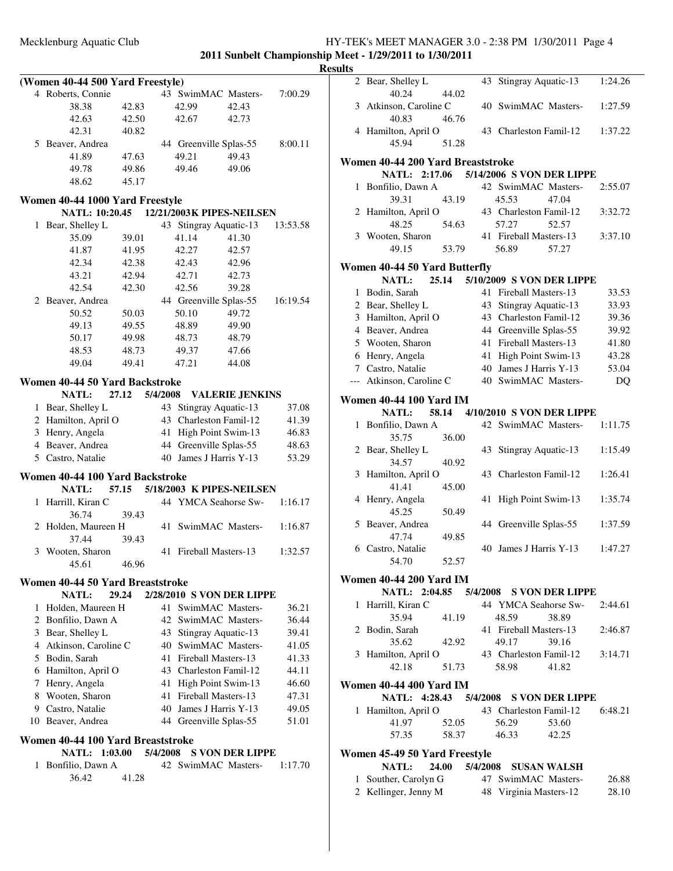**2011 Sunbelt Championship Meet - 1/29/2011 to 1/30/2011 Results**

|    | (Women 40-44 500 Yard Freestyle)  |       |          |       |                                          |          |
|----|-----------------------------------|-------|----------|-------|------------------------------------------|----------|
|    | 4 Roberts, Connie                 |       |          |       | 43 SwimMAC Masters-                      | 7:00.29  |
|    | 38.38                             | 42.83 |          | 42.99 | 42.43                                    |          |
|    | 42.63                             | 42.50 |          | 42.67 | 42.73                                    |          |
|    | 42.31                             | 40.82 |          |       |                                          |          |
|    | 5 Beaver, Andrea                  |       |          |       | 44 Greenville Splas-55                   | 8:00.11  |
|    | 41.89                             | 47.63 |          | 49.21 | 49.43                                    |          |
|    | 49.78                             | 49.86 |          | 49.46 | 49.06                                    |          |
|    | 48.62                             | 45.17 |          |       |                                          |          |
|    | Women 40-44 1000 Yard Freestyle   |       |          |       |                                          |          |
|    |                                   |       |          |       | NATL: 10:20.45 12/21/2003K PIPES-NEILSEN |          |
|    | 1 Bear, Shelley L                 |       |          |       | 43 Stingray Aquatic-13                   | 13:53.58 |
|    | 35.09                             | 39.01 |          | 41.14 | 41.30                                    |          |
|    | 41.87                             | 41.95 |          | 42.27 | 42.57                                    |          |
|    | 42.34                             | 42.38 |          | 42.43 | 42.96                                    |          |
|    | 43.21                             | 42.94 |          | 42.71 | 42.73                                    |          |
|    | 42.54                             | 42.30 |          | 42.56 | 39.28                                    |          |
|    | 2 Beaver, Andrea                  |       |          |       | 44 Greenville Splas-55                   | 16:19.54 |
|    | 50.52                             | 50.03 |          | 50.10 | 49.72                                    |          |
|    | 49.13                             | 49.55 |          | 48.89 | 49.90                                    |          |
|    | 50.17                             | 49.98 |          | 48.73 | 48.79                                    |          |
|    | 48.53                             | 48.73 |          | 49.37 | 47.66                                    |          |
|    | 49.04                             | 49.41 |          | 47.21 | 44.08                                    |          |
|    | Women 40-44 50 Yard Backstroke    |       |          |       |                                          |          |
|    | <b>NATL:</b>                      | 27.12 | 5/4/2008 |       | <b>VALERIE JENKINS</b>                   |          |
|    | 1 Bear, Shelley L                 |       | 43       |       | Stingray Aquatic-13                      | 37.08    |
|    | 2 Hamilton, April O               |       |          |       | 43 Charleston Famil-12                   | 41.39    |
|    | 3 Henry, Angela                   |       | 41       |       | High Point Swim-13                       | 46.83    |
|    | 4 Beaver, Andrea                  |       |          |       | 44 Greenville Splas-55                   | 48.63    |
|    | 5 Castro, Natalie                 |       |          |       | 40 James J Harris Y-13                   | 53.29    |
|    | Women 40-44 100 Yard Backstroke   |       |          |       |                                          |          |
|    | <b>NATL:</b>                      |       |          |       | 57.15 5/18/2003 K PIPES-NEILSEN          |          |
| 1  | Harrill, Kiran C                  |       |          |       | 44 YMCA Seahorse Sw-                     | 1:16.17  |
|    | 36.74                             | 39.43 |          |       |                                          |          |
|    | 2 Holden, Maureen H               |       |          |       | 41 SwimMAC Masters-                      | 1:16.87  |
|    | 37.44                             | 39.43 |          |       |                                          |          |
|    | 3 Wooten, Sharon                  |       |          |       | 41 Fireball Masters-13                   | 1:32.57  |
|    | 45.61                             | 46.96 |          |       |                                          |          |
|    | Women 40-44 50 Yard Breaststroke  |       |          |       |                                          |          |
|    | NATL:                             | 29.24 |          |       | 2/28/2010 S VON DER LIPPE                |          |
| 1  | Holden, Maureen H                 |       | 41       |       | SwimMAC Masters-                         | 36.21    |
|    | 2 Bonfilio, Dawn A                |       |          |       | 42 SwimMAC Masters-                      | 36.44    |
|    | 3 Bear, Shelley L                 |       | 43       |       | Stingray Aquatic-13                      | 39.41    |
|    | 4 Atkinson, Caroline C            |       |          |       | 40 SwimMAC Masters-                      | 41.05    |
|    | 5 Bodin, Sarah                    |       |          |       | 41 Fireball Masters-13                   | 41.33    |
|    | 6 Hamilton, April O               |       |          |       | 43 Charleston Famil-12                   | 44.11    |
|    | 7 Henry, Angela                   |       | 41       |       | High Point Swim-13                       | 46.60    |
|    | 8 Wooten, Sharon                  |       |          |       | 41 Fireball Masters-13                   | 47.31    |
|    | 9 Castro, Natalie                 |       |          |       | 40 James J Harris Y-13                   | 49.05    |
| 10 | Beaver, Andrea                    |       | 44       |       | Greenville Splas-55                      | 51.01    |
|    | Women 40-44 100 Yard Breaststroke |       |          |       |                                          |          |
|    | <b>NATL: 1:03.00</b>              |       | 5/4/2008 |       | <b>S VON DER LIPPE</b>                   |          |
| 1  | Bonfilio, Dawn A                  |       |          |       | 42 SwimMAC Masters-                      | 1:17.70  |
|    | 36.42                             | 41.28 |          |       |                                          |          |
|    |                                   |       |          |       |                                          |          |

| ılts         |                                               |       |    |                            |       |         |
|--------------|-----------------------------------------------|-------|----|----------------------------|-------|---------|
|              | 2 Bear, Shelley L<br>40.24                    | 44.02 | 43 | Stingray Aquatic-13        |       | 1:24.26 |
|              | 3 Atkinson, Caroline C<br>40.83               | 46.76 |    | 40 SwimMAC Masters-        |       | 1:27.59 |
|              | 4 Hamilton, April O<br>45.94                  | 51.28 |    | 43 Charleston Famil-12     |       | 1:37.22 |
|              | Women 40-44 200 Yard Breaststroke             |       |    |                            |       |         |
|              | NATL: 2:17.06                                 |       |    | 5/14/2006 S VON DER LIPPE  |       |         |
| $\mathbf{1}$ | Bonfilio, Dawn A                              |       |    | 42 SwimMAC Masters-        |       | 2:55.07 |
|              | 39.31                                         | 43.19 |    | 45.53                      | 47.04 |         |
|              | 2 Hamilton, April O                           |       |    | 43 Charleston Famil-12     |       | 3:32.72 |
|              | 48.25                                         | 54.63 |    | 57.27                      | 52.57 |         |
|              | 3 Wooten, Sharon                              |       |    | 41 Fireball Masters-13     |       | 3:37.10 |
|              | 49.15                                         | 53.79 |    | 56.89                      | 57.27 |         |
|              | Women 40-44 50 Yard Butterfly                 |       |    |                            |       |         |
|              | 25.14<br>NATL:                                |       |    | 5/10/2009 S VON DER LIPPE  |       |         |
| 1            | Bodin, Sarah                                  |       | 41 | Fireball Masters-13        |       | 33.53   |
|              | 2 Bear, Shelley L                             |       | 43 | Stingray Aquatic-13        |       | 33.93   |
|              | 3 Hamilton, April O                           |       |    | 43 Charleston Famil-12     |       | 39.36   |
|              | 4 Beaver, Andrea                              |       |    | 44 Greenville Splas-55     |       | 39.92   |
|              | 5 Wooten, Sharon                              |       | 41 | Fireball Masters-13        |       | 41.80   |
|              | 6 Henry, Angela                               |       | 41 | High Point Swim-13         |       | 43.28   |
|              | 7 Castro, Natalie                             |       |    | 40 James J Harris Y-13     |       | 53.04   |
| $---$        | Atkinson, Caroline C                          |       |    | 40 SwimMAC Masters-        |       | DQ      |
|              |                                               |       |    |                            |       |         |
|              | <b>Women 40-44 100 Yard IM</b>                |       |    |                            |       |         |
|              | <b>NATL:</b><br>58.14                         |       |    | 4/10/2010 S VON DER LIPPE  |       |         |
| $\mathbf{1}$ | Bonfilio, Dawn A<br>35.75                     | 36.00 |    | 42 SwimMAC Masters-        |       | 1:11.75 |
|              | 2 Bear, Shelley L                             |       | 43 |                            |       | 1:15.49 |
|              | 34.57                                         | 40.92 |    | Stingray Aquatic-13        |       |         |
| 3            | Hamilton, April O                             |       |    | 43 Charleston Famil-12     |       | 1:26.41 |
|              | 41.41                                         | 45.00 |    |                            |       |         |
| 4            | Henry, Angela                                 |       | 41 | High Point Swim-13         |       | 1:35.74 |
|              | 45.25                                         | 50.49 |    |                            |       |         |
|              | 5 Beaver, Andrea                              |       |    | 44 Greenville Splas-55     |       | 1:37.59 |
|              | 47.74                                         | 49.85 |    |                            |       |         |
|              | 6 Castro, Natalie                             |       |    | 40 James J Harris Y-13     |       | 1:47.27 |
|              | 54.70                                         | 52.57 |    |                            |       |         |
|              | <b>Women 40-44 200 Yard IM</b>                |       |    |                            |       |         |
|              | NATL: 2:04.85 5/4/2008 S VON DER LIPPE        |       |    |                            |       |         |
| 1            | Harrill, Kiran C                              |       |    | 44 YMCA Seahorse Sw-       |       | 2:44.61 |
|              | 35.94                                         | 41.19 |    | 48.59                      | 38.89 |         |
|              | 2 Bodin, Sarah                                |       |    | 41 Fireball Masters-13     |       | 2:46.87 |
|              | 35.62                                         | 42.92 |    | 49.17                      | 39.16 |         |
|              | 3 Hamilton, April O                           |       |    | 43 Charleston Famil-12     |       | 3:14.71 |
|              | 42.18                                         | 51.73 |    | 58.98                      | 41.82 |         |
|              | <b>Women 40-44 400 Yard IM</b>                |       |    |                            |       |         |
|              | NATL: 4:28.43 5/4/2008 S VON DER LIPPE        |       |    |                            |       |         |
| 1            | Hamilton, April O                             |       |    | 43 Charleston Famil-12     |       | 6:48.21 |
|              | 41.97                                         | 52.05 |    | 56.29                      | 53.60 |         |
|              | 57.35                                         | 58.37 |    | 46.33 42.25                |       |         |
|              |                                               |       |    |                            |       |         |
|              | Women 45-49 50 Yard Freestyle<br><b>NATL:</b> |       |    | 24.00 5/4/2008 SUSAN WALSH |       |         |
| 1            | Souther, Carolyn G                            |       |    | 47 SwimMAC Masters-        |       | 26.88   |
|              |                                               |       |    |                            |       |         |

2 Kellinger, Jenny M 48 Virginia Masters-12 28.10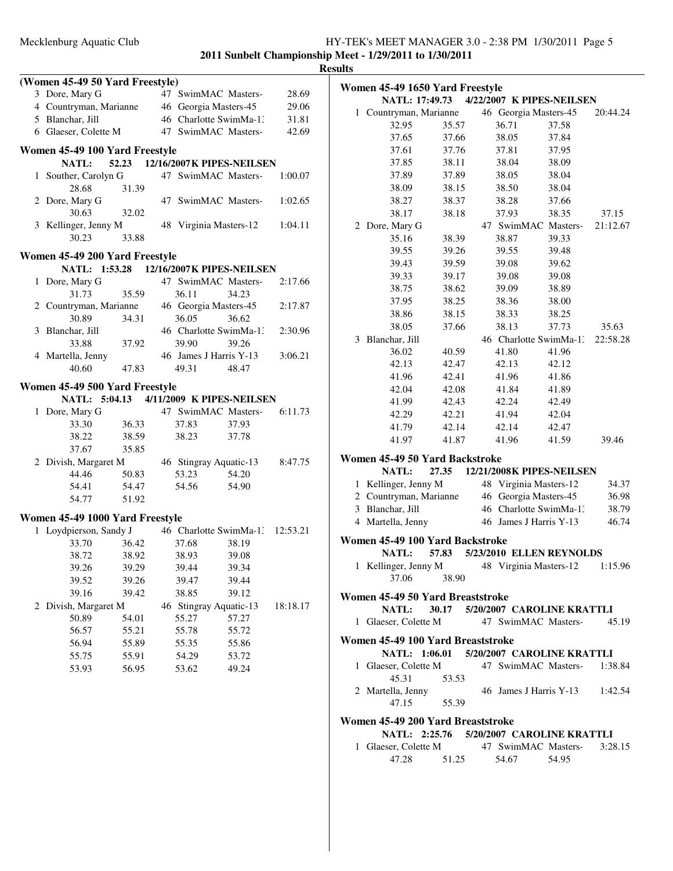### **Results**

|              | (Women 45-49 50 Yard Freestyle)                |       |                                  |       |          |
|--------------|------------------------------------------------|-------|----------------------------------|-------|----------|
|              | 3 Dore, Mary G                                 |       | 47 SwimMAC Masters-              |       | 28.69    |
|              | 4 Countryman, Marianne                         |       | 46 Georgia Masters-45            |       | 29.06    |
|              | 5 Blanchar, Jill                               |       | 46 Charlotte SwimMa-1:           |       | 31.81    |
|              | 6 Glaeser, Colette M                           |       | 47 SwimMAC Masters-              |       | 42.69    |
|              |                                                |       |                                  |       |          |
|              | Women 45-49 100 Yard Freestyle<br><b>NATL:</b> |       | 52.23 12/16/2007 K PIPES-NEILSEN |       |          |
| $\mathbf{1}$ | Souther, Carolyn G                             |       | 47 SwimMAC Masters-              |       | 1:00.07  |
|              | 28.68                                          | 31.39 |                                  |       |          |
|              | 2 Dore, Mary G                                 |       | 47 SwimMAC Masters-              |       | 1:02.65  |
|              | 30.63                                          | 32.02 |                                  |       |          |
|              | 3 Kellinger, Jenny M                           |       | 48 Virginia Masters-12           |       | 1:04.11  |
|              | 30.23                                          | 33.88 |                                  |       |          |
|              |                                                |       |                                  |       |          |
|              | Women 45-49 200 Yard Freestyle                 |       |                                  |       |          |
|              | NATL: 1:53.28 12/16/2007K PIPES-NEILSEN        |       |                                  |       |          |
| $\mathbf{1}$ | Dore, Mary G                                   |       | 47 SwimMAC Masters-              |       | 2:17.66  |
|              | 31.73                                          | 35.59 | 36.11                            | 34.23 |          |
|              | 2 Countryman, Marianne                         |       | 46 Georgia Masters-45            |       | 2:17.87  |
|              | 30.89                                          | 34.31 | 36.05                            | 36.62 |          |
|              | 3 Blanchar, Jill                               |       | 46 Charlotte SwimMa-1:           |       | 2:30.96  |
|              | 33.88                                          | 37.92 | 39.90                            | 39.26 |          |
|              | 4 Martella, Jenny                              |       | 46 James J Harris Y-13           |       | 3:06.21  |
|              | 40.60                                          | 47.83 | 49.31                            | 48.47 |          |
|              | Women 45-49 500 Yard Freestyle                 |       |                                  |       |          |
|              | NATL: 5:04.13 4/11/2009 K PIPES-NEILSEN        |       |                                  |       |          |
|              | 1 Dore, Mary G                                 |       | 47 SwimMAC Masters-              |       | 6:11.73  |
|              | 33.30                                          | 36.33 | 37.83                            | 37.93 |          |
|              | 38.22                                          | 38.59 | 38.23                            | 37.78 |          |
|              | 37.67                                          | 35.85 |                                  |       |          |
|              | 2 Divish, Margaret M                           |       | 46 Stingray Aquatic-13           |       | 8:47.75  |
|              | 44.46                                          | 50.83 | 53.23                            | 54.20 |          |
|              | 54.41                                          | 54.47 | 54.56                            | 54.90 |          |
|              | 54.77                                          | 51.92 |                                  |       |          |
|              | Women 45-49 1000 Yard Freestyle                |       |                                  |       |          |
|              | 1 Loydpierson, Sandy J                         |       | 46 Charlotte SwimMa-1: 12:53.21  |       |          |
|              | 33.70                                          | 36.42 | 37.68                            | 38.19 |          |
|              | 38.72                                          | 38.92 | 38.93                            | 39.08 |          |
|              | 39.26                                          | 39.29 | 39.44                            | 39.34 |          |
|              | 39.52                                          | 39.26 | 39.47                            | 39.44 |          |
|              | 39.16                                          | 39.42 | 38.85                            | 39.12 |          |
| 2            | Divish, Margaret M                             |       | 46 Stingray Aquatic-13           |       | 18:18.17 |
|              | 50.89                                          | 54.01 | 55.27                            | 57.27 |          |
|              | 56.57                                          | 55.21 | 55.78                            | 55.72 |          |
|              | 56.94                                          | 55.89 | 55.35                            | 55.86 |          |
|              | 55.75                                          | 55.91 | 54.29                            | 53.72 |          |
|              | 53.93                                          | 56.95 | 53.62                            | 49.24 |          |
|              |                                                |       |                                  |       |          |
|              |                                                |       |                                  |       |          |

|   | Women 45-49 1650 Yard Freestyle          |       |    |                           |       |          |
|---|------------------------------------------|-------|----|---------------------------|-------|----------|
|   | NATL: 17:49.73                           |       |    | 4/22/2007 K PIPES-NEILSEN |       |          |
| 1 | Countryman, Marianne                     |       |    | 46 Georgia Masters-45     |       | 20:44.24 |
|   | 32.95                                    | 35.57 |    | 36.71                     | 37.58 |          |
|   | 37.65                                    | 37.66 |    | 38.05                     | 37.84 |          |
|   | 37.61                                    | 37.76 |    | 37.81                     | 37.95 |          |
|   | 37.85                                    | 38.11 |    | 38.04                     | 38.09 |          |
|   | 37.89                                    | 37.89 |    | 38.05                     | 38.04 |          |
|   | 38.09                                    | 38.15 |    | 38.50                     | 38.04 |          |
|   | 38.27                                    | 38.37 |    | 38.28                     | 37.66 |          |
|   | 38.17                                    | 38.18 |    | 37.93                     | 38.35 | 37.15    |
| 2 | Dore, Mary G                             |       |    | 47 SwimMAC Masters-       |       | 21:12.67 |
|   | 35.16                                    | 38.39 |    | 38.87                     | 39.33 |          |
|   | 39.55                                    | 39.26 |    | 39.55                     | 39.48 |          |
|   | 39.43                                    | 39.59 |    | 39.08                     | 39.62 |          |
|   | 39.33                                    | 39.17 |    | 39.08                     | 39.08 |          |
|   | 38.75                                    | 38.62 |    | 39.09                     | 38.89 |          |
|   | 37.95                                    | 38.25 |    | 38.36                     | 38.00 |          |
|   | 38.86                                    | 38.15 |    | 38.33                     | 38.25 |          |
|   | 38.05                                    | 37.66 |    | 38.13                     | 37.73 | 35.63    |
|   | 3 Blanchar, Jill                         |       |    | 46 Charlotte SwimMa-1.    |       | 22:58.28 |
|   | 36.02                                    | 40.59 |    | 41.80                     | 41.96 |          |
|   | 42.13                                    | 42.47 |    | 42.13                     | 42.12 |          |
|   | 41.96                                    | 42.41 |    | 41.96                     | 41.86 |          |
|   | 42.04                                    | 42.08 |    | 41.84                     | 41.89 |          |
|   | 41.99                                    | 42.43 |    | 42.24                     | 42.49 |          |
|   | 42.29                                    | 42.21 |    | 41.94                     | 42.04 |          |
|   | 41.79                                    | 42.14 |    | 42.14                     | 42.47 |          |
|   | 41.97                                    | 41.87 |    | 41.96                     | 41.59 | 39.46    |
|   | Women 45-49 50 Yard Backstroke           |       |    |                           |       |          |
|   | <b>NATL:</b>                             | 27.35 |    | 12/21/2008K PIPES-NEILSEN |       |          |
| 1 | Kellinger, Jenny M                       |       |    | 48 Virginia Masters-12    |       | 34.37    |
| 2 | Countryman, Marianne                     |       | 46 | Georgia Masters-45        |       | 36.98    |
| 3 | Blanchar, Jill                           |       |    | 46 Charlotte SwimMa-13    |       | 38.79    |
|   | 4 Martella, Jenny                        |       |    | 46 James J Harris Y-13    |       | 46.74    |
|   | Women 45-49 100 Yard Backstroke          |       |    |                           |       |          |
|   | <b>NATL:</b>                             | 57.83 |    | 5/23/2010 ELLEN REYNOLDS  |       |          |
| 1 | Kellinger, Jenny M                       |       |    | 48 Virginia Masters-12    |       | 1:15.96  |
|   | 37.06                                    | 38.90 |    |                           |       |          |
|   |                                          |       |    |                           |       |          |
|   | Women 45-49 50 Yard Breaststroke         |       |    |                           |       |          |
|   | NATL: 30.17 5/20/2007 CAROLINE KRATTLI   |       |    |                           |       |          |
|   | 1 Glaeser, Colette M                     |       |    | 47 SwimMAC Masters-       |       | 45.19    |
|   | Women 45-49 100 Yard Breaststroke        |       |    |                           |       |          |
|   | NATL: 1:06.01 5/20/2007 CAROLINE KRATTLI |       |    |                           |       |          |
|   | 1 Glaeser, Colette M                     |       |    | 47 SwimMAC Masters-       |       | 1:38.84  |
|   | 45.31                                    | 53.53 |    |                           |       |          |
|   | 2 Martella, Jenny                        |       |    | 46 James J Harris Y-13    |       | 1:42.54  |
|   | 47.15                                    | 55.39 |    |                           |       |          |
|   | Women 45-49 200 Yard Breaststroke        |       |    |                           |       |          |
|   | NATL: 2:25.76 5/20/2007 CAROLINE KRATTLI |       |    |                           |       |          |
|   | 1 Glaeser, Colette M                     |       |    | 47 SwimMAC Masters-       |       | 3:28.15  |
|   | 47.28                                    | 51.25 |    | 54.67                     | 54.95 |          |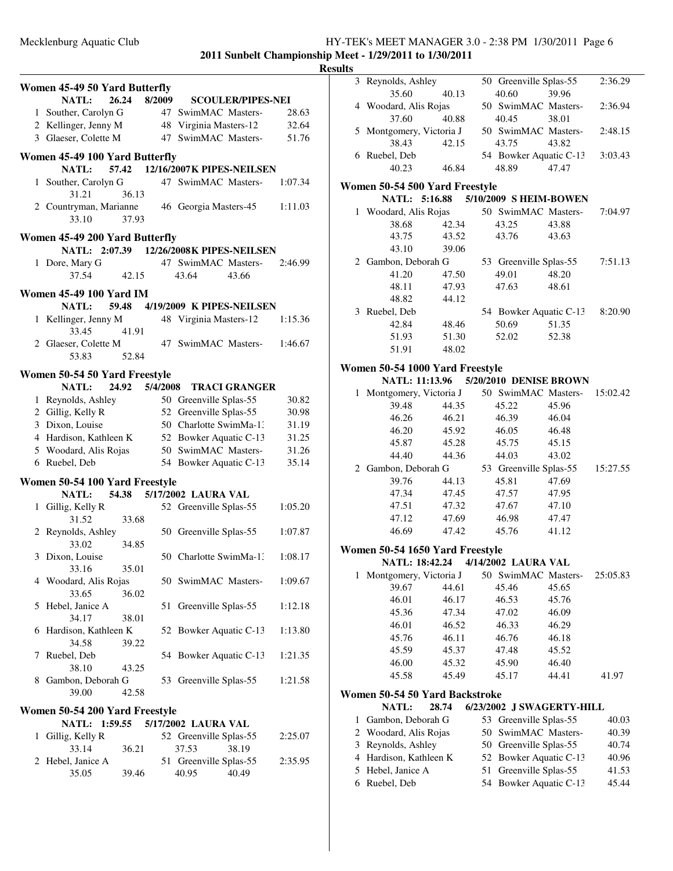| Kesults |
|---------|
|---------|

|   | Women 45-49 50 Yard Butterfly                           |       |          |                                          |                          |
|---|---------------------------------------------------------|-------|----------|------------------------------------------|--------------------------|
|   | NATL:<br>26.24                                          |       | 8/2009   |                                          | <b>SCOULER/PIPES-NEI</b> |
|   | 1 Souther, Carolyn G                                    |       | 47       | SwimMAC Masters-                         | 28.63                    |
|   | 2 Kellinger, Jenny M                                    |       |          | 48 Virginia Masters-12                   | 32.64                    |
|   | 3 Glaeser, Colette M                                    |       | 47       | SwimMAC Masters-                         | 51.76                    |
|   |                                                         |       |          |                                          |                          |
|   | Women 45-49 100 Yard Butterfly<br><b>NATL:</b>          | 57.42 |          | 12/16/2007K PIPES-NEILSEN                |                          |
|   |                                                         |       |          | 47 SwimMAC Masters-                      |                          |
|   | 1 Souther, Carolyn G                                    |       |          |                                          | 1:07.34                  |
|   | 31.21                                                   | 36.13 |          |                                          |                          |
|   | 2 Countryman, Marianne<br>33.10                         | 37.93 |          | 46 Georgia Masters-45                    | 1:11.03                  |
|   | Women 45-49 200 Yard Butterfly                          |       |          |                                          |                          |
|   |                                                         |       |          | NATL: 2:07.39 12/26/2008K PIPES-NEILSEN  |                          |
|   | 1 Dore, Mary G                                          |       |          | 47 SwimMAC Masters-                      | 2:46.99                  |
|   | 37.54                                                   | 42.15 |          | 43.66<br>43.64                           |                          |
|   | <b>Women 45-49 100 Yard IM</b>                          |       |          |                                          |                          |
|   | 59.48<br><b>NATL:</b>                                   |       |          | 4/19/2009 K PIPES-NEILSEN                |                          |
|   | 1 Kellinger, Jenny M                                    |       |          | 48 Virginia Masters-12                   | 1:15.36                  |
|   | 33.45                                                   | 41.91 |          |                                          |                          |
|   | 2 Glaeser, Colette M                                    |       |          | 47 SwimMAC Masters-                      | 1:46.67                  |
|   | 53.83                                                   | 52.84 |          |                                          |                          |
|   | Women 50-54 50 Yard Freestyle                           |       |          |                                          |                          |
|   | <b>NATL:</b><br>24.92                                   |       | 5/4/2008 | <b>TRACI GRANGER</b>                     |                          |
|   | 1 Reynolds, Ashley                                      |       |          | 50 Greenville Splas-55                   | 30.82                    |
|   | 2 Gillig, Kelly R                                       |       |          | 52 Greenville Splas-55                   | 30.98                    |
|   | 3 Dixon, Louise                                         |       |          | 50 Charlotte SwimMa-1:                   | 31.19                    |
|   | 4 Hardison, Kathleen K                                  |       |          | 52 Bowker Aquatic C-13                   | 31.25                    |
|   | 5 Woodard, Alis Rojas                                   |       |          | 50 SwimMAC Masters-                      | 31.26                    |
| 6 | Ruebel, Deb                                             |       |          | 54 Bowker Aquatic C-13                   | 35.14                    |
|   |                                                         |       |          |                                          |                          |
|   | Women 50-54 100 Yard Freestyle<br>54.38<br><b>NATL:</b> |       |          | 5/17/2002 LAURA VAL                      |                          |
|   | 1 Gillig, Kelly R                                       |       |          | 52 Greenville Splas-55                   | 1:05.20                  |
|   | 31.52                                                   | 33.68 |          |                                          |                          |
|   | 2 Reynolds, Ashley                                      |       |          | 50 Greenville Splas-55                   | 1:07.87                  |
|   |                                                         |       |          |                                          |                          |
|   | 33.02<br>Dixon, Louise                                  | 34.85 |          | 50 Charlotte SwimMa-1:                   |                          |
|   |                                                         |       |          |                                          |                          |
| 3 |                                                         |       |          |                                          | 1:08.17                  |
|   | 33.16                                                   | 35.01 |          |                                          |                          |
|   | 4 Woodard, Alis Rojas                                   |       |          | 50 SwimMAC Masters-                      | 1:09.67                  |
|   | 33.65                                                   | 36.02 |          |                                          |                          |
| 5 | Hebel, Janice A                                         |       | 51       | Greenville Splas-55                      | 1:12.18                  |
|   | 34.17                                                   | 38.01 |          |                                          |                          |
| 6 | Hardison, Kathleen K                                    |       |          | 52 Bowker Aquatic C-13                   | 1:13.80                  |
|   | 34.58                                                   | 39.22 |          |                                          |                          |
| 7 | Ruebel, Deb                                             |       |          | 54 Bowker Aquatic C-13                   | 1:21.35                  |
|   | 38.10                                                   | 43.25 |          |                                          |                          |
|   | 8 Gambon, Deborah G                                     |       |          | 53 Greenville Splas-55                   | 1:21.58                  |
|   | 39.00                                                   | 42.58 |          |                                          |                          |
|   | Women 50-54 200 Yard Freestyle                          |       |          |                                          |                          |
|   | <b>NATL:</b><br>1:59.55                                 |       |          | 5/17/2002 LAURA VAL                      |                          |
| 1 | Gillig, Kelly R                                         |       |          | 52 Greenville Splas-55                   | 2:25.07                  |
|   | 33.14                                                   | 36.21 |          | 37.53<br>38.19                           |                          |
|   |                                                         |       |          |                                          | 2:35.95                  |
|   | 2 Hebel, Janice A<br>35.05                              | 39.46 |          | 51 Greenville Splas-55<br>40.95<br>40.49 |                          |

|              | 3 Reynolds, Ashley                    |       |    | 50 Greenville Splas-55    |       | 2:36.29  |
|--------------|---------------------------------------|-------|----|---------------------------|-------|----------|
|              | 35.60                                 | 40.13 |    | 40.60                     | 39.96 |          |
|              | 4 Woodard, Alis Rojas                 |       |    | 50 SwimMAC Masters-       |       | 2:36.94  |
|              | 37.60                                 | 40.88 |    | 40.45                     | 38.01 |          |
|              | 5 Montgomery, Victoria J              |       |    | 50 SwimMAC Masters-       |       | 2:48.15  |
|              | 38.43                                 | 42.15 |    | 43.75                     | 43.82 |          |
|              | 6 Ruebel, Deb                         |       |    | 54 Bowker Aquatic C-13    |       | 3:03.43  |
|              | 40.23                                 | 46.84 |    | 48.89                     | 47.47 |          |
|              | Women 50-54 500 Yard Freestyle        |       |    |                           |       |          |
|              | NATL: 5:16.88                         |       |    | 5/10/2009 SHEIM-BOWEN     |       |          |
|              | 1 Woodard, Alis Rojas                 |       |    | 50 SwimMAC Masters-       |       | 7:04.97  |
|              | 38.68                                 | 42.34 |    | 43.25                     | 43.88 |          |
|              | 43.75                                 | 43.52 |    | 43.76                     | 43.63 |          |
|              | 43.10                                 | 39.06 |    |                           |       |          |
|              | 2 Gambon, Deborah G                   |       |    | 53 Greenville Splas-55    |       | 7:51.13  |
|              | 41.20                                 | 47.50 |    | 49.01                     | 48.20 |          |
|              | 48.11                                 | 47.93 |    | 47.63                     | 48.61 |          |
|              | 48.82                                 | 44.12 |    |                           |       |          |
|              | 3 Ruebel, Deb                         |       |    | 54 Bowker Aquatic C-13    |       | 8:20.90  |
|              | 42.84                                 | 48.46 |    | 50.69                     | 51.35 |          |
|              | 51.93                                 | 51.30 |    | 52.02                     | 52.38 |          |
|              | 51.91                                 | 48.02 |    |                           |       |          |
|              | Women 50-54 1000 Yard Freestyle       |       |    |                           |       |          |
|              | NATL: 11:13.96 5/20/2010 DENISE BROWN |       |    |                           |       |          |
| 1            | Montgomery, Victoria J                |       |    | 50 SwimMAC Masters-       |       | 15:02.42 |
|              | 39.48                                 | 44.35 |    | 45.22                     | 45.96 |          |
|              | 46.26                                 | 46.21 |    | 46.39                     | 46.04 |          |
|              | 46.20                                 | 45.92 |    | 46.05                     | 46.48 |          |
|              | 45.87                                 | 45.28 |    | 45.75                     | 45.15 |          |
|              | 44.40                                 | 44.36 |    | 44.03                     | 43.02 |          |
|              | 2 Gambon, Deborah G                   |       |    | 53 Greenville Splas-55    |       | 15:27.55 |
|              | 39.76                                 | 44.13 |    | 45.81                     | 47.69 |          |
|              | 47.34                                 | 47.45 |    | 47.57                     | 47.95 |          |
|              | 47.51                                 | 47.32 |    | 47.67                     | 47.10 |          |
|              | 47.12                                 | 47.69 |    | 46.98                     | 47.47 |          |
|              | 46.69                                 | 47.42 |    | 45.76                     | 41.12 |          |
|              | Women 50-54 1650 Yard Freestyle       |       |    |                           |       |          |
|              | NATL: 18:42.24 4/14/2002 LAURA VAL    |       |    |                           |       |          |
| $\mathbf{1}$ | Montgomery, Victoria J                |       |    | 50 SwimMAC Masters-       |       | 25:05.83 |
|              | 39.67                                 | 44.61 |    | 45.46                     | 45.65 |          |
|              | 46.01                                 | 46.17 |    | 46.53                     | 45.76 |          |
|              | 45.36                                 | 47.34 |    | 47.02                     | 46.09 |          |
|              | 46.01                                 | 46.52 |    | 46.33                     | 46.29 |          |
|              | 45.76                                 | 46.11 |    | 46.76                     | 46.18 |          |
|              | 45.59                                 | 45.37 |    | 47.48                     | 45.52 |          |
|              | 46.00                                 | 45.32 |    | 45.90                     | 46.40 |          |
|              | 45.58                                 | 45.49 |    | 45.17                     | 44.41 | 41.97    |
|              |                                       |       |    |                           |       |          |
|              | Women 50-54 50 Yard Backstroke        |       |    |                           |       |          |
|              | <b>NATL:</b>                          | 28.74 |    | 6/23/2002 J SWAGERTY-HILL |       |          |
| $\mathbf{1}$ | Gambon, Deborah G                     |       | 53 | Greenville Splas-55       |       | 40.03    |
| 2            | Woodard, Alis Rojas                   |       | 50 | SwimMAC Masters-          |       | 40.39    |
| 3            | Reynolds, Ashley                      |       | 50 | Greenville Splas-55       |       | 40.74    |
| 4            | Hardison, Kathleen K                  |       | 52 | Bowker Aquatic C-13       |       | 40.96    |
| 5            | Hebel, Janice A                       |       | 51 | Greenville Splas-55       |       | 41.53    |
| 6            | Ruebel, Deb                           |       | 54 | Bowker Aquatic C-13       |       | 45.44    |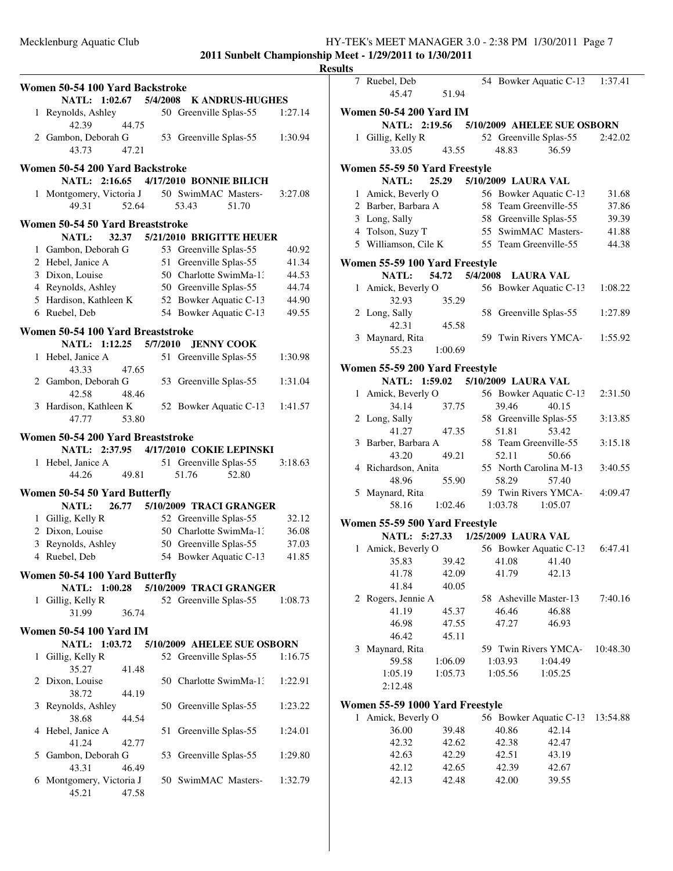|                | Women 50-54 100 Yard Backstroke                 |       |    |                                                  |                        |                |
|----------------|-------------------------------------------------|-------|----|--------------------------------------------------|------------------------|----------------|
|                | NATL: 1:02.67 5/4/2008                          |       |    |                                                  | <b>K ANDRUS-HUGHES</b> |                |
| 1              | Reynolds, Ashley                                |       |    | 50 Greenville Splas-55                           |                        | 1:27.14        |
|                | 42.39                                           | 44.75 |    |                                                  |                        |                |
|                | 2 Gambon, Deborah G                             |       |    | 53 Greenville Splas-55                           |                        | 1:30.94        |
|                | 43.73                                           | 47.21 |    |                                                  |                        |                |
|                | Women 50-54 200 Yard Backstroke                 |       |    |                                                  |                        |                |
|                | NATL: 2:16.65                                   |       |    | 4/17/2010 BONNIE BILICH                          |                        |                |
| $\mathbf{1}$   | Montgomery, Victoria J                          |       |    | 50 SwimMAC Masters-                              |                        | 3:27.08        |
|                | 49.31                                           | 52.64 |    | 53.43                                            | 51.70                  |                |
|                |                                                 |       |    |                                                  |                        |                |
|                | Women 50-54 50 Yard Breaststroke                |       |    |                                                  |                        |                |
|                | <b>NATL:</b>                                    | 32.37 |    | 5/21/2010 BRIGITTE HEUER                         |                        |                |
|                | 1 Gambon, Deborah G<br>2 Hebel, Janice A        |       |    | 53 Greenville Splas-55<br>51 Greenville Splas-55 |                        | 40.92<br>41.34 |
|                | 3 Dixon, Louise                                 |       |    | 50 Charlotte SwimMa-1:                           |                        | 44.53          |
|                | 4 Reynolds, Ashley                              |       |    | 50 Greenville Splas-55                           |                        | 44.74          |
|                | 5 Hardison, Kathleen K                          |       |    | 52 Bowker Aquatic C-13                           |                        | 44.90          |
|                | 6 Ruebel, Deb                                   |       |    | 54 Bowker Aquatic C-13                           |                        | 49.55          |
|                |                                                 |       |    |                                                  |                        |                |
|                | Women 50-54 100 Yard Breaststroke               |       |    |                                                  |                        |                |
|                | NATL: 1:12.25 5/7/2010                          |       |    | <b>JENNY COOK</b>                                |                        |                |
| 1              | Hebel, Janice A                                 |       |    | 51 Greenville Splas-55                           |                        | 1:30.98        |
|                | 43.33                                           | 47.65 |    |                                                  |                        |                |
|                | 2 Gambon, Deborah G<br>42.58                    |       |    | 53 Greenville Splas-55                           |                        | 1:31.04        |
| 3              | Hardison, Kathleen K                            | 48.46 |    | 52 Bowker Aquatic C-13                           |                        | 1:41.57        |
|                | 47.77                                           | 53.80 |    |                                                  |                        |                |
|                |                                                 |       |    |                                                  |                        |                |
|                | Women 50-54 200 Yard Breaststroke               |       |    |                                                  |                        |                |
|                | NATL: 2:37.95 4/17/2010 COKIE LEPINSKI          |       |    |                                                  |                        |                |
|                | 1 Hebel, Janice A                               |       |    | 51 Greenville Splas-55                           |                        | 3:18.63        |
|                | 44.26                                           | 49.81 |    | 51.76                                            | 52.80                  |                |
|                | Women 50-54 50 Yard Butterfly                   |       |    |                                                  |                        |                |
|                | <b>NATL:</b>                                    | 26.77 |    | 5/10/2009 TRACI GRANGER                          |                        |                |
|                | 1 Gillig, Kelly R                               |       |    | 52 Greenville Splas-55                           |                        | 32.12          |
|                | 2 Dixon, Louise                                 |       |    | 50 Charlotte SwimMa-1:                           |                        | 36.08          |
|                | 3 Reynolds, Ashley                              |       |    | 50 Greenville Splas-55                           |                        | 37.03          |
| $\overline{4}$ | Ruebel, Deb                                     |       | 54 | Bowker Aquatic C-13                              |                        | 41.85          |
|                | Women 50-54 100 Yard Butterfly                  |       |    |                                                  |                        |                |
|                | NATL: 1:00.28 5/10/2009 TRACI GRANGER           |       |    |                                                  |                        |                |
| 1              | Gillig, Kelly R                                 |       |    | 52 Greenville Splas-55                           |                        | 1:08.73        |
|                | 31.99                                           | 36.74 |    |                                                  |                        |                |
|                |                                                 |       |    |                                                  |                        |                |
|                | <b>Women 50-54 100 Yard IM</b><br>NATL: 1:03.72 |       |    | 5/10/2009 AHELEE SUE OSBORN                      |                        |                |
| 1              | Gillig, Kelly R                                 |       |    | 52 Greenville Splas-55                           |                        | 1:16.75        |
|                | 35.27                                           | 41.48 |    |                                                  |                        |                |
|                | 2 Dixon, Louise                                 |       |    | 50 Charlotte SwimMa-1:                           |                        | 1:22.91        |
|                | 38.72                                           | 44.19 |    |                                                  |                        |                |
| 3              | Reynolds, Ashley                                |       |    | 50 Greenville Splas-55                           |                        | 1:23.22        |
|                | 38.68                                           | 44.54 |    |                                                  |                        |                |
| 4              | Hebel, Janice A                                 |       | 51 | Greenville Splas-55                              |                        | 1:24.01        |
|                | 41.24                                           | 42.77 |    |                                                  |                        |                |
| 5              | Gambon, Deborah G                               |       | 53 | Greenville Splas-55                              |                        | 1:29.80        |
|                | 43.31                                           | 46.49 |    |                                                  |                        |                |
| 6              | Montgomery, Victoria J                          |       |    | 50 SwimMAC Masters-                              |                        | 1:32.79        |
|                | 45.21                                           | 47.58 |    |                                                  |                        |                |

| ults |                                                                     |                           |         |                                |          |
|------|---------------------------------------------------------------------|---------------------------|---------|--------------------------------|----------|
|      | 7 Ruebel, Deb<br>45.47                                              | 51.94                     |         | 54 Bowker Aquatic C-13 1:37.41 |          |
|      | <b>Women 50-54 200 Yard IM</b>                                      |                           |         |                                |          |
|      | NATL: 2:19.56                                                       |                           |         | 5/10/2009 AHELEE SUE OSBORN    |          |
|      | 1 Gillig, Kelly R                                                   |                           |         | 52 Greenville Splas-55         | 2:42.02  |
|      | 33.05                                                               | 43.55                     | 48.83   | 36.59                          |          |
|      | Women 55-59 50 Yard Freestyle                                       |                           |         |                                |          |
|      | <b>NATL:</b>                                                        | 25.29 5/10/2009 LAURA VAL |         |                                |          |
|      | 1 Amick, Beverly O                                                  |                           |         | 56 Bowker Aquatic C-13         | 31.68    |
|      | 2 Barber, Barbara A                                                 |                           |         | 58 Team Greenville-55          | 37.86    |
|      | 3 Long, Sally                                                       |                           |         | 58 Greenville Splas-55         | 39.39    |
|      | 4 Tolson, Suzy T                                                    |                           |         | 55 SwimMAC Masters-            | 41.88    |
|      | 5 Williamson, Cile K                                                |                           |         | 55 Team Greenville-55          |          |
|      |                                                                     |                           |         |                                | 44.38    |
|      | Women 55-59 100 Yard Freestyle                                      | 54.72   5/4/2008          |         |                                |          |
|      | <b>NATL:</b>                                                        |                           |         | <b>LAURA VAL</b>               |          |
|      | 1 Amick, Beverly O<br>32.93                                         | 35.29                     |         | 56 Bowker Aquatic C-13         | 1:08.22  |
|      | 2 Long, Sally<br>42.31                                              | 45.58                     |         | 58 Greenville Splas-55         | 1:27.89  |
|      | 3 Maynard, Rita                                                     |                           |         | 59 Twin Rivers YMCA-           | 1:55.92  |
|      | 55.23                                                               | 1:00.69                   |         |                                |          |
|      | Women 55-59 200 Yard Freestyle                                      |                           |         |                                |          |
|      | NATL: 1:59.02 5/10/2009 LAURA VAL                                   |                           |         |                                |          |
|      | 1 Amick, Beverly O                                                  |                           |         | 56 Bowker Aquatic C-13         | 2:31.50  |
|      | 34.14                                                               | 37.75                     | 39.46   | 40.15                          |          |
|      | 2 Long, Sally                                                       |                           |         | 58 Greenville Splas-55         | 3:13.85  |
|      | 41.27                                                               | 47.35                     | 51.81   | 53.42                          |          |
|      | 3 Barber, Barbara A                                                 |                           |         | 58 Team Greenville-55          | 3:15.18  |
|      | 43.20                                                               | 49.21                     | 52.11   | 50.66                          |          |
|      | 4 Richardson, Anita                                                 |                           |         | 55 North Carolina M-13         | 3:40.55  |
|      | 48.96                                                               | 55.90                     | 58.29   | 57.40                          |          |
|      | 5 Maynard, Rita                                                     |                           |         | 59 Twin Rivers YMCA-           | 4:09.47  |
|      | 58.16                                                               | 1:02.46                   | 1:03.78 | 1:05.07                        |          |
|      |                                                                     |                           |         |                                |          |
|      | Women 55-59 500 Yard Freestyle<br>NATL: 5:27.33 1/25/2009 LAURA VAL |                           |         |                                |          |
|      |                                                                     |                           |         |                                |          |
|      | 1 Amick, Beverly O                                                  |                           |         | 56 Bowker Aquatic C-13         | 6:47.41  |
|      | 35.83                                                               | 39.42                     | 41.08   | 41.40                          |          |
|      | 41.78                                                               | 42.09<br>40.05            | 41.79   | 42.13                          |          |
|      | 41.84                                                               |                           |         |                                |          |
|      | 2 Rogers, Jennie A                                                  |                           |         | 58 Asheville Master-13         | 7:40.16  |
|      | 41.19                                                               | 45.37                     | 46.46   | 46.88                          |          |
|      | 46.98                                                               | 47.55                     | 47.27   | 46.93                          |          |
|      | 46.42                                                               | 45.11                     |         |                                |          |
|      | 3 Maynard, Rita                                                     |                           |         | 59 Twin Rivers YMCA-           | 10:48.30 |
|      | 59.58                                                               | 1:06.09                   | 1:03.93 | 1:04.49                        |          |
|      | 1:05.19                                                             | 1:05.73                   | 1:05.56 | 1:05.25                        |          |
|      | 2:12.48                                                             |                           |         |                                |          |
|      | Women 55-59 1000 Yard Freestyle                                     |                           |         |                                |          |
| 1    | Amick, Beverly O                                                    |                           |         | 56 Bowker Aquatic C-13         | 13:54.88 |
|      | 36.00                                                               | 39.48                     | 40.86   | 42.14                          |          |
|      | 42.32                                                               | 42.62                     | 42.38   | 42.47                          |          |
|      | 42.63                                                               | 42.29                     | 42.51   | 43.19                          |          |
|      | 42.12                                                               | 42.65                     | 42.39   | 42.67                          |          |
|      | 42.13                                                               | 42.48                     | 42.00   | 39.55                          |          |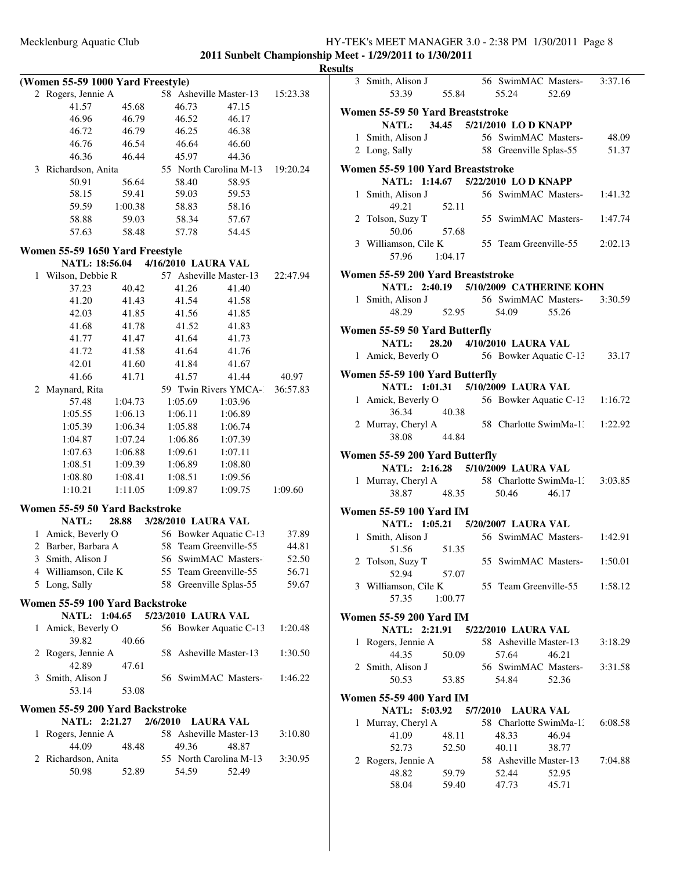|                |                                   |         |                                    |                        | Ľ        |
|----------------|-----------------------------------|---------|------------------------------------|------------------------|----------|
|                | (Women 55-59 1000 Yard Freestyle) |         |                                    |                        |          |
|                | 2 Rogers, Jennie A                |         | 58 Asheville Master-13             |                        | 15:23.38 |
|                | 41.57                             | 45.68   | 46.73                              | 47.15                  |          |
|                | 46.96                             | 46.79   | 46.52                              | 46.17                  |          |
|                | 46.72                             | 46.79   | 46.25                              | 46.38                  |          |
|                | 46.76                             | 46.54   | 46.64                              | 46.60                  |          |
|                | 46.36                             | 46.44   | 45.97                              | 44.36                  |          |
|                | 3 Richardson, Anita               |         |                                    | 55 North Carolina M-13 | 19:20.24 |
|                | 50.91                             | 56.64   | 58.40                              | 58.95                  |          |
|                | 58.15                             | 59.41   | 59.03                              | 59.53                  |          |
|                | 59.59                             | 1:00.38 | 58.83                              | 58.16                  |          |
|                | 58.88                             | 59.03   | 58.34                              | 57.67                  |          |
|                | 57.63                             | 58.48   | 57.78                              | 54.45                  |          |
|                |                                   |         |                                    |                        |          |
|                | Women 55-59 1650 Yard Freestyle   |         |                                    |                        |          |
|                |                                   |         | NATL: 18:56.04 4/16/2010 LAURA VAL |                        |          |
|                | 1 Wilson, Debbie R                |         | 57 Asheville Master-13             |                        | 22:47.94 |
|                | 37.23                             | 40.42   | 41.26                              | 41.40                  |          |
|                | 41.20                             | 41.43   | 41.54                              | 41.58                  |          |
|                | 42.03                             | 41.85   | 41.56                              | 41.85                  |          |
|                | 41.68                             | 41.78   | 41.52                              | 41.83                  |          |
|                | 41.77                             | 41.47   | 41.64                              | 41.73                  |          |
|                | 41.72                             | 41.58   | 41.64                              | 41.76                  |          |
|                | 42.01                             | 41.60   | 41.84                              | 41.67                  |          |
|                | 41.66                             | 41.71   | 41.57                              | 41.44                  | 40.97    |
|                | 2 Maynard, Rita                   |         |                                    | 59 Twin Rivers YMCA-   | 36:57.83 |
|                | 57.48                             | 1:04.73 | 1:05.69                            | 1:03.96                |          |
|                | 1:05.55                           | 1:06.13 | 1:06.11                            | 1:06.89                |          |
|                | 1:05.39                           | 1:06.34 | 1:05.88                            | 1:06.74                |          |
|                | 1:04.87                           | 1:07.24 | 1:06.86                            | 1:07.39                |          |
|                | 1:07.63                           | 1:06.88 | 1:09.61                            | 1:07.11                |          |
|                | 1:08.51                           | 1:09.39 | 1:06.89                            | 1:08.80                |          |
|                | 1:08.80                           | 1:08.41 | 1:08.51                            | 1:09.56                |          |
|                | 1:10.21                           | 1:11.05 | 1:09.87                            | 1:09.75                | 1:09.60  |
|                |                                   |         |                                    |                        |          |
|                | Women 55-59 50 Yard Backstroke    |         |                                    |                        |          |
|                | <b>NATL:</b>                      | 28.88   | 3/28/2010 LAURA VAL                |                        |          |
| 1              | Amick, Beverly O                  |         |                                    | 56 Bowker Aquatic C-13 | 37.89    |
| $\overline{c}$ | Barber, Barbara A                 |         | 58 Team Greenville-55              |                        | 44.81    |
|                | 3 Smith, Alison J                 |         |                                    | 56 SwimMAC Masters-    | 52.50    |
|                | 4 Williamson, Cile K              |         | 55 Team Greenville-55              |                        | 56.71    |
|                | 5 Long, Sally                     |         | 58 Greenville Splas-55             |                        | 59.67    |
|                | Women 55-59 100 Yard Backstroke   |         |                                    |                        |          |
|                |                                   |         | NATL: 1:04.65 5/23/2010 LAURA VAL  |                        |          |
| 1              | Amick, Beverly O                  |         |                                    | 56 Bowker Aquatic C-13 | 1:20.48  |
|                | 39.82                             | 40.66   |                                    |                        |          |
|                | 2 Rogers, Jennie A                |         | 58 Asheville Master-13             |                        | 1:30.50  |
|                | 42.89                             | 47.61   |                                    |                        |          |
| 3              | Smith, Alison J                   |         |                                    | 56 SwimMAC Masters-    | 1:46.22  |
|                | 53.14                             | 53.08   |                                    |                        |          |
|                |                                   |         |                                    |                        |          |
|                | Women 55-59 200 Yard Backstroke   |         |                                    |                        |          |
|                | NATL: 2:21.27                     |         | 2/6/2010 LAURA VAL                 |                        |          |
| 1              | Rogers, Jennie A                  |         | 58 Asheville Master-13             |                        | 3:10.80  |
|                | 44.09                             | 48.48   | 49.36                              | 48.87                  |          |
|                | 2 Richardson, Anita               |         |                                    | 55 North Carolina M-13 | 3:30.95  |
|                | 50.98                             | 52.89   | 54.59                              | 52.49                  |          |
|                |                                   |         |                                    |                        |          |
|                |                                   |         |                                    |                        |          |

|   | 3 Smith, Alison J<br>53.39 55.84                                            |         | 56 SwimMAC Masters- 3:37.16<br>55.24 | 52.69 |         |
|---|-----------------------------------------------------------------------------|---------|--------------------------------------|-------|---------|
|   | Women 55-59 50 Yard Breaststroke<br>NATL: 34.45 5/21/2010 LO D KNAPP        |         |                                      |       |         |
|   | 1 Smith, Alison J 56 SwimMAC Masters- 48.09                                 |         |                                      |       |         |
|   | 2 Long, Sally                                                               |         | 58 Greenville Splas-55 51.37         |       |         |
|   |                                                                             |         |                                      |       |         |
|   | Women 55-59 100 Yard Breaststroke<br>NATL: 1:14.67 5/22/2010 LO D KNAPP     |         |                                      |       |         |
|   | 1 Smith, Alison J                                                           |         | 56 SwimMAC Masters- 1:41.32          |       |         |
|   | 49.21                                                                       | 52.11   |                                      |       |         |
|   | 2 Tolson, Suzy T                                                            |         | 55 SwimMAC Masters- 1:47.74          |       |         |
|   | 50.06                                                                       | 57.68   |                                      |       |         |
|   |                                                                             |         |                                      |       |         |
|   | 3 Williamson, Cile K<br>57.96 1:04.17                                       |         | 55 Team Greenville-55 2:02.13        |       |         |
|   |                                                                             |         |                                      |       |         |
|   | Women 55-59 200 Yard Breaststroke<br>NATL: 2:40.19 5/10/2009 CATHERINE KOHN |         |                                      |       |         |
|   |                                                                             |         |                                      |       |         |
|   | 1 Smith, Alison J<br>48.29 52.95 54.09 55.26                                |         |                                      |       |         |
|   |                                                                             |         |                                      |       |         |
|   | Women 55-59 50 Yard Butterfly                                               |         |                                      |       |         |
|   | <b>NATL:</b>                                                                |         | 28.20 4/10/2010 LAURA VAL            |       |         |
|   | 1 Amick, Beverly O 56 Bowker Aquatic C-13 33.17                             |         |                                      |       |         |
|   | Women 55-59 100 Yard Butterfly                                              |         |                                      |       |         |
|   | NATL: 1:01.31 5/10/2009 LAURA VAL                                           |         |                                      |       |         |
|   | 1 Amick, Beverly O 56 Bowker Aquatic C-13 1:16.72                           |         |                                      |       |         |
|   | 36.34                                                                       | 40.38   |                                      |       |         |
|   | 2 Murray, Cheryl A                                                          |         | 58 Charlotte SwimMa-1: 1:22.92       |       |         |
|   | 38.08                                                                       | 44.84   |                                      |       |         |
|   |                                                                             |         |                                      |       |         |
|   | Women 55-59 200 Yard Butterfly<br>NATL: 2:16.28 5/10/2009 LAURA VAL         |         |                                      |       |         |
|   |                                                                             |         |                                      |       |         |
|   | 1 Murray, Cheryl A 58 Charlotte SwimMa-1: 3:03.85                           |         |                                      |       |         |
|   |                                                                             |         | 38.87 48.35 50.46                    | 46.17 |         |
|   | <b>Women 55-59 100 Yard IM</b>                                              |         |                                      |       |         |
|   | NATL: 1:05.21 5/20/2007 LAURA VAL                                           |         |                                      |       |         |
|   | 1 Smith, Alison J                                                           |         | 56 SwimMAC Masters- 1:42.91          |       |         |
|   | 51.56                                                                       | 51.35   |                                      |       |         |
|   | 2 Tolson, Suzy T 55 SwimMAC Masters-1:50.01                                 |         |                                      |       |         |
|   | 52.94                                                                       | 57.07   |                                      |       |         |
|   | 3 Williamson, Cile K                                                        |         | 55 Team Greenville-55 1:58.12        |       |         |
|   | 57.35                                                                       | 1:00.77 |                                      |       |         |
|   | <b>Women 55-59 200 Yard IM</b>                                              |         |                                      |       |         |
|   | NATL: 2:21.91 5/22/2010 LAURA VAL                                           |         |                                      |       |         |
| 1 | Rogers, Jennie A                                                            |         | 58 Asheville Master-13               |       | 3:18.29 |
|   | 44.35                                                                       | 50.09   | 57.64                                | 46.21 |         |
|   | 2 Smith, Alison J                                                           |         | 56 SwimMAC Masters-                  |       | 3:31.58 |
|   | 50.53                                                                       | 53.85   | 54.84                                | 52.36 |         |
|   |                                                                             |         |                                      |       |         |
|   | Women 55-59 400 Yard IM                                                     |         |                                      |       |         |
|   | NATL: 5:03.92 5/7/2010 LAURA VAL                                            |         |                                      |       |         |
| 1 | Murray, Cheryl A                                                            |         | 58 Charlotte SwimMa-1.               |       | 6:08.58 |
|   | 41.09                                                                       | 48.11   | 48.33                                | 46.94 |         |
|   | 52.73                                                                       | 52.50   | 40.11                                | 38.77 |         |
|   | 2 Rogers, Jennie A                                                          |         | 58 Asheville Master-13               |       | 7:04.88 |
|   | 48.82                                                                       | 59.79   | 52.44                                | 52.95 |         |
|   | 58.04                                                                       | 59.40   | 47.73                                | 45.71 |         |
|   |                                                                             |         |                                      |       |         |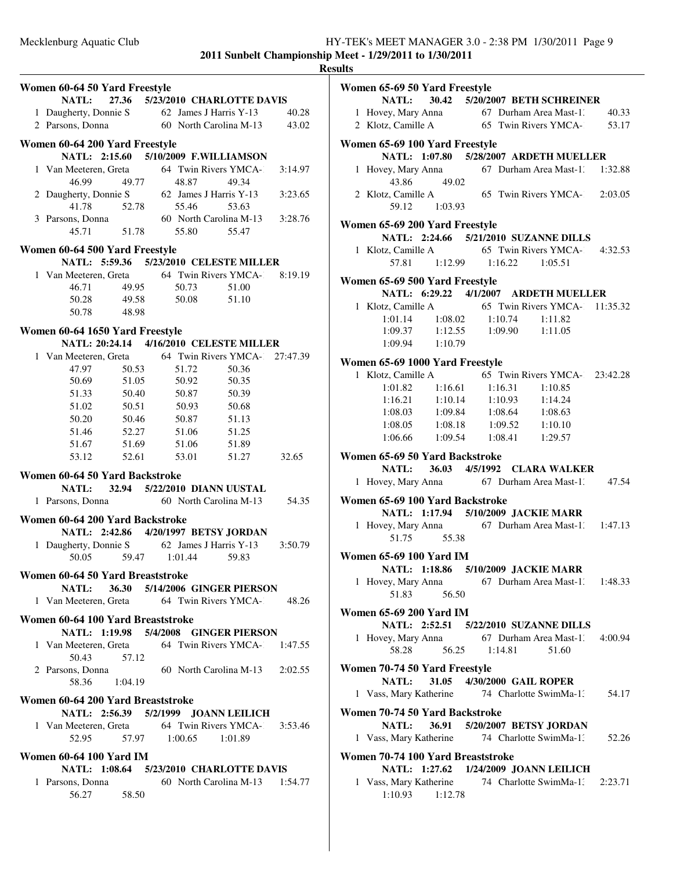|                                                                                                       |         |                                         |                                |         | <b>Results</b> |
|-------------------------------------------------------------------------------------------------------|---------|-----------------------------------------|--------------------------------|---------|----------------|
| Women 60-64 50 Yard Freestyle                                                                         |         |                                         |                                |         | Wo             |
|                                                                                                       |         | NATL: 27.36 5/23/2010 CHARLOTTE DAVIS   |                                |         |                |
|                                                                                                       |         |                                         |                                | 40.28   |                |
| 1 Daugherty, Donnie S<br>2 Parsons, Donna 60 North Carolina M-13                                      |         |                                         |                                | 43.02   |                |
| Women 60-64 200 Yard Freestyle                                                                        |         |                                         |                                |         | $\mathbf{W_0}$ |
|                                                                                                       |         | NATL: 2:15.60 5/10/2009 F.WILLIAMSON    |                                |         |                |
| 1 Van Meeteren, Greta 64 Twin Rivers YMCA-1                                                           |         |                                         |                                | 3:14.97 |                |
| 46.99                                                                                                 | 49.77   | 48.87                                   | 49.34                          |         |                |
| 2 Daugherty, Donnie S 62 James J Harris Y-13                                                          |         |                                         |                                | 3:23.65 |                |
|                                                                                                       |         |                                         |                                |         |                |
|                                                                                                       |         |                                         |                                |         |                |
| 41.78 52.78 55.46 53.63<br>3 Parsons, Donna 60 North Carolina M-13 3:28.76<br>45.71 51.78 55.80 55.47 |         |                                         |                                |         | Wo             |
| Women 60-64 500 Yard Freestyle                                                                        |         |                                         |                                |         |                |
|                                                                                                       |         | NATL: 5:59.36 5/23/2010 CELESTE MILLER  |                                |         |                |
| 1 Van Meeteren, Greta 64 Twin Rivers YMCA- 8:19.19                                                    |         |                                         |                                |         |                |
| 46.71                                                                                                 | 49.95   | 50.73                                   | 51.00                          |         | Wo             |
| 50.28 49.58                                                                                           |         | 50.08                                   | 51.10                          |         |                |
| 50.78 48.98                                                                                           |         |                                         |                                |         |                |
|                                                                                                       |         |                                         |                                |         |                |
| Women 60-64 1650 Yard Freestyle                                                                       |         | NATL: 20:24.14 4/16/2010 CELESTE MILLER |                                |         |                |
| 1 Van Meeteren, Greta 64 Twin Rivers YMCA- 27:47.39                                                   |         |                                         |                                |         |                |
| 47.97                                                                                                 | 50.53   | 51.72                                   | 50.36                          |         | Wo             |
| 50.69                                                                                                 | 51.05   | 50.92                                   | 50.35                          |         |                |
|                                                                                                       |         | 51.33 50.40 50.87                       | 50.39                          |         |                |
| 51.02                                                                                                 | 50.51   | 50.93                                   | 50.68                          |         |                |
| 50.20                                                                                                 | 50.46   | 50.87                                   | 51.13                          |         |                |
| 51.46                                                                                                 |         | 52.27 51.06                             | 51.25                          |         |                |
| 51.67                                                                                                 | 51.69   | 51.06                                   | 51.89                          |         |                |
| 53.12                                                                                                 |         | 52.61 53.01                             | 51.27                          | 32.65   | Wo             |
| Women 60-64 50 Yard Backstroke                                                                        |         |                                         |                                |         |                |
|                                                                                                       |         | NATL: 32.94 5/22/2010 DIANN UUSTAL      |                                |         |                |
| 1 Parsons, Donna 60 North Carolina M-13 54.35                                                         |         |                                         |                                |         | Wo             |
|                                                                                                       |         |                                         |                                |         |                |
| Women 60-64 200 Yard Backstroke                                                                       |         |                                         |                                |         |                |
|                                                                                                       |         | NATL: 2:42.86 4/20/1997 BETSY JORDAN    |                                |         |                |
| 1 Daugherty, Donnie S 62 James J Harris Y-13                                                          |         | 59.47 1:01.44                           |                                | 3:50.79 | W <sub>0</sub> |
| 50.05                                                                                                 |         |                                         | 59.83                          |         |                |
| Women 60-64 50 Yard Breaststroke                                                                      |         |                                         |                                |         |                |
|                                                                                                       |         | NATL: 36.30 5/14/2006 GINGER PIERSON    |                                |         |                |
| 1 Van Meeteren, Greta 64 Twin Rivers YMCA-2 48.26                                                     |         |                                         |                                |         |                |
| Women 60-64 100 Yard Breaststroke                                                                     |         |                                         |                                |         | W <sub>0</sub> |
|                                                                                                       |         | NATL: 1:19.98 5/4/2008 GINGER PIERSON   |                                |         |                |
| 1 Van Meeteren, Greta 64 Twin Rivers YMCA- 1:47.55                                                    |         |                                         |                                |         |                |
| 50.43                                                                                                 | 57.12   |                                         |                                |         |                |
| 2 Parsons, Donna                                                                                      |         | 60 North Carolina M-13 2:02.55          |                                |         | Wo             |
| 58.36                                                                                                 | 1:04.19 |                                         |                                |         |                |
| Women 60-64 200 Yard Breaststroke                                                                     |         |                                         |                                |         |                |
|                                                                                                       |         | NATL: 2:56.39 5/2/1999 JOANN LEILICH    |                                |         | Wo             |
| 1 Van Meeteren, Greta 64 Twin Rivers YMCA-1 3:53.46                                                   |         |                                         |                                |         |                |
| 52.95                                                                                                 |         | 57.97 1:00.65 1:01.89                   |                                |         |                |
| <b>Women 60-64 100 Yard IM</b>                                                                        |         |                                         |                                |         | Wс             |
|                                                                                                       |         | NATL: 1:08.64 5/23/2010 CHARLOTTE DAVIS |                                |         |                |
| 1 Parsons, Donna                                                                                      |         |                                         | 60 North Carolina M-13 1:54.77 |         |                |
| 56.27                                                                                                 | 58.50   |                                         |                                |         |                |
|                                                                                                       |         |                                         |                                |         |                |

| Women 65-69 50 Yard Freestyle     |                                                                                                             |
|-----------------------------------|-------------------------------------------------------------------------------------------------------------|
|                                   | NATL: 30.42 5/20/2007 BETH SCHREINER                                                                        |
|                                   |                                                                                                             |
|                                   | 1 Hovey, Mary Anna 67 Durham Area Mast-1. 40.33<br>2 Klotz, Camille A 65 Twin Rivers YMCA-. 53.17           |
|                                   |                                                                                                             |
| Women 65-69 100 Yard Freestyle    |                                                                                                             |
|                                   | NATL: 1:07.80 5/28/2007 ARDETH MUELLER                                                                      |
|                                   | 1 Hovey, Mary Anna 67 Durham Area Mast-1. 1:32.88                                                           |
| 43.86<br>49.02                    |                                                                                                             |
| 2 Klotz, Camille A                | 65 Twin Rivers YMCA-2:03.05                                                                                 |
| 59.12 1:03.93                     |                                                                                                             |
| Women 65-69 200 Yard Freestyle    |                                                                                                             |
|                                   | NATL: 2:24.66 5/21/2010 SUZANNE DILLS                                                                       |
|                                   |                                                                                                             |
|                                   | 1 Klotz, Camille A 65 Twin Rivers YMCA- 4:32.53<br>57.81 1:12.99 1:16.22 1:05.51                            |
|                                   |                                                                                                             |
| Women 65-69 500 Yard Freestyle    |                                                                                                             |
|                                   | NATL: 6:29.22 4/1/2007 ARDETH MUELLER                                                                       |
|                                   |                                                                                                             |
|                                   |                                                                                                             |
|                                   | 1 Klotz, Camille A<br>1:01.14 1:08.02 1:10.74 1:11.82<br>1:09.37 1:12.55 1:09.90 1:11.05<br>1:09.94 1:10.79 |
|                                   |                                                                                                             |
| Women 65-69 1000 Yard Freestyle   |                                                                                                             |
|                                   | 1 Klotz, Camille A 65 Twin Rivers YMCA- 23:42.28                                                            |
| $1:01.82$ $1:16.61$ $1:16.31$     | 1:10.85                                                                                                     |
|                                   | $1:16.21$ $1:10.14$ $1:10.93$ $1:14.24$                                                                     |
|                                   | $1:08.03 \qquad \  \  1:09.84 \qquad \quad 1:08.64 \qquad \quad 1:08.63$                                    |
|                                   |                                                                                                             |
|                                   | $1:08.05$ $1:08.18$ $1:09.52$ $1:10.10$<br>$1:06.66$ $1:09.54$ $1:08.41$ $1:29.57$                          |
|                                   |                                                                                                             |
| Women 65-69 50 Yard Backstroke    |                                                                                                             |
|                                   | NATL: 36.03 4/5/1992 CLARA WALKER                                                                           |
|                                   | 1 Hovey, Mary Anna 67 Durham Area Mast-1.<br>47.54                                                          |
| Women 65-69 100 Yard Backstroke   |                                                                                                             |
|                                   | NATL: 1:17.94 5/10/2009 JACKIE MARR                                                                         |
|                                   |                                                                                                             |
| 51.75 55.38                       | 1 Hovey, Mary Anna 67 Durham Area Mast-1. 1:47.13                                                           |
|                                   |                                                                                                             |
| <b>Women 65-69 100 Yard IM</b>    |                                                                                                             |
|                                   | NATL: 1:18.86 5/10/2009 JACKIE MARR                                                                         |
| 1 Hovey, Mary Anna                | 67 Durham Area Mast-1. 1:48.33                                                                              |
| 51.83<br>56.50                    |                                                                                                             |
| Women 65-69 200 Yard IM           |                                                                                                             |
|                                   | NATL: 2:52.51 5/22/2010 SUZANNE DILLS                                                                       |
|                                   |                                                                                                             |
| 58.28                             | 1 Hovey, Mary Anna 67 Durham Area Mast-1. 4:00.94<br>51.60                                                  |
|                                   | 56.25 1:14.81                                                                                               |
| Women 70-74 50 Yard Freestyle     |                                                                                                             |
|                                   | NATL: 31.05 4/30/2000 GAIL ROPER                                                                            |
|                                   | 1 Vass, Mary Katherine 74 Charlotte SwimMa-1.<br>54.17                                                      |
|                                   |                                                                                                             |
| Women 70-74 50 Yard Backstroke    |                                                                                                             |
| <b>NATL:</b>                      | 36.91 5/20/2007 BETSY JORDAN                                                                                |
|                                   | 1 Vass, Mary Katherine 74 Charlotte SwimMa-1:<br>52.26                                                      |
| Women 70-74 100 Yard Breaststroke |                                                                                                             |
|                                   | NATL: 1:27.62 1/24/2009 JOANN LEILICH                                                                       |
|                                   | 1 Vass, Mary Katherine 74 Charlotte SwimMa-1: 2:23.71                                                       |

1:10.93 1:12.78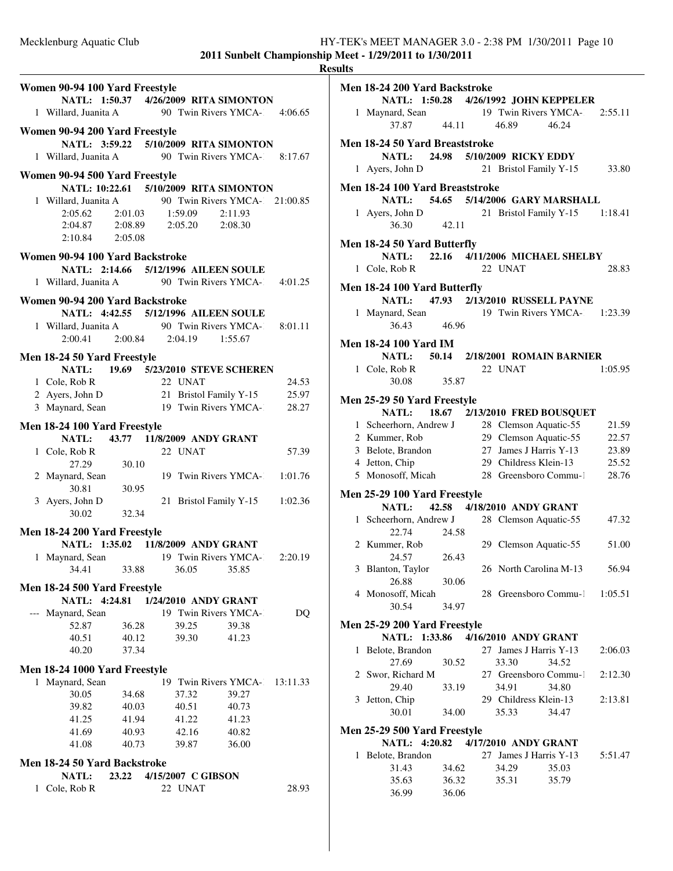|                                         |                                                                                                                       | <b>Results</b> |
|-----------------------------------------|-----------------------------------------------------------------------------------------------------------------------|----------------|
| Women 90-94 100 Yard Freestyle          |                                                                                                                       | Me             |
|                                         | NATL: 1:50.37 4/26/2009 RITA SIMONTON                                                                                 |                |
|                                         | 1 Willard, Juanita A 90 Twin Rivers YMCA- 4:06.65                                                                     |                |
| Women 90-94 200 Yard Freestyle          |                                                                                                                       |                |
|                                         | NATL: 3:59.22 5/10/2009 RITA SIMONTON                                                                                 | Me             |
|                                         | 1 Willard, Juanita A 90 Twin Rivers YMCA- 8:17.67                                                                     |                |
| Women 90-94 500 Yard Freestyle          |                                                                                                                       |                |
|                                         | NATL: 10:22.61 5/10/2009 RITA SIMONTON                                                                                | Me             |
|                                         |                                                                                                                       |                |
|                                         | 1 Willard, Juanita A<br>2:05.62 2:01.03 1:59.09 2:11.93<br>2:04.87 2:08.89 2:05.20 2:08.30<br>2:10.84 2:05.09 2:05.20 |                |
|                                         |                                                                                                                       |                |
| $2:10.84$ $2:05.08$                     |                                                                                                                       | Me             |
| Women 90-94 100 Yard Backstroke         |                                                                                                                       |                |
|                                         | NATL: 2:14.66 5/12/1996 AILEEN SOULE                                                                                  |                |
|                                         | 1 Willard, Juanita A 90 Twin Rivers YMCA- 4:01.25                                                                     | Me             |
| Women 90-94 200 Yard Backstroke         |                                                                                                                       |                |
|                                         | NATL: 4:42.55 5/12/1996 AILEEN SOULE                                                                                  |                |
|                                         | 1 Willard, Juanita A 90 Twin Rivers YMCA-1 8:01.11                                                                    |                |
|                                         | 2:00.41 2:00.84 2:04.19 1:55.67                                                                                       |                |
| Men 18-24 50 Yard Freestyle             |                                                                                                                       | Me             |
|                                         | NATL: 19.69 5/23/2010 STEVE SCHEREN                                                                                   |                |
|                                         |                                                                                                                       |                |
|                                         | 1 Cole, Rob R 22 UNAT 24.53<br>2 Ayers, John D 21 Bristol Family Y-15 25.97                                           |                |
|                                         | 3 Maynard, Sean 19 Twin Rivers YMCA-28.27                                                                             | Me             |
|                                         |                                                                                                                       |                |
| Men 18-24 100 Yard Freestyle            | NATL: 43.77 11/8/2009 ANDY GRANT                                                                                      |                |
| 1 Cole, Rob R                           | 22 UNAT<br>57.39                                                                                                      |                |
|                                         | 27.29 30.10<br>27.29 30.10<br>19 Twin Rivers YMCA-: 1:01.76                                                           |                |
|                                         |                                                                                                                       |                |
|                                         |                                                                                                                       |                |
|                                         | 21 Bristol Family Y-15 1:02.36                                                                                        | Me             |
| 30.81 30.95<br>3 Ayers, John D<br>30.95 |                                                                                                                       |                |
| Men 18-24 200 Yard Freestyle            |                                                                                                                       |                |
|                                         | NATL: 1:35.02 11/8/2009 ANDY GRANT                                                                                    |                |
| 1 Maynard, Sean                         | 19 Twin Rivers YMCA-2:20.19                                                                                           |                |
| 34.41<br>33.88                          | 36.05<br>35.85                                                                                                        |                |
| Men 18-24 500 Yard Freestyle            |                                                                                                                       |                |
| NATL: 4:24.81                           | 1/24/2010 ANDY GRANT                                                                                                  |                |
| --- Maynard, Sean                       | 19 Twin Rivers YMCA-1<br>DQ                                                                                           |                |
| 52.87<br>36.28                          | 39.25<br>39.38                                                                                                        | Me             |
| 40.51<br>40.12                          | 39.30<br>41.23                                                                                                        |                |
| 40.20<br>37.34                          |                                                                                                                       |                |
| Men 18-24 1000 Yard Freestyle           |                                                                                                                       |                |
| 1 Maynard, Sean                         | 19 Twin Rivers YMCA-1 13:11.33                                                                                        |                |
| 30.05<br>34.68                          | 37.32<br>39.27                                                                                                        |                |
| 39.82<br>40.03                          | 40.51<br>40.73                                                                                                        |                |
| 41.94<br>41.25                          | 41.22<br>41.23                                                                                                        |                |
| 41.69<br>40.93                          | 42.16<br>40.82                                                                                                        | Me             |
| 41.08<br>40.73                          | 39.87<br>36.00                                                                                                        |                |
| Men 18-24 50 Yard Backstroke            |                                                                                                                       |                |
| 23.22<br>NATL:                          | 4/15/2007 C GIBSON                                                                                                    |                |
| 1 Cole, Rob R                           | 22 UNAT<br>28.93                                                                                                      |                |
|                                         |                                                                                                                       |                |

| Men 18-24 200 Yard Backstroke         |       |                                |       |         |
|---------------------------------------|-------|--------------------------------|-------|---------|
| NATL: 1:50.28 4/26/1992 JOHN KEPPELER |       |                                |       |         |
| 1 Maynard, Sean                       |       | 19 Twin Rivers YMCA-2:55.11    |       |         |
| $37.87$ 44.11                         |       | 46.89                          | 46.24 |         |
| Men 18-24 50 Yard Breaststroke        |       |                                |       |         |
| NATL: 24.98 5/10/2009 RICKY EDDY      |       |                                |       |         |
|                                       |       |                                |       |         |
| 1 Ayers, John D                       |       | 21 Bristol Family Y-15         |       | 33.80   |
| Men 18-24 100 Yard Breaststroke       |       |                                |       |         |
| NATL: 54.65 5/14/2006 GARY MARSHALL   |       |                                |       |         |
| 1 Ayers, John D                       |       | 21 Bristol Family Y-15 1:18.41 |       |         |
| 36.30                                 | 42.11 |                                |       |         |
| Men 18-24 50 Yard Butterfly           |       |                                |       |         |
| <b>NATL:</b>                          |       | 22.16 4/11/2006 MICHAEL SHELBY |       |         |
| 1 Cole, Rob R                         |       | 22 UNAT                        |       | 28.83   |
|                                       |       |                                |       |         |
| Men 18-24 100 Yard Butterfly          |       |                                |       |         |
| NATL:                                 |       | 47.93 2/13/2010 RUSSELL PAYNE  |       |         |
| 1 Maynard, Sean                       |       | 19 Twin Rivers YMCA- 1:23.39   |       |         |
| 36.43                                 | 46.96 |                                |       |         |
| <b>Men 18-24 100 Yard IM</b>          |       |                                |       |         |
| <b>NATL:</b> 50.14                    |       | 2/18/2001 ROMAIN BARNIER       |       |         |
|                                       |       | 22 UNAT                        |       | 1:05.95 |
| 1 Cole, Rob R<br>30.08                |       |                                |       |         |
|                                       | 35.87 |                                |       |         |
| Men 25-29 50 Yard Freestyle           |       |                                |       |         |
| NATL:                                 |       | 18.67 2/13/2010 FRED BOUSQUET  |       |         |
| 1 Scheerhorn, Andrew J                |       | 28 Clemson Aquatic-55          |       | 21.59   |
| 2 Kummer, Rob                         |       | 29 Clemson Aquatic-55          |       | 22.57   |
| 3 Belote, Brandon                     |       | 27 James J Harris Y-13         |       | 23.89   |
| 4 Jetton, Chip                        |       | 29 Childress Klein-13          |       | 25.52   |
| 5 Monosoff, Micah                     |       | 28 Greensboro Commu-1          |       | 28.76   |
|                                       |       |                                |       |         |
| Men 25-29 100 Yard Freestyle<br>NATL: |       | 42.58 4/18/2010 ANDY GRANT     |       |         |
| 1 Scheerhorn, Andrew J                |       | 28 Clemson Aquatic-55          |       |         |
|                                       |       |                                |       | 47.32   |
| 22.74<br>2 Kummer, Rob                | 24.58 |                                |       | 51.00   |
| 24.57                                 | 26.43 | 29 Clemson Aquatic-55          |       |         |
| 3 Blanton, Taylor                     |       | 26 North Carolina M-13         |       | 56.94   |
| 26.88                                 | 30.06 |                                |       |         |
| 4 Monosoff, Micah                     |       | 28 Greensboro Commu-1 1:05.51  |       |         |
| 30.54                                 | 34.97 |                                |       |         |
|                                       |       |                                |       |         |
| Men 25-29 200 Yard Freestyle          |       |                                |       |         |
| NATL: 1:33.86 4/16/2010 ANDY GRANT    |       |                                |       |         |
| 1 Belote, Brandon                     |       | 27 James J Harris Y-13         |       | 2:06.03 |
| 27.69                                 | 30.52 | 33.30                          | 34.52 |         |
| 2 Swor, Richard M                     |       | 27 Greensboro Commu-1          |       | 2:12.30 |
| 29.40                                 | 33.19 | 34.91                          | 34.80 |         |
| 3 Jetton, Chip                        |       | 29 Childress Klein-13          |       | 2:13.81 |
| 30.01                                 | 34.00 | 35.33                          | 34.47 |         |
| Men 25-29 500 Yard Freestyle          |       |                                |       |         |
| NATL: 4:20.82 4/17/2010 ANDY GRANT    |       |                                |       |         |
| 1 Belote, Brandon                     |       | 27 James J Harris Y-13         |       | 5:51.47 |
| 31.43                                 | 34.62 | 34.29                          | 35.03 |         |
| 35.63                                 | 36.32 | 35.31                          | 35.79 |         |
|                                       |       |                                |       |         |

36.99 36.06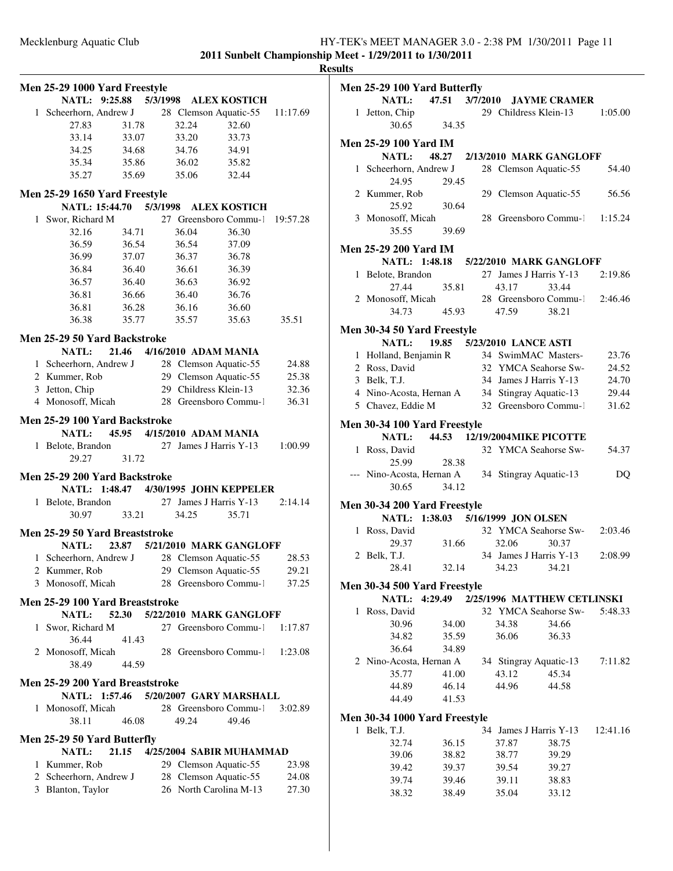|              | Men 25-29 1000 Yard Freestyle   |                                  |          |       |                                       |          |
|--------------|---------------------------------|----------------------------------|----------|-------|---------------------------------------|----------|
|              | NATL: 9:25.88                   |                                  | 5/3/1998 |       | <b>ALEX KOSTICH</b>                   |          |
|              | 1 Scheerhorn, Andrew J          |                                  |          |       | 28 Clemson Aquatic-55                 | 11:17.69 |
|              | 27.83                           | 31.78                            |          | 32.24 | 32.60                                 |          |
|              | 33.14                           | 33.07                            |          | 33.20 | 33.73                                 |          |
|              | 34.25                           | 34.68                            |          | 34.76 | 34.91                                 |          |
|              | 35.34                           | 35.86                            |          | 36.02 | 35.82                                 |          |
|              | 35.27                           | 35.69                            |          | 35.06 | 32.44                                 |          |
|              |                                 |                                  |          |       |                                       |          |
|              | Men 25-29 1650 Yard Freestyle   |                                  |          |       |                                       |          |
|              | <b>NATL: 15:44.70</b>           | 5/3/1998                         |          |       | <b>ALEX KOSTICH</b>                   |          |
| 1            | Swor, Richard M                 |                                  |          |       | 27 Greensboro Commu-1                 | 19:57.28 |
|              | 32.16                           | 34.71                            |          | 36.04 | 36.30                                 |          |
|              | 36.59                           | 36.54                            |          | 36.54 | 37.09                                 |          |
|              | 36.99                           | 37.07                            |          | 36.37 | 36.78                                 |          |
|              | 36.84                           | 36.40                            |          | 36.61 | 36.39                                 |          |
|              | 36.57                           | 36.40                            |          | 36.63 | 36.92                                 |          |
|              | 36.81                           | 36.66                            |          | 36.40 | 36.76                                 |          |
|              | 36.81                           | 36.28                            |          | 36.16 | 36.60                                 |          |
|              | 36.38                           | 35.77                            |          | 35.57 | 35.63                                 | 35.51    |
|              |                                 |                                  |          |       |                                       |          |
|              | Men 25-29 50 Yard Backstroke    |                                  |          |       |                                       |          |
|              | <b>NATL:</b>                    | 21.46                            |          |       | 4/16/2010 ADAM MANIA                  |          |
|              | 1 Scheerhorn, Andrew J          |                                  |          |       | 28 Clemson Aquatic-55                 | 24.88    |
|              | 2 Kummer, Rob                   |                                  |          |       | 29 Clemson Aquatic-55                 | 25.38    |
|              | 3 Jetton, Chip                  |                                  |          |       | 29 Childress Klein-13                 | 32.36    |
|              | 4 Monosoff, Micah               |                                  |          |       | 28 Greensboro Commu-1                 | 36.31    |
|              |                                 |                                  |          |       |                                       |          |
|              | Men 25-29 100 Yard Backstroke   |                                  |          |       |                                       |          |
|              |                                 | NATL: 45.95 4/15/2010 ADAM MANIA |          |       |                                       |          |
|              | 1 Belote, Brandon               |                                  |          |       | 27 James J Harris Y-13                | 1:00.99  |
|              | 29.27                           | 31.72                            |          |       |                                       |          |
|              | Men 25-29 200 Yard Backstroke   |                                  |          |       |                                       |          |
|              |                                 |                                  |          |       | NATL: 1:48.47 4/30/1995 JOHN KEPPELER |          |
|              | 1 Belote, Brandon               |                                  |          |       | 27 James J Harris Y-13                | 2:14.14  |
|              | 30.97                           | 33.21                            |          | 34.25 | 35.71                                 |          |
|              |                                 |                                  |          |       |                                       |          |
|              | Men 25-29 50 Yard Breaststroke  |                                  |          |       |                                       |          |
|              | <b>NATL:</b>                    |                                  |          |       | 23.87 5/21/2010 MARK GANGLOFF         |          |
|              | 1 Scheerhorn, Andrew J          |                                  |          |       | 28 Clemson Aquatic-55                 | 28.53    |
|              | 2 Kummer, Rob                   |                                  |          |       | 29 Clemson Aquatic-55                 | 29.21    |
| 3            | Monosoff, Micah                 |                                  |          |       | 28 Greensboro Commu-1                 | 37.25    |
|              |                                 |                                  |          |       |                                       |          |
|              | Men 25-29 100 Yard Breaststroke |                                  |          |       |                                       |          |
|              | NATL:                           | 52.30                            |          |       | 5/22/2010 MARK GANGLOFF               |          |
| 1            | Swor, Richard M                 |                                  |          |       | 27 Greensboro Commu-1                 | 1:17.87  |
|              | 36.44                           | 41.43                            |          |       |                                       |          |
|              | 2 Monosoff, Micah               |                                  |          |       | 28 Greensboro Commu-1                 | 1:23.08  |
|              | 38.49                           | 44.59                            |          |       |                                       |          |
|              | Men 25-29 200 Yard Breaststroke |                                  |          |       |                                       |          |
|              |                                 |                                  |          |       | NATL: 1:57.46 5/20/2007 GARY MARSHALL |          |
| $\mathbf{1}$ | Monosoff, Micah                 |                                  |          |       | 28 Greensboro Commu-1                 | 3:02.89  |
|              |                                 |                                  |          | 49.24 |                                       |          |
|              | 38.11                           | 46.08                            |          |       | 49.46                                 |          |
|              | Men 25-29 50 Yard Butterfly     |                                  |          |       |                                       |          |
|              | NATL:                           | 21.15                            |          |       | 4/25/2004 SABIR MUHAMMAD              |          |
|              | 1 Kummer, Rob                   |                                  |          |       | 29 Clemson Aquatic-55                 | 23.98    |
|              | 2 Scheerhorn, Andrew J          |                                  |          |       | 28 Clemson Aquatic-55                 | 24.08    |
|              | 3 Blanton, Taylor               |                                  |          |       | 26 North Carolina M-13                | 27.30    |
|              |                                 |                                  |          |       |                                       |          |

| Men 25-29 100 Yard Butterfly                     |       |       |                            |                                       |          |
|--------------------------------------------------|-------|-------|----------------------------|---------------------------------------|----------|
| NATL:                                            |       |       |                            | 47.51 3/7/2010 JAYME CRAMER           |          |
| 1 Jetton, Chip                                   |       |       |                            | 29 Childress Klein-13                 | 1:05.00  |
| 30.65                                            | 34.35 |       |                            |                                       |          |
|                                                  |       |       |                            |                                       |          |
| <b>Men 25-29 100 Yard IM</b><br>NATL:            | 48.27 |       |                            | 2/13/2010 MARK GANGLOFF               |          |
| 1 Scheerhorn, Andrew J                           |       |       |                            | 28 Clemson Aquatic-55                 | 54.40    |
| 24.95                                            | 29.45 |       |                            |                                       |          |
| 2 Kummer, Rob                                    |       |       |                            | 29 Clemson Aquatic-55                 | 56.56    |
| 25.92                                            | 30.64 |       |                            |                                       |          |
| 3 Monosoff, Micah                                |       |       |                            | 28 Greensboro Commu-1 1:15.24         |          |
| 35.55                                            | 39.69 |       |                            |                                       |          |
|                                                  |       |       |                            |                                       |          |
| Men 25-29 200 Yard IM                            |       |       |                            |                                       |          |
|                                                  |       |       |                            | NATL: 1:48.18 5/22/2010 MARK GANGLOFF |          |
| 1 Belote, Brandon                                |       |       |                            | 27 James J Harris Y-13                | 2:19.86  |
| 27.44                                            | 35.81 |       | 43.17                      | 33.44                                 |          |
| 2 Monosoff, Micah                                |       |       |                            | 28 Greensboro Commu-1 2:46.46         |          |
| 34.73                                            | 45.93 |       | 47.59                      | 38.21                                 |          |
| Men 30-34 50 Yard Freestyle                      |       |       |                            |                                       |          |
| <b>NATL:</b>                                     |       |       | 19.85 5/23/2010 LANCE ASTI |                                       |          |
| 1 Holland, Benjamin R                            |       |       |                            | 34 SwimMAC Masters-                   | 23.76    |
| 2 Ross, David                                    |       |       |                            | 32 YMCA Seahorse Sw-                  | 24.52    |
| 3 Belk, T.J.                                     |       |       |                            | 34 James J Harris Y-13                | 24.70    |
| 4 Nino-Acosta, Hernan A 34 Stingray Aquatic-13   |       |       |                            |                                       | 29.44    |
| 5 Chavez, Eddie M                                |       |       |                            | 32 Greensboro Commu-1                 | 31.62    |
|                                                  |       |       |                            |                                       |          |
| Men 30-34 100 Yard Freestyle                     |       |       |                            |                                       |          |
| <b>NATL:</b>                                     |       |       |                            | 44.53 12/19/2004 MIKE PICOTTE         |          |
| 1 Ross, David<br>25.99                           | 28.38 |       |                            | 32 YMCA Seahorse Sw-                  | 54.37    |
| --- Nino-Acosta, Hernan A 34 Stingray Aquatic-13 |       |       |                            |                                       | DQ       |
| 30.65                                            | 34.12 |       |                            |                                       |          |
|                                                  |       |       |                            |                                       |          |
| Men 30-34 200 Yard Freestyle                     |       |       |                            |                                       |          |
| NATL: 1:38.03 5/16/1999 JON OLSEN                |       |       |                            |                                       |          |
| 1 Ross, David                                    |       |       |                            | 32 YMCA Seahorse Sw- 2:03.46          |          |
| 29.37                                            |       | 31.66 | 32.06                      | 30.37                                 |          |
| 2 Belk, T.J.                                     |       |       |                            | 34 James J Harris Y-13                | 2:08.99  |
| 28.41                                            | 32.14 |       | 34.23                      | 34.21                                 |          |
| Men 30-34 500 Yard Freestyle                     |       |       |                            |                                       |          |
| NATL: 4:29.49                                    |       |       |                            | 2/25/1996 MATTHEW CETLINSKI           |          |
| 1 Ross, David                                    |       |       |                            | 32 YMCA Seahorse Sw-                  | 5:48.33  |
| 30.96                                            | 34.00 |       | 34.38                      | 34.66                                 |          |
| 34.82                                            | 35.59 |       | 36.06                      | 36.33                                 |          |
| 36.64                                            | 34.89 |       |                            |                                       |          |
| 2 Nino-Acosta, Hernan A                          |       |       |                            | 34 Stingray Aquatic-13                | 7:11.82  |
| 35.77                                            | 41.00 |       | 43.12                      | 45.34                                 |          |
| 44.89                                            | 46.14 |       | 44.96                      | 44.58                                 |          |
| 44.49                                            | 41.53 |       |                            |                                       |          |
|                                                  |       |       |                            |                                       |          |
| Men 30-34 1000 Yard Freestyle                    |       |       |                            |                                       |          |
| 1 Belk, T.J.                                     |       |       |                            | 34 James J Harris Y-13                | 12:41.16 |
| 32.74                                            | 36.15 |       | 37.87                      | 38.75                                 |          |
| 39.06                                            | 38.82 |       | 38.77                      | 39.29                                 |          |
| 39.42                                            | 39.37 |       | 39.54                      | 39.27                                 |          |
| 39.74                                            | 39.46 |       | 39.11                      | 38.83                                 |          |
| 38.32                                            | 38.49 |       | 35.04                      | 33.12                                 |          |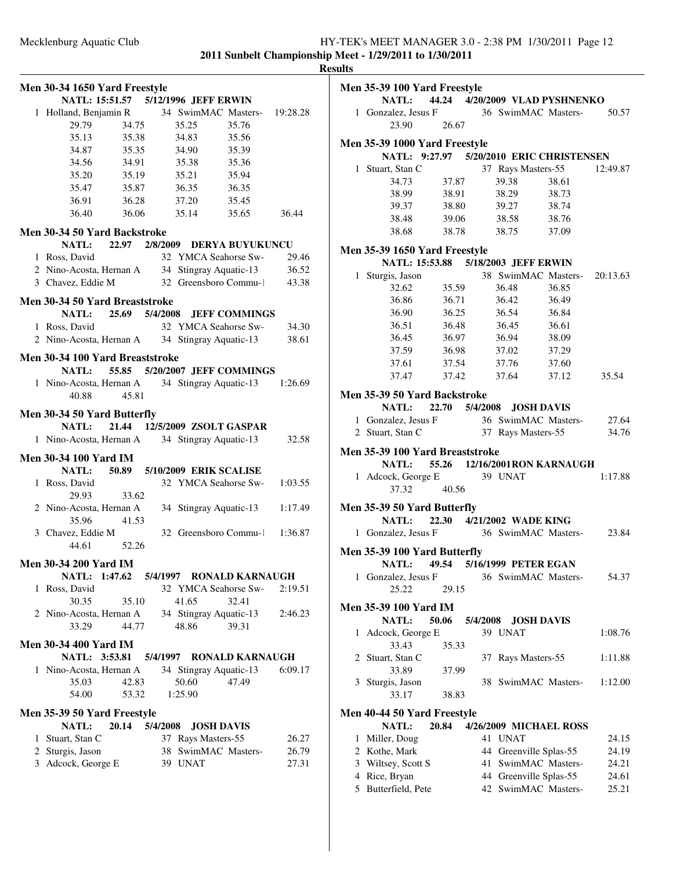|   |                                                    |                                        |             |                        |                          |         | <b>Results</b> |
|---|----------------------------------------------------|----------------------------------------|-------------|------------------------|--------------------------|---------|----------------|
|   | Men 30-34 1650 Yard Freestyle                      |                                        |             |                        |                          |         | Me             |
|   |                                                    | NATL: 15:51.57 5/12/1996 JEFF ERWIN    |             |                        |                          |         |                |
|   | 1 Holland, Benjamin R 34 SwimMAC Masters- 19:28.28 |                                        |             |                        |                          |         |                |
|   | 29.79                                              | 34.75                                  | 35.25       |                        | 35.76                    |         |                |
|   |                                                    | 35.13 35.38                            |             | 34.83                  | 35.56                    |         |                |
|   |                                                    | 34.87 35.35                            |             | 34.90                  | 35.39                    |         | Me             |
|   |                                                    | 34.56 34.91 35.38                      |             |                        | 35.36                    |         |                |
|   |                                                    | 35.20 35.19                            | 35.21       |                        | 35.94                    |         |                |
|   | 35.47                                              | 35.87                                  | 36.35       |                        | 36.35                    |         |                |
|   | 36.91                                              | 36.28                                  | 37.20       |                        | 35.45                    |         |                |
|   | 36.40                                              |                                        | 36.06 35.14 |                        | 35.65                    | 36.44   |                |
|   | Men 30-34 50 Yard Backstroke                       |                                        |             |                        |                          |         |                |
|   |                                                    | NATL: 22.97 2/8/2009 DERYA BUYUKUNCU   |             |                        |                          |         |                |
|   | 1 Ross, David                                      |                                        |             |                        | 32 YMCA Seahorse Sw-     | 29.46   | Me             |
|   | 2 Nino-Acosta, Hernan A 34 Stingray Aquatic-13     |                                        |             |                        |                          | 36.52   |                |
|   | 3 Chavez, Eddie M 32 Greensboro Commu-1            |                                        |             |                        |                          | 43.38   |                |
|   |                                                    |                                        |             |                        |                          |         |                |
|   | Men 30-34 50 Yard Breaststroke                     | NATL: 25.69 5/4/2008 JEFF COMMINGS     |             |                        |                          |         |                |
|   | 1 Ross, David                                      |                                        |             |                        | 32 YMCA Seahorse Sw-     | 34.30   |                |
|   |                                                    |                                        |             |                        |                          |         |                |
|   | 2 Nino-Acosta, Hernan A 34 Stingray Aquatic-13     |                                        |             |                        |                          | 38.61   |                |
|   | Men 30-34 100 Yard Breaststroke                    |                                        |             |                        |                          |         |                |
|   |                                                    | NATL: 55.85 5/20/2007 JEFF COMMINGS    |             |                        |                          |         |                |
|   | 1 Nino-Acosta, Hernan A 34 Stingray Aquatic-13     |                                        |             |                        |                          | 1:26.69 |                |
|   | 40.88                                              | 45.81                                  |             |                        |                          |         | Me             |
|   | Men 30-34 50 Yard Butterfly                        |                                        |             |                        |                          |         |                |
|   | <b>NATL:</b>                                       | 21.44 12/5/2009 ZSOLT GASPAR           |             |                        |                          |         |                |
|   | 1 Nino-Acosta, Hernan A 34 Stingray Aquatic-13     |                                        |             |                        |                          | 32.58   |                |
|   |                                                    |                                        |             |                        |                          |         | Me             |
|   | <b>Men 30-34 100 Yard IM</b>                       |                                        |             |                        |                          |         |                |
|   |                                                    | NATL: 50.89 5/10/2009 ERIK SCALISE     |             |                        |                          |         |                |
|   | 1 Ross, David                                      |                                        |             |                        | 32 YMCA Seahorse Sw-     | 1:03.55 |                |
|   | 29.93                                              | 33.62                                  |             |                        |                          |         |                |
|   | 2 Nino-Acosta, Hernan A 34 Stingray Aquatic-13     |                                        |             |                        |                          | 1:17.49 | Me             |
|   | 35.96                                              | 41.53                                  |             |                        |                          |         |                |
|   | 3 Chavez, Eddie M                                  |                                        |             |                        | 32 Greensboro Commu-1    | 1:36.87 |                |
|   | 44.61                                              | 52.26                                  |             |                        |                          |         | Me             |
|   | <b>Men 30-34 200 Yard IM</b>                       |                                        |             |                        |                          |         |                |
|   |                                                    | NATL: 1:47.62 5/4/1997 RONALD KARNAUGH |             |                        |                          |         |                |
| 1 | Ross, David                                        |                                        |             |                        | 32 YMCA Seahorse Sw-     | 2:19.51 |                |
|   | 30.35                                              | 35.10                                  | 41.65       |                        | 32.41                    |         |                |
|   | 2 Nino-Acosta, Hernan A                            |                                        |             | 34 Stingray Aquatic-13 |                          | 2:46.23 | Me             |
|   | 33.29                                              | 44.77                                  | 48.86       |                        | 39.31                    |         |                |
|   |                                                    |                                        |             |                        |                          |         |                |
|   | <b>Men 30-34 400 Yard IM</b>                       |                                        |             |                        |                          |         |                |
|   | NATL: 3:53.81                                      |                                        |             |                        | 5/4/1997 RONALD KARNAUGH |         |                |
|   | 1 Nino-Acosta, Hernan A                            |                                        |             | 34 Stingray Aquatic-13 |                          | 6:09.17 |                |
|   | 35.03                                              | 42.83                                  | 50.60       |                        | 47.49                    |         |                |
|   | 54.00                                              | 53.32                                  | 1:25.90     |                        |                          |         |                |
|   | <b>Men 35-39 50 Yard Freestyle</b>                 |                                        |             |                        |                          |         | Me             |
|   | <b>NATL:</b>                                       | 20.14 5/4/2008                         |             | <b>JOSH DAVIS</b>      |                          |         |                |
|   | 1 Stuart, Stan C                                   |                                        |             | 37 Rays Masters-55     |                          | 26.27   |                |
|   | 2 Sturgis, Jason                                   |                                        |             |                        | 38 SwimMAC Masters-      | 26.79   |                |
|   |                                                    |                                        |             |                        |                          |         |                |
|   | 3 Adcock, George E                                 |                                        | 39 UNAT     |                        |                          | 27.31   |                |
|   |                                                    |                                        |             |                        |                          |         |                |
|   |                                                    |                                        |             |                        |                          |         |                |

|   | Men 35-39 100 Yard Freestyle                  |       |          |    |             |                                          |          |
|---|-----------------------------------------------|-------|----------|----|-------------|------------------------------------------|----------|
|   |                                               |       |          |    |             | NATL: 44.24 4/20/2009 VLAD PYSHNENKO     |          |
|   | 1 Gonzalez, Jesus F 36 SwimMAC Masters- 50.57 |       |          |    |             |                                          |          |
|   | 23.90                                         | 26.67 |          |    |             |                                          |          |
|   | Men 35-39 1000 Yard Freestyle                 |       |          |    |             |                                          |          |
|   |                                               |       |          |    |             | NATL: 9:27.97 5/20/2010 ERIC CHRISTENSEN |          |
|   | 1 Stuart, Stan C                              |       |          |    |             | 37 Rays Masters-55                       | 12:49.87 |
|   | 34.73                                         | 37.87 |          |    | 39.38       | 38.61                                    |          |
|   | 38.99                                         |       | 38.91    |    | 38.29       | 38.73                                    |          |
|   | 39.37                                         |       | 38.80    |    | 39.27       | 38.74                                    |          |
|   | 38.48                                         | 39.06 |          |    | 38.58       | 38.76                                    |          |
|   | 38.68                                         |       | 38.78    |    | 38.75       | 37.09                                    |          |
|   |                                               |       |          |    |             |                                          |          |
|   | Men 35-39 1650 Yard Freestyle                 |       |          |    |             |                                          |          |
|   |                                               |       |          |    |             | NATL: 15:53.88 5/18/2003 JEFF ERWIN      |          |
|   | 1 Sturgis, Jason                              |       |          |    |             | 38 SwimMAC Masters- 20:13.63             |          |
|   | 32.62                                         | 35.59 |          |    | 36.48       | 36.85                                    |          |
|   | 36.86                                         |       | 36.71    |    | 36.42       | 36.49                                    |          |
|   | 36.90                                         | 36.25 |          |    | 36.54       | 36.84                                    |          |
|   | 36.51                                         |       | 36.48    |    | 36.45       | 36.61                                    |          |
|   | 36.45                                         |       |          |    | 36.97 36.94 | 38.09                                    |          |
|   | 37.59                                         | 36.98 |          |    | 37.02       | 37.29                                    |          |
|   | 37.61                                         |       | 37.54    |    | 37.76       | 37.60                                    |          |
|   | 37.47                                         |       |          |    | 37.42 37.64 | 37.12                                    | 35.54    |
|   |                                               |       |          |    |             |                                          |          |
|   | Men 35-39 50 Yard Backstroke                  |       |          |    |             |                                          |          |
|   | <b>NATL:</b>                                  |       |          |    |             | 22.70 5/4/2008 JOSH DAVIS                |          |
|   | 1 Gonzalez, Jesus F                           |       |          |    |             | 36 SwimMAC Masters-27.64                 |          |
|   | 2 Stuart, Stan C                              |       |          |    |             | 37 Rays Masters-55                       | 34.76    |
|   |                                               |       |          |    |             |                                          |          |
|   | Men 35-39 100 Yard Breaststroke               |       |          |    |             |                                          |          |
|   |                                               |       |          |    |             | NATL: 55.26 12/16/2001RON KARNAUGH       |          |
|   | 1 Adcock, George E 39 UNAT                    |       |          |    |             |                                          | 1:17.88  |
|   | 37.32                                         | 40.56 |          |    |             |                                          |          |
|   | Men 35-39 50 Yard Butterfly                   |       |          |    |             |                                          |          |
|   | <b>NATL:</b>                                  |       |          |    |             | 22.30 4/21/2002 WADE KING                |          |
|   | 1 Gonzalez, Jesus F 36 SwimMAC Masters-       |       |          |    |             |                                          | 23.84    |
|   |                                               |       |          |    |             |                                          |          |
|   | Men 35-39 100 Yard Butterfly                  |       |          |    |             |                                          |          |
|   |                                               |       |          |    |             | NATL: 49.54 5/16/1999 PETER EGAN         |          |
|   | 1 Gonzalez, Jesus F 36 SwimMAC Masters-       |       |          |    |             |                                          | 54.37    |
|   | 25.22                                         | 29.15 |          |    |             |                                          |          |
|   | <b>Men 35-39 100 Yard IM</b>                  |       |          |    |             |                                          |          |
|   | NATL:                                         | 50.06 | 5/4/2008 |    |             | <b>JOSH DAVIS</b>                        |          |
| 1 | Adcock, George E                              |       |          |    | 39 UNAT     |                                          | 1:08.76  |
|   | 33.43                                         | 35.33 |          |    |             |                                          |          |
|   | 2 Stuart, Stan C                              |       |          |    |             | 37 Rays Masters-55                       | 1:11.88  |
|   | 33.89                                         | 37.99 |          |    |             |                                          |          |
|   | 3 Sturgis, Jason                              |       |          |    |             | 38 SwimMAC Masters-                      | 1:12.00  |
|   |                                               |       |          |    |             |                                          |          |
|   | 33.17                                         | 38.83 |          |    |             |                                          |          |
|   | Men 40-44 50 Yard Freestyle                   |       |          |    |             |                                          |          |
|   | NATL:                                         | 20.84 |          |    |             | 4/26/2009 MICHAEL ROSS                   |          |
| 1 | Miller, Doug                                  |       |          | 41 | UNAT        |                                          | 24.15    |
|   | 2 Kothe, Mark                                 |       |          |    |             | 44 Greenville Splas-55                   | 24.19    |
|   | 3 Wiltsey, Scott S                            |       |          |    |             | 41 SwimMAC Masters-                      | 24.21    |

4 Rice, Bryan 44 Greenville Splas-55 24.61<br>5 Butterfield, Pete 42 SwimMAC Masters- 25.21

42 SwimMAC Masters-25.21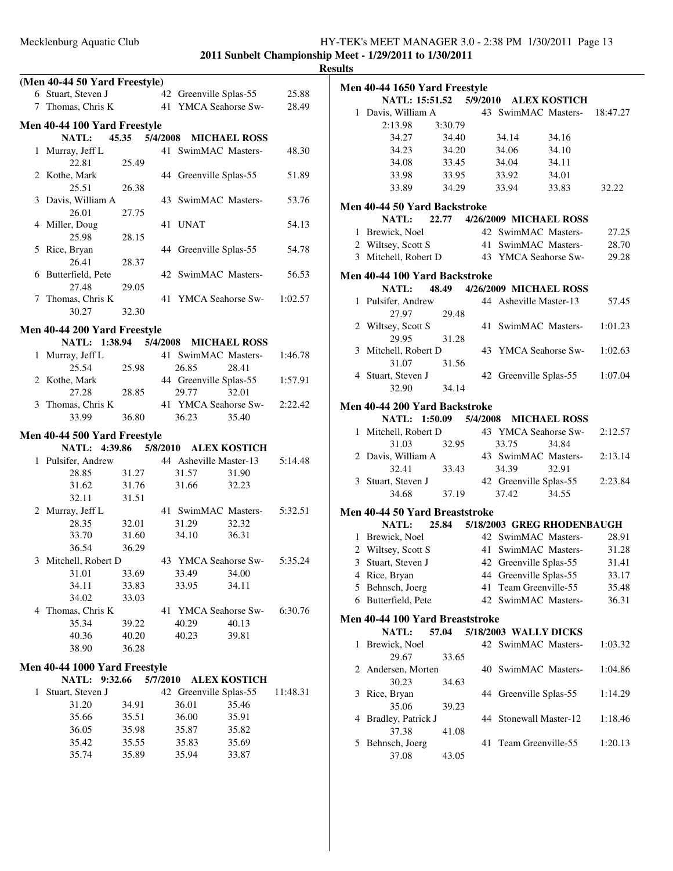|              |                                           |       |          |                        |                             |          | <b>Results</b> |
|--------------|-------------------------------------------|-------|----------|------------------------|-----------------------------|----------|----------------|
|              | (Men 40-44 50 Yard Freestyle)             |       |          |                        |                             |          | Me             |
|              | 6 Stuart, Steven J                        |       |          | 42 Greenville Splas-55 |                             | 25.88    |                |
|              | 7 Thomas, Chris K 41 YMCA Seahorse Sw-    |       |          |                        |                             | 28.49    |                |
|              | Men 40-44 100 Yard Freestyle              |       |          |                        |                             |          |                |
|              | <b>NATL:</b>                              |       |          |                        | 45.35 5/4/2008 MICHAEL ROSS |          |                |
|              | 1 Murray, Jeff L                          |       |          | 41 SwimMAC Masters-    |                             | 48.30    |                |
|              | 22.81                                     | 25.49 |          |                        |                             |          |                |
|              | 2 Kothe, Mark                             |       |          | 44 Greenville Splas-55 |                             | 51.89    |                |
|              | 25.51                                     | 26.38 |          |                        |                             |          |                |
|              | 3 Davis, William A                        |       |          |                        | 43 SwimMAC Masters-         | 53.76    |                |
|              | 26.01                                     | 27.75 |          |                        |                             |          | Me             |
|              | 4 Miller, Doug                            |       |          | 41 UNAT                |                             | 54.13    |                |
|              | 25.98                                     | 28.15 |          |                        |                             |          |                |
|              | 5 Rice, Bryan                             |       |          | 44 Greenville Splas-55 |                             | 54.78    |                |
|              | 26.41                                     | 28.37 |          |                        |                             |          |                |
|              | 6 Butterfield, Pete                       |       |          |                        | 42 SwimMAC Masters-         | 56.53    |                |
|              |                                           |       |          |                        |                             |          | Me             |
|              | 27.48                                     | 29.05 |          |                        | 41 YMCA Seahorse Sw-        |          |                |
|              | 7 Thomas, Chris K                         |       |          |                        |                             | 1:02.57  |                |
|              | 30.27                                     | 32.30 |          |                        |                             |          |                |
|              | <b>Men 40-44 200 Yard Freestyle</b>       |       |          |                        |                             |          |                |
|              | NATL: 1:38.94 5/4/2008 MICHAEL ROSS       |       |          |                        |                             |          |                |
|              | 1 Murray, Jeff L                          |       |          |                        | 41 SwimMAC Masters-         | 1:46.78  |                |
|              | 25.54                                     | 25.98 |          | 26.85                  | 28.41                       |          |                |
|              | 2 Kothe, Mark                             |       |          | 44 Greenville Splas-55 |                             | 1:57.91  |                |
|              | 27.28                                     | 28.85 |          | 29.77                  | 32.01                       |          |                |
|              | 3 Thomas, Chris K                         |       |          |                        | 41 YMCA Seahorse Sw-        | 2:22.42  | Me             |
|              | 33.99                                     | 36.80 |          | 36.23                  | 35.40                       |          |                |
|              |                                           |       |          |                        |                             |          |                |
|              | Men 40-44 500 Yard Freestyle              |       |          |                        |                             |          |                |
|              | NATL: 4:39.86 5/8/2010 ALEX KOSTICH       |       |          |                        |                             |          |                |
|              | 1 Pulsifer, Andrew 44 Asheville Master-13 |       |          |                        |                             | 5:14.48  |                |
|              | 28.85                                     | 31.27 |          | 31.57                  | 31.90                       |          |                |
|              | 31.62 31.76                               |       |          | 31.66                  | 32.23                       |          |                |
|              | 32.11                                     | 31.51 |          |                        |                             |          |                |
|              | 2 Murray, Jeff L                          |       |          |                        | 41 SwimMAC Masters-         | 5:32.51  | Me             |
|              | 28.35                                     | 32.01 |          | 31.29                  | 32.32                       |          |                |
|              | 33.70                                     | 31.60 |          | 34.10                  | 36.31                       |          |                |
|              | 36.54                                     | 36.29 |          |                        |                             |          |                |
|              | 3 Mitchell, Robert D                      |       |          | 43 YMCA Seahorse Sw-   |                             | 5:35.24  |                |
|              | 31.01                                     | 33.69 |          | 33.49                  | 34.00                       |          |                |
|              | 34.11                                     | 33.83 |          | 33.95                  | 34.11                       |          |                |
|              | 34.02                                     | 33.03 |          |                        |                             |          |                |
|              | 4 Thomas, Chris K                         |       |          | 41 YMCA Seahorse Sw-   |                             | 6:30.76  |                |
|              | 35.34                                     | 39.22 |          | 40.29                  | 40.13                       |          | Me             |
|              | 40.36                                     | 40.20 |          | 40.23                  | 39.81                       |          |                |
|              | 38.90                                     | 36.28 |          |                        |                             |          |                |
|              | Men 40-44 1000 Yard Freestyle             |       |          |                        |                             |          |                |
|              | <b>NATL:</b><br>9:32.66                   |       | 5/7/2010 |                        | <b>ALEX KOSTICH</b>         |          |                |
| $\mathbf{1}$ | Stuart, Steven J                          |       |          | 42 Greenville Splas-55 |                             | 11:48.31 |                |
|              | 31.20                                     |       |          |                        | 35.46                       |          |                |
|              |                                           | 34.91 |          | 36.01                  |                             |          |                |
|              | 35.66                                     | 35.51 |          | 36.00                  | 35.91                       |          |                |
|              | 36.05                                     | 35.98 |          | 35.87                  | 35.82                       |          |                |
|              | 35.42                                     | 35.55 |          | 35.83                  | 35.69                       |          |                |
|              | 35.74                                     | 35.89 |          | 35.94                  | 33.87                       |          |                |

|                                                                     | Men 40-44 1650 Yard Freestyle   |         |    |       |                                              |          |  |  |  |  |  |
|---------------------------------------------------------------------|---------------------------------|---------|----|-------|----------------------------------------------|----------|--|--|--|--|--|
|                                                                     |                                 |         |    |       | NATL: 15:51.52 5/9/2010 ALEX KOSTICH         |          |  |  |  |  |  |
|                                                                     | 1 Davis, William A              |         |    |       | 43 SwimMAC Masters-                          | 18:47.27 |  |  |  |  |  |
|                                                                     | 2:13.98                         | 3:30.79 |    |       |                                              |          |  |  |  |  |  |
|                                                                     | 34.27                           | 34.40   |    | 34.14 | 34.16                                        |          |  |  |  |  |  |
|                                                                     | 34.23                           | 34.20   |    | 34.06 | 34.10                                        |          |  |  |  |  |  |
|                                                                     | 34.08                           | 33.45   |    | 34.04 | 34.11                                        |          |  |  |  |  |  |
|                                                                     | 33.98                           | 33.95   |    | 33.92 | 34.01                                        |          |  |  |  |  |  |
|                                                                     | 33.89                           | 34.29   |    | 33.94 | 33.83                                        | 32.22    |  |  |  |  |  |
|                                                                     | Men 40-44 50 Yard Backstroke    |         |    |       |                                              |          |  |  |  |  |  |
|                                                                     | <b>NATL:</b>                    |         |    |       | 22.77 4/26/2009 MICHAEL ROSS                 |          |  |  |  |  |  |
|                                                                     | 1 Brewick, Noel                 |         |    |       | 42 SwimMAC Masters-                          | 27.25    |  |  |  |  |  |
|                                                                     | 2 Wiltsey, Scott S              |         |    |       | 41 SwimMAC Masters-                          | 28.70    |  |  |  |  |  |
|                                                                     | 3 Mitchell, Robert D            |         |    |       | 43 YMCA Seahorse Sw-                         | 29.28    |  |  |  |  |  |
|                                                                     |                                 |         |    |       |                                              |          |  |  |  |  |  |
| Men 40-44 100 Yard Backstroke<br>NATL: 48.49 4/26/2009 MICHAEL ROSS |                                 |         |    |       |                                              |          |  |  |  |  |  |
|                                                                     |                                 |         |    |       |                                              |          |  |  |  |  |  |
|                                                                     | 1 Pulsifer, Andrew              |         |    |       | 44 Asheville Master-13                       | 57.45    |  |  |  |  |  |
|                                                                     | 27.97                           | 29.48   |    |       |                                              |          |  |  |  |  |  |
|                                                                     | 2 Wiltsey, Scott S              |         | 41 |       | SwimMAC Masters-                             | 1:01.23  |  |  |  |  |  |
|                                                                     | 29.95                           | 31.28   |    |       |                                              |          |  |  |  |  |  |
|                                                                     | 3 Mitchell, Robert D            |         |    |       | 43 YMCA Seahorse Sw-                         | 1:02.63  |  |  |  |  |  |
|                                                                     | 31.07                           | 31.56   |    |       |                                              |          |  |  |  |  |  |
|                                                                     | 4 Stuart, Steven J              |         |    |       | 42 Greenville Splas-55                       | 1:07.04  |  |  |  |  |  |
|                                                                     | 32.90                           | 34.14   |    |       |                                              |          |  |  |  |  |  |
|                                                                     | Men 40-44 200 Yard Backstroke   |         |    |       |                                              |          |  |  |  |  |  |
|                                                                     | NATL: 1:50.09 5/4/2008          |         |    |       | <b>MICHAEL ROSS</b>                          |          |  |  |  |  |  |
|                                                                     | 1 Mitchell, Robert D            |         |    |       | 43 YMCA Seahorse Sw-                         | 2:12.57  |  |  |  |  |  |
|                                                                     | 31.03                           | 32.95   |    | 33.75 | 34.84                                        |          |  |  |  |  |  |
|                                                                     | 2 Davis, William A              |         |    |       | 43 SwimMAC Masters-                          | 2:13.14  |  |  |  |  |  |
|                                                                     | 32.41                           | 33.43   |    | 34.39 | 32.91                                        |          |  |  |  |  |  |
|                                                                     | 3 Stuart, Steven J              |         |    |       | 42 Greenville Splas-55                       | 2:23.84  |  |  |  |  |  |
|                                                                     | 34.68                           | 37.19   |    | 37.42 | 34.55                                        |          |  |  |  |  |  |
|                                                                     | Men 40-44 50 Yard Breaststroke  |         |    |       |                                              |          |  |  |  |  |  |
|                                                                     |                                 |         |    |       | NATL: 25.84 5/18/2003 GREG RHODENBAUGH       |          |  |  |  |  |  |
|                                                                     | 1 Brewick, Noel                 |         |    |       | 42 SwimMAC Masters-                          | 28.91    |  |  |  |  |  |
|                                                                     | 2 Wiltsey, Scott S              |         |    |       | 41 SwimMAC Masters-                          | 31.28    |  |  |  |  |  |
|                                                                     | 3 Stuart, Steven J              |         |    |       | 42 Greenville Splas-55                       | 31.41    |  |  |  |  |  |
|                                                                     | 4 Rice, Bryan                   |         |    |       |                                              | 33.17    |  |  |  |  |  |
| 5                                                                   | Behnsch, Joerg                  |         | 41 |       | 44 Greenville Splas-55<br>Team Greenville-55 | 35.48    |  |  |  |  |  |
| 6                                                                   | Butterfield, Pete               |         |    |       | 42 SwimMAC Masters-                          | 36.31    |  |  |  |  |  |
|                                                                     |                                 |         |    |       |                                              |          |  |  |  |  |  |
|                                                                     | Men 40-44 100 Yard Breaststroke |         |    |       |                                              |          |  |  |  |  |  |
|                                                                     | NATL:                           | 57.04   |    |       | 5/18/2003 WALLY DICKS                        |          |  |  |  |  |  |
| 1                                                                   | Brewick, Noel                   |         |    |       | 42 SwimMAC Masters-                          | 1:03.32  |  |  |  |  |  |
|                                                                     | 29.67                           | 33.65   |    |       |                                              |          |  |  |  |  |  |
|                                                                     | 2 Andersen, Morten              |         |    |       | 40 SwimMAC Masters-                          | 1:04.86  |  |  |  |  |  |
|                                                                     | 30.23                           | 34.63   |    |       |                                              |          |  |  |  |  |  |
| 3                                                                   | Rice, Bryan                     |         |    |       | 44 Greenville Splas-55                       | 1:14.29  |  |  |  |  |  |
|                                                                     | 35.06                           | 39.23   |    |       |                                              |          |  |  |  |  |  |
| 4                                                                   | Bradley, Patrick J              |         |    |       | 44 Stonewall Master-12                       | 1:18.46  |  |  |  |  |  |
|                                                                     | 37.38                           | 41.08   |    |       |                                              |          |  |  |  |  |  |
| 5                                                                   | Behnsch, Joerg                  |         | 41 |       | Team Greenville-55                           | 1:20.13  |  |  |  |  |  |
|                                                                     | 37.08                           | 43.05   |    |       |                                              |          |  |  |  |  |  |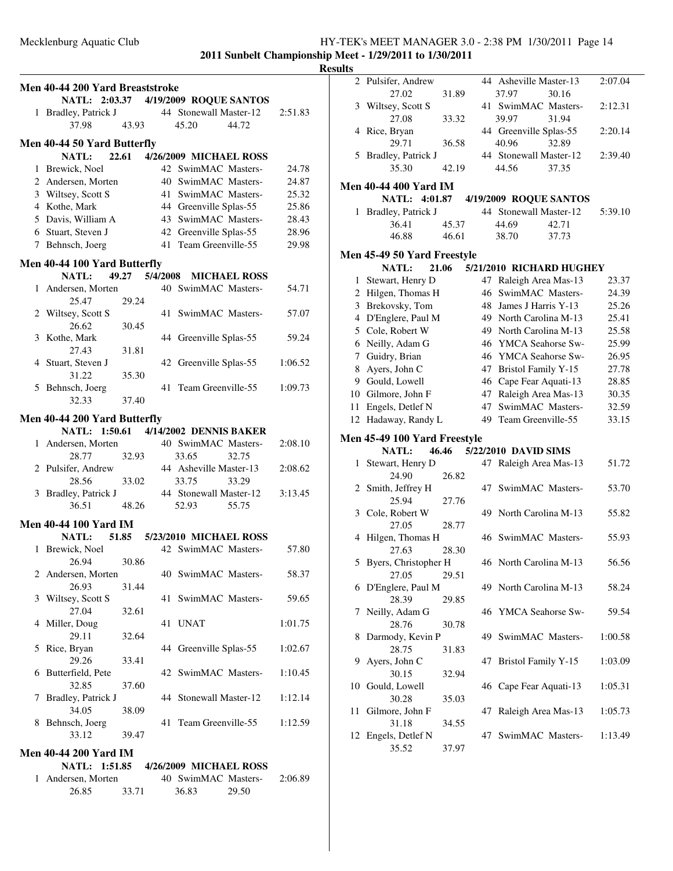**2011 Sunbelt Championship Meet - 1/29/2011 to 1/30/2011**

|   |                                        |       |                                                     |                       |         | <b>Results</b>       |
|---|----------------------------------------|-------|-----------------------------------------------------|-----------------------|---------|----------------------|
|   | Men 40-44 200 Yard Breaststroke        |       |                                                     |                       |         |                      |
|   | NATL: 2:03.37 4/19/2009 ROQUE SANTOS   |       |                                                     |                       |         |                      |
|   | 1 Bradley, Patrick J                   |       | 44 Stonewall Master-12                              |                       | 2:51.83 |                      |
|   | 37.98                                  | 43.93 | 45.20                                               | 44.72                 |         |                      |
|   |                                        |       |                                                     |                       |         |                      |
|   | Men 40-44 50 Yard Butterfly<br>NATL:   |       |                                                     |                       |         |                      |
|   |                                        |       | 22.61 4/26/2009 MICHAEL ROSS<br>42 SwimMAC Masters- |                       |         |                      |
|   | 1 Brewick, Noel                        |       | 40 SwimMAC Masters-                                 |                       | 24.78   |                      |
|   | 2 Andersen, Morten                     |       |                                                     |                       | 24.87   | Mei                  |
|   | 3 Wiltsey, Scott S<br>4 Kothe, Mark    |       | 41 SwimMAC Masters-<br>44 Greenville Splas-55       |                       | 25.32   |                      |
|   |                                        |       | 43 SwimMAC Masters-                                 |                       | 25.86   |                      |
|   | 5 Davis, William A                     |       | 43 SWIMMAC $\frac{1}{2}$<br>42 Greenville Splas-55  |                       | 28.43   |                      |
|   | 6 Stuart, Steven J                     |       | 41 Team Greenville-55                               |                       | 28.96   |                      |
|   | 7 Behnsch, Joerg                       |       |                                                     |                       | 29.98   | Mei                  |
|   | Men 40-44 100 Yard Butterfly           |       |                                                     |                       |         |                      |
|   | <b>NATL:</b>                           |       | 49.27 5/4/2008 MICHAEL ROSS                         |                       |         |                      |
|   | 1 Andersen, Morten 40 SwimMAC Masters- |       |                                                     |                       | 54.71   |                      |
|   | 25.47                                  | 29.24 |                                                     |                       |         | Î                    |
|   | 2 Wiltsey, Scott S                     |       | 41 SwimMAC Masters-                                 |                       | 57.07   |                      |
|   | 26.62                                  | 30.45 |                                                     |                       |         |                      |
|   | 3 Kothe, Mark                          |       | 44 Greenville Splas-55                              |                       | 59.24   | $\epsilon$           |
|   | 27.43                                  | 31.81 |                                                     |                       |         |                      |
|   | 4 Stuart, Steven J                     |       | 42 Greenville Splas-55                              |                       | 1:06.52 | ξ                    |
|   | 31.22                                  | 35.30 |                                                     |                       |         | $\tilde{\mathbf{c}}$ |
|   | 5 Behnsch, Joerg                       |       |                                                     | 41 Team Greenville-55 | 1:09.73 | 1(                   |
|   | 32.33                                  | 37.40 |                                                     |                       |         | 11                   |
|   | Men 40-44 200 Yard Butterfly           |       |                                                     |                       |         | 12                   |
|   | NATL: 1:50.61 4/14/2002 DENNIS BAKER   |       |                                                     |                       |         |                      |
|   | 1 Andersen, Morten                     |       |                                                     | 40 SwimMAC Masters-   | 2:08.10 | Mei                  |
|   | 28.77                                  | 32.93 | 33.65                                               | 32.75                 |         |                      |
|   | 2 Pulsifer, Andrew                     |       | 44 Asheville Master-13                              |                       | 2:08.62 |                      |
|   | 28.56                                  | 33.02 | 33.75                                               | 33.29                 |         |                      |
|   | 3 Bradley, Patrick J                   |       | 44 Stonewall Master-12                              |                       | 3:13.45 |                      |
|   | 36.51                                  | 48.26 | 52.93                                               | 55.75                 |         |                      |
|   |                                        |       |                                                     |                       |         |                      |
|   | Men 40-44 100 Yard IM                  |       |                                                     |                       |         |                      |
|   | NATL: 51.85                            |       | 5/23/2010 MICHAEL ROSS                              |                       |         |                      |
|   | 1 Brewick, Noel                        |       | 42 SwimMAC Masters-                                 |                       | 57.80   |                      |
|   | 26.94                                  | 30.86 |                                                     |                       |         |                      |
|   | 2 Andersen, Morten                     |       | 40 SwimMAC Masters-                                 |                       | 58.37   |                      |
|   | 26.93                                  | 31.44 |                                                     |                       |         |                      |
| 3 | Wiltsey, Scott S                       |       | 41 SwimMAC Masters-                                 |                       | 59.65   |                      |
|   | 27.04                                  | 32.61 |                                                     |                       |         |                      |
| 4 | Miller, Doug                           |       | 41 UNAT                                             |                       | 1:01.75 |                      |
|   | 29.11                                  | 32.64 |                                                     |                       |         | ξ                    |
| 5 | Rice, Bryan                            |       | 44 Greenville Splas-55                              |                       | 1:02.67 |                      |
|   | 29.26                                  | 33.41 |                                                     |                       |         | Ç                    |
|   | 6 Butterfield, Pete                    |       | 42 SwimMAC Masters-                                 |                       | 1:10.45 |                      |
|   | 32.85                                  | 37.60 |                                                     |                       |         | 10                   |
| 7 | Bradley, Patrick J                     |       | 44 Stonewall Master-12                              |                       | 1:12.14 |                      |
|   | 34.05                                  | 38.09 | 41 Team Greenville-55                               |                       |         | 11                   |
|   | 8 Behnsch, Joerg<br>33.12              |       |                                                     |                       | 1:12.59 |                      |
|   |                                        | 39.47 |                                                     |                       |         | 12                   |
|   | <b>Men 40-44 200 Yard IM</b>           |       |                                                     |                       |         |                      |
|   | NATL: 1:51.85                          |       | 4/26/2009 MICHAEL ROSS                              |                       |         |                      |
|   | 1 Andersen, Morten                     |       | 40 SwimMAC Masters-                                 |                       | 2:06.89 |                      |

26.85 33.71 36.83 29.50

| ults         |                                              |       |    |                            |       |         |
|--------------|----------------------------------------------|-------|----|----------------------------|-------|---------|
|              | 2 Pulsifer, Andrew                           |       |    | 44 Asheville Master-13     |       | 2:07.04 |
|              | 27.02                                        | 31.89 |    | 37.97                      | 30.16 |         |
|              | 3 Wiltsey, Scott S                           |       |    | 41 SwimMAC Masters-        |       | 2:12.31 |
|              | 27.08                                        | 33.32 |    | 39.97                      | 31.94 |         |
|              | 4 Rice, Bryan                                |       |    | 44 Greenville Splas-55     |       | 2:20.14 |
|              | 29.71                                        | 36.58 |    | 40.96                      | 32.89 |         |
|              | 5 Bradley, Patrick J                         |       |    | 44 Stonewall Master-12     |       | 2:39.40 |
|              | 35.30                                        | 42.19 |    | 44.56                      | 37.35 |         |
|              | <b>Men 40-44 400 Yard IM</b>                 |       |    |                            |       |         |
|              | <b>NATL:</b><br>4:01.87                      |       |    | 4/19/2009 ROQUE SANTOS     |       |         |
|              | 1 Bradley, Patrick J                         |       |    | 44 Stonewall Master-12     |       | 5:39.10 |
|              | 36.41                                        | 45.37 |    | 44.69                      | 42.71 |         |
|              | 46.88                                        | 46.61 |    | 38.70                      | 37.73 |         |
|              | Men 45-49 50 Yard Freestyle                  |       |    |                            |       |         |
|              | 21.06<br><b>NATL:</b>                        |       |    | 5/21/2010 RICHARD HUGHEY   |       |         |
| $\mathbf{1}$ | Stewart, Henry D                             |       | 47 | Raleigh Area Mas-13        |       | 23.37   |
|              | 2 Hilgen, Thomas H                           |       | 46 | SwimMAC Masters-           |       | 24.39   |
|              | 3 Brekovsky, Tom                             |       | 48 | James J Harris Y-13        |       | 25.26   |
|              | 4 D'Englere, Paul M                          |       |    | 49 North Carolina M-13     |       | 25.41   |
|              | 5 Cole, Robert W                             |       |    | 49 North Carolina M-13     |       | 25.58   |
|              | 6 Neilly, Adam G                             |       |    | 46 YMCA Seahorse Sw-       |       | 25.99   |
|              | 7 Guidry, Brian                              |       |    | 46 YMCA Seahorse Sw-       |       | 26.95   |
| 8            | Ayers, John C                                |       |    | 47 Bristol Family Y-15     |       | 27.78   |
|              | 9 Gould, Lowell                              |       |    | 46 Cape Fear Aquati-13     |       | 28.85   |
|              | 10 Gilmore, John F                           |       | 47 | Raleigh Area Mas-13        |       | 30.35   |
| 11           | Engels, Detlef N                             |       | 47 | SwimMAC Masters-           |       | 32.59   |
|              | 12 Hadaway, Randy L                          |       |    | 49 Team Greenville-55      |       | 33.15   |
|              |                                              |       |    |                            |       |         |
|              | Men 45-49 100 Yard Freestyle<br><b>NATL:</b> | 46.46 |    | 5/22/2010 DAVID SIMS       |       |         |
| 1            | Stewart, Henry D                             |       |    | 47 Raleigh Area Mas-13     |       | 51.72   |
|              | 24.90                                        | 26.82 |    |                            |       |         |
|              | 2 Smith, Jeffrey H                           |       | 47 | SwimMAC Masters-           |       | 53.70   |
|              | 25.94                                        | 27.76 |    |                            |       |         |
|              | 3 Cole, Robert W                             |       |    | 49 North Carolina M-13     |       | 55.82   |
|              | 27.05                                        | 28.77 |    |                            |       |         |
|              | 4 Hilgen, Thomas H                           |       |    | 46 SwimMAC Masters-        |       | 55.93   |
|              | 27.63                                        | 28.30 |    |                            |       |         |
| 5            | Byers, Christopher H                         |       |    | 46 North Carolina M-13     |       | 56.56   |
|              | 27.05                                        | 29.51 |    |                            |       |         |
|              | 6 D'Englere, Paul M                          |       |    | 49 North Carolina M-13     |       | 58.24   |
|              | 28.39                                        | 29.85 |    |                            |       |         |
| 7            | Neilly, Adam G                               |       | 46 | YMCA Seahorse Sw-          |       | 59.54   |
|              | 28.76                                        | 30.78 |    |                            |       |         |
| 8            | Darmody, Kevin P                             |       | 49 | SwimMAC Masters-           |       | 1:00.58 |
|              | 28.75                                        | 31.83 |    |                            |       |         |
|              | 9 Ayers, John C                              |       | 47 | <b>Bristol Family Y-15</b> |       | 1:03.09 |
|              | 30.15<br>Gould, Lowell                       | 32.94 |    | 46 Cape Fear Aquati-13     |       |         |
| 10           | 30.28                                        |       |    |                            |       | 1:05.31 |
| 11           | Gilmore, John F                              | 35.03 | 47 | Raleigh Area Mas-13        |       | 1:05.73 |
|              | 31.18                                        | 34.55 |    |                            |       |         |
| 12           | Engels, Detlef N                             |       | 47 | SwimMAC Masters-           |       | 1:13.49 |
|              | 35.52                                        | 37.97 |    |                            |       |         |
|              |                                              |       |    |                            |       |         |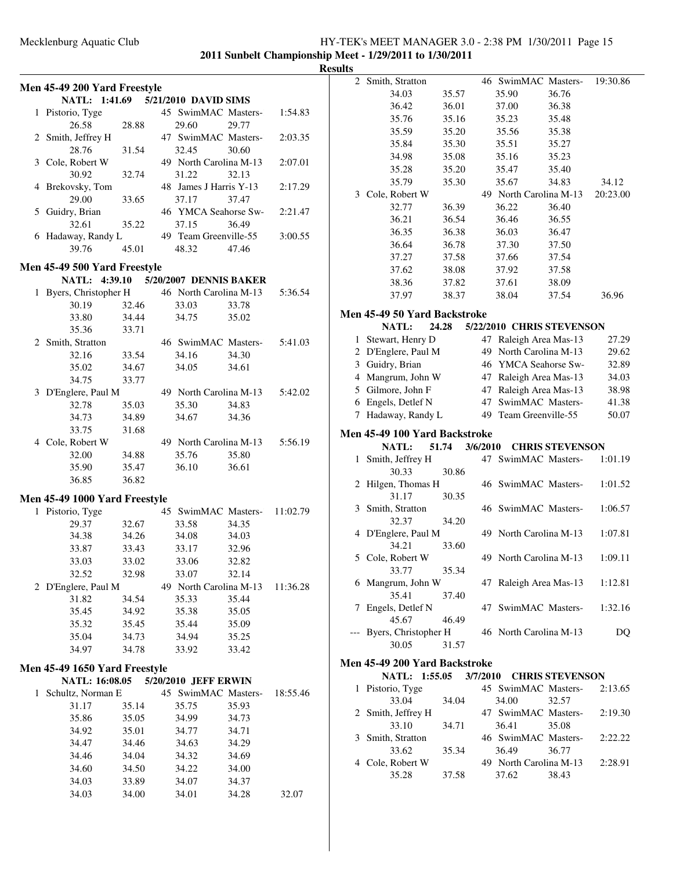### Mecklenburg Aquatic Club HY-TEK's MEET MANAGER 3.0 - 2:38 PM 1/30/2011 Page 15 **2011 Sunbelt Championship Meet - 1/29/2011 to 1/30/2011**

**Results**

|                               |                |                        |                |          | 2 Smith, Stratton             |       |          |       | 46 SwimMAC Masters-       | 19:30.86 |
|-------------------------------|----------------|------------------------|----------------|----------|-------------------------------|-------|----------|-------|---------------------------|----------|
| Men 45-49 200 Yard Freestyle  |                |                        |                |          | 34.03                         | 35.57 |          | 35.90 | 36.76                     |          |
| NATL: 1:41.69                 |                | 5/21/2010 DAVID SIMS   |                |          | 36.42                         | 36.01 |          | 37.00 | 36.38                     |          |
| 1 Pistorio, Tyge              |                | 45 SwimMAC Masters-    |                | 1:54.83  | 35.76                         | 35.16 |          | 35.23 | 35.48                     |          |
| 26.58                         | 28.88          | 29.60                  | 29.77          |          | 35.59                         | 35.20 |          | 35.56 | 35.38                     |          |
| 2 Smith, Jeffrey H            |                | 47 SwimMAC Masters-    |                | 2:03.35  | 35.84                         | 35.30 |          | 35.51 | 35.27                     |          |
| 28.76                         | 31.54          | 32.45                  | 30.60          |          | 34.98                         | 35.08 |          | 35.16 | 35.23                     |          |
| 3 Cole, Robert W              |                | 49 North Carolina M-13 |                | 2:07.01  | 35.28                         | 35.20 |          | 35.47 | 35.40                     |          |
| 30.92                         | 32.74          | 31.22                  | 32.13          |          | 35.79                         | 35.30 |          | 35.67 | 34.83                     | 34.12    |
| 4 Brekovsky, Tom              |                | 48 James J Harris Y-13 |                | 2:17.29  | 3 Cole, Robert W              |       |          |       | 49 North Carolina M-13    | 20:23.00 |
| 29.00                         | 33.65          | 37.17                  | 37.47          |          | 32.77                         | 36.39 |          | 36.22 | 36.40                     |          |
| 5 Guidry, Brian               |                | 46 YMCA Seahorse Sw-   |                | 2:21.47  | 36.21                         | 36.54 |          | 36.46 | 36.55                     |          |
| 32.61                         | 35.22          | 37.15                  | 36.49          |          | 36.35                         | 36.38 |          | 36.03 | 36.47                     |          |
| 6 Hadaway, Randy L            |                | 49 Team Greenville-55  |                | 3:00.55  |                               |       |          |       |                           |          |
| 39.76                         | 45.01          | 48.32                  | 47.46          |          | 36.64                         | 36.78 |          | 37.30 | 37.50                     |          |
| Men 45-49 500 Yard Freestyle  |                |                        |                |          | 37.27                         | 37.58 |          | 37.66 | 37.54                     |          |
| NATL: 4:39.10                 |                | 5/20/2007 DENNIS BAKER |                |          | 37.62                         | 38.08 |          | 37.92 | 37.58                     |          |
| 1 Byers, Christopher H        |                | 46 North Carolina M-13 |                | 5:36.54  | 38.36                         | 37.82 |          | 37.61 | 38.09                     |          |
| 30.19                         | 32.46          | 33.03                  | 33.78          |          | 37.97                         | 38.37 |          | 38.04 | 37.54                     | 36.96    |
| 33.80                         | 34.44          | 34.75                  | 35.02          |          | Men 45-49 50 Yard Backstroke  |       |          |       |                           |          |
| 35.36                         | 33.71          |                        |                |          | NATL:                         | 24.28 |          |       | 5/22/2010 CHRIS STEVENSON |          |
| 2 Smith, Stratton             |                | 46 SwimMAC Masters-    |                | 5:41.03  | 1 Stewart, Henry D            |       |          |       | 47 Raleigh Area Mas-13    | 27.29    |
| 32.16                         | 33.54          | 34.16                  | 34.30          |          | 2 D'Englere, Paul M           |       |          |       | 49 North Carolina M-13    | 29.62    |
| 35.02                         | 34.67          | 34.05                  | 34.61          |          | 3 Guidry, Brian               |       |          |       | 46 YMCA Seahorse Sw-      | 32.89    |
| 34.75                         | 33.77          |                        |                |          | 4 Mangrum, John W             |       |          |       | 47 Raleigh Area Mas-13    | 34.03    |
| 3 D'Englere, Paul M           |                | 49 North Carolina M-13 |                | 5:42.02  | 5 Gilmore, John F             |       |          |       | 47 Raleigh Area Mas-13    | 38.98    |
| 32.78                         | 35.03          | 35.30                  | 34.83          |          | 6 Engels, Detlef N            |       |          |       | 47 SwimMAC Masters-       | 41.38    |
| 34.73                         | 34.89          | 34.67                  | 34.36          |          | 7 Hadaway, Randy L            |       |          |       | 49 Team Greenville-55     | 50.07    |
| 33.75                         | 31.68          |                        |                |          |                               |       |          |       |                           |          |
| 4 Cole, Robert W              |                | 49 North Carolina M-13 |                | 5:56.19  | Men 45-49 100 Yard Backstroke |       |          |       |                           |          |
|                               |                |                        |                |          | NATL:                         | 51.74 | 3/6/2010 |       | <b>CHRIS STEVENSON</b>    |          |
| 32.00<br>35.90                | 34.88<br>35.47 | 35.76<br>36.10         | 35.80<br>36.61 |          | 1 Smith, Jeffrey H            |       |          |       | 47 SwimMAC Masters-       | 1:01.19  |
| 36.85                         | 36.82          |                        |                |          | 30.33                         | 30.86 |          |       |                           |          |
|                               |                |                        |                |          | 2 Hilgen, Thomas H            |       |          |       | 46 SwimMAC Masters-       | 1:01.52  |
| Men 45-49 1000 Yard Freestyle |                |                        |                |          | 31.17                         | 30.35 |          |       |                           |          |
| 1 Pistorio, Tyge              |                | 45 SwimMAC Masters-    |                | 11:02.79 | 3 Smith, Stratton             |       |          |       | 46 SwimMAC Masters-       | 1:06.57  |
| 29.37                         | 32.67          | 33.58                  | 34.35          |          | 32.37                         | 34.20 |          |       |                           |          |
| 34.38                         | 34.26          | 34.08                  | 34.03          |          | 4 D'Englere, Paul M           |       |          |       | 49 North Carolina M-13    | 1:07.81  |
| 33.87                         | 33.43          | 33.17                  | 32.96          |          | 34.21                         | 33.60 |          |       |                           |          |
| 33.03                         | 33.02          | 33.06                  | 32.82          |          | 5 Cole, Robert W              |       |          |       | 49 North Carolina M-13    | 1:09.11  |
| 32.52                         | 32.98          | 33.07                  | 32.14          |          | 33.77                         | 35.34 |          |       |                           |          |
| 2 D'Englere, Paul M           |                | 49 North Carolina M-13 |                | 11:36.28 | 6 Mangrum, John W             |       |          |       | 47 Raleigh Area Mas-13    | 1:12.81  |
| 31.82                         | 34.54          | 35.33                  | 35.44          |          | 35.41                         | 37.40 |          |       |                           |          |
| 35.45                         | 34.92          | 35.38                  | 35.05          |          | 7 Engels, Detlef N            |       |          |       | 47 SwimMAC Masters-       | 1:32.16  |
| 35.32                         | 35.45          | 35.44                  | 35.09          |          | 45.67                         | 46.49 |          |       |                           |          |
| 35.04                         | 34.73          | 34.94                  | 35.25          |          | --- Byers, Christopher H      |       |          |       | 46 North Carolina M-13    | DQ       |
| 34.97                         | 34.78          | 33.92                  | 33.42          |          | 30.05                         | 31.57 |          |       |                           |          |
| Men 45-49 1650 Yard Freestyle |                |                        |                |          | Men 45-49 200 Yard Backstroke |       |          |       |                           |          |
| NATL: 16:08.05                |                | 5/20/2010 JEFF ERWIN   |                |          | NATL: 1:55.05                 |       | 3/7/2010 |       | <b>CHRIS STEVENSON</b>    |          |
| 1 Schultz, Norman E           |                | 45 SwimMAC Masters-    |                | 18:55.46 | 1 Pistorio, Tyge              |       |          |       | 45 SwimMAC Masters-       | 2:13.65  |
| 31.17                         | 35.14          | 35.75                  | 35.93          |          | 33.04                         | 34.04 |          | 34.00 | 32.57                     |          |
| 35.86                         | 35.05          | 34.99                  | 34.73          |          | 2 Smith, Jeffrey H            |       |          |       | 47 SwimMAC Masters-       | 2:19.30  |
| 34.92                         | 35.01          | 34.77                  | 34.71          |          | 33.10                         | 34.71 |          | 36.41 | 35.08                     |          |
| 34.47                         | 34.46          | 34.63                  | 34.29          |          | 3 Smith, Stratton             |       |          |       | 46 SwimMAC Masters-       | 2:22.22  |
| 34.46                         | 34.04          |                        |                |          | 33.62                         | 35.34 |          | 36.49 | 36.77                     |          |
|                               |                | 34.32                  | 34.69          |          | 4 Cole, Robert W              |       |          |       | 49 North Carolina M-13    | 2:28.91  |
| 34.60                         | 34.50          | 34.22                  | 34.00          |          | 35.28                         | 37.58 |          | 37.62 | 38.43                     |          |
| 34.03                         | 33.89          | 34.07                  | 34.37          |          |                               |       |          |       |                           |          |
| 34.03                         | 34.00          | 34.01                  | 34.28          | 32.07    |                               |       |          |       |                           |          |
|                               |                |                        |                |          |                               |       |          |       |                           |          |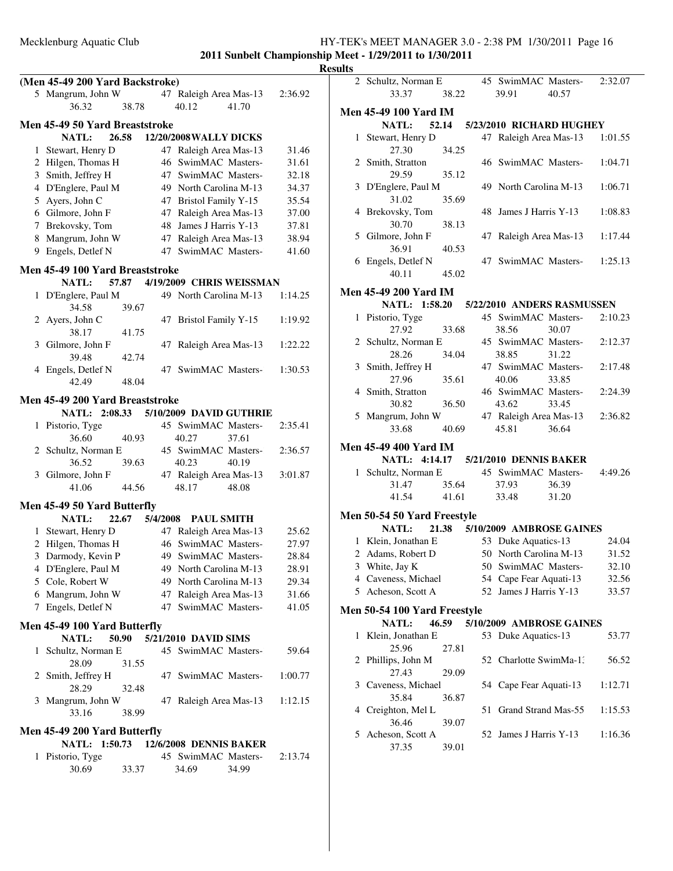|              | (Men 45-49 200 Yard Backstroke)               |       |          |                               |       |                |
|--------------|-----------------------------------------------|-------|----------|-------------------------------|-------|----------------|
|              | 5 Mangrum, John W                             |       |          | 47 Raleigh Area Mas-13        |       | 2:36.92        |
|              | 36.32                                         | 38.78 |          | 40.12                         | 41.70 |                |
|              | Men 45-49 50 Yard Breaststroke                |       |          |                               |       |                |
|              | <b>NATL:</b>                                  | 26.58 |          | <b>12/20/2008 WALLY DICKS</b> |       |                |
| 1            | Stewart, Henry D                              |       |          | 47 Raleigh Area Mas-13        |       | 31.46          |
|              | 2 Hilgen, Thomas H                            |       | 46       | SwimMAC Masters-              |       | 31.61          |
|              | 3 Smith, Jeffrey H                            |       | 47       | SwimMAC Masters-              |       | 32.18          |
|              | 4 D'Englere, Paul M                           |       |          | 49 North Carolina M-13        |       | 34.37          |
|              | 5 Ayers, John C                               |       | 47       | <b>Bristol Family Y-15</b>    |       | 35.54          |
|              | 6 Gilmore, John F                             |       | 47       | Raleigh Area Mas-13           |       | 37.00          |
|              | 7 Brekovsky, Tom                              |       | 48       | James J Harris Y-13           |       | 37.81          |
|              | 8 Mangrum, John W                             |       | 47       | Raleigh Area Mas-13           |       | 38.94          |
|              | 9 Engels, Detlef N                            |       | 47       | SwimMAC Masters-              |       | 41.60          |
|              |                                               |       |          |                               |       |                |
|              | Men 45-49 100 Yard Breaststroke               |       |          |                               |       |                |
|              | <b>NATL:</b>                                  | 57.87 |          | 4/19/2009 CHRIS WEISSMAN      |       |                |
| 1            | D'Englere, Paul M                             |       |          | 49 North Carolina M-13        |       | 1:14.25        |
|              | 34.58                                         | 39.67 |          |                               |       |                |
|              | 2 Ayers, John C                               |       | 47       | <b>Bristol Family Y-15</b>    |       | 1:19.92        |
|              | 38.17                                         | 41.75 |          |                               |       |                |
| 3            | Gilmore, John F                               |       | 47       | Raleigh Area Mas-13           |       | 1:22.22        |
|              | 39.48                                         | 42.74 |          |                               |       |                |
|              | 4 Engels, Detlef N                            |       |          | 47 SwimMAC Masters-           |       | 1:30.53        |
|              | 42.49                                         | 48.04 |          |                               |       |                |
|              | Men 45-49 200 Yard Breaststroke               |       |          |                               |       |                |
|              | NATL: 2:08.33                                 |       |          | 5/10/2009 DAVID GUTHRIE       |       |                |
| 1            | Pistorio, Tyge                                |       |          | 45 SwimMAC Masters-           |       | 2:35.41        |
|              | 36.60                                         | 40.93 |          | 40.27                         | 37.61 |                |
|              | 2 Schultz, Norman E                           |       |          | 45 SwimMAC Masters-           |       | 2:36.57        |
|              | 36.52                                         | 39.63 |          | 40.23                         | 40.19 |                |
|              | 3 Gilmore, John F                             |       |          | 47 Raleigh Area Mas-13        |       | 3:01.87        |
|              | 41.06                                         | 44.56 |          | 48.17                         | 48.08 |                |
|              |                                               |       |          |                               |       |                |
|              | Men 45-49 50 Yard Butterfly                   |       |          |                               |       |                |
|              | <b>NATL:</b>                                  | 22.67 | 5/4/2008 | <b>PAUL SMITH</b>             |       |                |
|              | 1 Stewart, Henry D                            |       |          | 47 Raleigh Area Mas-13        |       | 25.62<br>27.97 |
|              | 2 Hilgen, Thomas H                            |       |          | 46 SwimMAC Masters-           |       |                |
|              | 3 Darmody, Kevin P                            |       |          | 49 SwimMAC Masters-           |       | 28.84          |
|              | 4 D'Englere, Paul M                           |       |          | 49 North Carolina M-13        |       | 28.91          |
|              | 5 Cole, Robert W                              |       |          | 49 North Carolina M-13        |       | 29.34          |
|              | 6 Mangrum, John W                             |       |          | 47 Raleigh Area Mas-13        |       | 31.66          |
|              | 7 Engels, Detlef N                            |       |          | 47 SwimMAC Masters-           |       | 41.05          |
|              | Men 45-49 100 Yard Butterfly                  |       |          |                               |       |                |
|              | <b>NATL:</b>                                  | 50.90 |          | 5/21/2010 DAVID SIMS          |       |                |
| $\mathbf{1}$ | Schultz, Norman E                             |       |          | 45 SwimMAC Masters-           |       | 59.64          |
|              | 28.09                                         | 31.55 |          |                               |       |                |
|              | 2 Smith, Jeffrey H                            |       |          | 47 SwimMAC Masters-           |       | 1:00.77        |
|              | 28.29                                         | 32.48 |          |                               |       |                |
|              | 3 Mangrum, John W                             |       |          | 47 Raleigh Area Mas-13        |       | 1:12.15        |
|              | 33.16                                         | 38.99 |          |                               |       |                |
|              |                                               |       |          |                               |       |                |
|              | Men 45-49 200 Yard Butterfly<br>NATL: 1:50.73 |       |          | 12/6/2008 DENNIS BAKER        |       |                |
| 1            | Pistorio, Tyge                                |       |          | 45 SwimMAC Masters-           |       | 2:13.74        |
|              | 30.69                                         | 33.37 |          | 34.69                         | 34.99 |                |
|              |                                               |       |          |                               |       |                |

| <b>Results</b> |   |                                                |       |    |                                |       |         |
|----------------|---|------------------------------------------------|-------|----|--------------------------------|-------|---------|
|                |   | 2 Schultz, Norman E 45 SwimMAC Masters-2:32.07 |       |    |                                |       |         |
|                |   | 33.37                                          | 38.22 |    | 39.91                          | 40.57 |         |
|                |   | <b>Men 45-49 100 Yard IM</b>                   |       |    |                                |       |         |
|                |   | NATL:                                          |       |    | 52.14 5/23/2010 RICHARD HUGHEY |       |         |
|                |   | 1 Stewart, Henry D                             |       |    | 47 Raleigh Area Mas-13         |       | 1:01.55 |
|                |   | 27.30                                          | 34.25 |    |                                |       |         |
|                |   | 2 Smith, Stratton                              |       |    | 46 SwimMAC Masters-            |       | 1:04.71 |
|                |   | 29.59                                          | 35.12 |    |                                |       |         |
|                |   | 3 D'Englere, Paul M                            |       |    | 49 North Carolina M-13         |       | 1:06.71 |
|                |   | 31.02                                          | 35.69 |    |                                |       |         |
|                |   | 4 Brekovsky, Tom                               |       |    | 48 James J Harris Y-13         |       | 1:08.83 |
|                |   | 30.70                                          | 38.13 |    |                                |       |         |
|                |   | 5 Gilmore, John F                              |       |    | 47 Raleigh Area Mas-13         |       | 1:17.44 |
|                |   | 36.91                                          | 40.53 |    |                                |       |         |
|                |   | 6 Engels, Detlef N                             |       |    | 47 SwimMAC Masters-            |       | 1:25.13 |
|                |   | 40.11                                          | 45.02 |    |                                |       |         |
|                |   | <b>Men 45-49 200 Yard IM</b>                   |       |    |                                |       |         |
|                |   | NATL: 1:58.20                                  |       |    | 5/22/2010 ANDERS RASMUSSEN     |       |         |
|                |   | 1 Pistorio, Tyge                               |       |    | 45 SwimMAC Masters-            |       | 2:10.23 |
|                |   | 27.92                                          | 33.68 |    | 38.56                          | 30.07 |         |
|                |   | 2 Schultz, Norman E                            |       |    | 45 SwimMAC Masters-            |       | 2:12.37 |
|                |   | 28.26                                          | 34.04 |    | 38.85                          | 31.22 |         |
|                |   | 3 Smith, Jeffrey H                             |       |    | 47 SwimMAC Masters-            |       | 2:17.48 |
|                |   | 27.96                                          | 35.61 |    | 40.06                          | 33.85 |         |
|                |   | 4 Smith, Stratton                              |       |    | 46 SwimMAC Masters-            |       | 2:24.39 |
|                |   | 30.82                                          | 36.50 |    | 43.62                          | 33.45 |         |
|                |   | 5 Mangrum, John W                              |       |    | 47 Raleigh Area Mas-13         |       | 2:36.82 |
|                |   | 33.68                                          | 40.69 |    | 45.81                          | 36.64 |         |
|                |   | <b>Men 45-49 400 Yard IM</b>                   |       |    |                                |       |         |
|                |   | NATL: 4:14.17 5/21/2010 DENNIS BAKER           |       |    |                                |       |         |
|                |   | 1 Schultz, Norman E 45 SwimMAC Masters-        |       |    |                                |       | 4:49.26 |
|                |   | 31.47                                          | 35.64 |    | 37.93                          | 36.39 |         |
|                |   | 41.54                                          |       |    | 41.61 33.48                    | 31.20 |         |
|                |   | Men 50-54 50 Yard Freestyle                    |       |    |                                |       |         |
|                |   | <b>NATL:</b>                                   |       |    | 21.38 5/10/2009 AMBROSE GAINES |       |         |
|                |   | 1 Klein, Jonathan E                            |       |    | 53 Duke Aquatics-13            |       | 24.04   |
|                |   | 2 Adams, Robert D 50 North Carolina M-13 31.52 |       |    |                                |       |         |
|                |   | 3 White, Jay K                                 |       |    | 50 SwimMAC Masters-            |       | 32.10   |
|                |   | 4 Caveness, Michael                            |       |    | 54 Cape Fear Aquati-13         |       | 32.56   |
|                |   | 5 Acheson, Scott A                             |       |    | 52 James J Harris Y-13         |       | 33.57   |
|                |   | Men 50-54 100 Yard Freestyle                   |       |    |                                |       |         |
|                |   | NATL:                                          | 46.59 |    | 5/10/2009 AMBROSE GAINES       |       |         |
|                |   | 1 Klein, Jonathan E                            |       |    | 53 Duke Aquatics-13            |       | 53.77   |
|                |   | 25.96                                          | 27.81 |    |                                |       |         |
|                |   | 2 Phillips, John M                             |       |    | 52 Charlotte SwimMa-1.         |       | 56.52   |
|                |   | 27.43                                          | 29.09 |    |                                |       |         |
|                |   | 3 Caveness, Michael                            |       |    | 54 Cape Fear Aquati-13         |       | 1:12.71 |
|                |   | 35.84                                          | 36.87 |    |                                |       |         |
|                |   | 4 Creighton, Mel L                             |       | 51 | Grand Strand Mas-55            |       | 1:15.53 |
|                |   | 36.46                                          | 39.07 |    |                                |       |         |
|                | 5 | Acheson, Scott A                               |       |    | 52 James J Harris Y-13         |       | 1:16.36 |
|                |   | 37.35                                          | 39.01 |    |                                |       |         |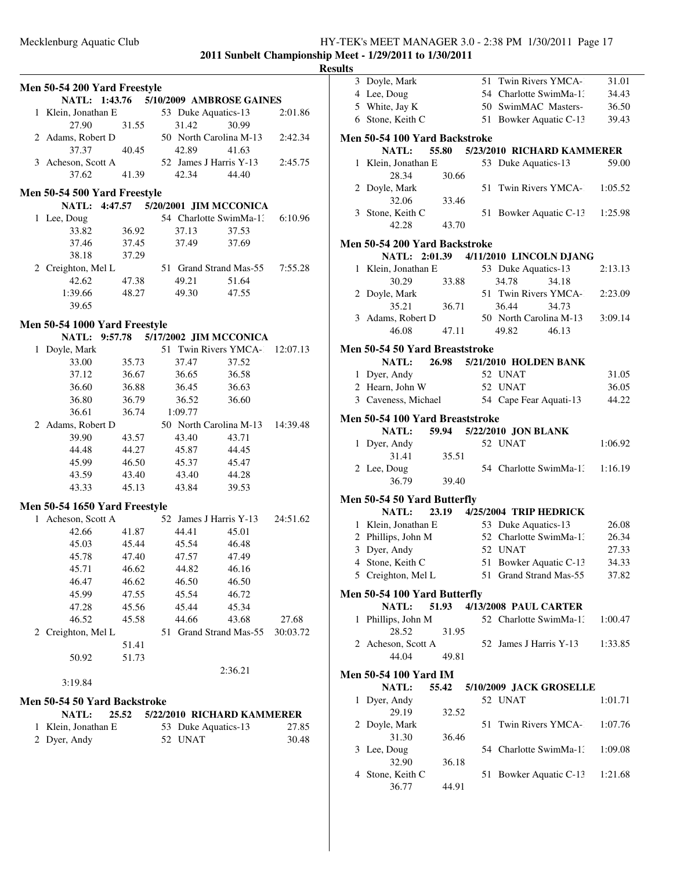|   | Men 50-54 200 Yard Freestyle          |       |         |                                      |          |
|---|---------------------------------------|-------|---------|--------------------------------------|----------|
|   | NATL: 1:43.76                         |       |         | 5/10/2009 AMBROSE GAINES             |          |
| 1 | Klein, Jonathan E                     |       |         | 53 Duke Aquatics-13                  | 2:01.86  |
|   | 27.90                                 | 31.55 | 31.42   | 30.99                                |          |
|   | 2 Adams, Robert D                     |       |         | 50 North Carolina M-13               | 2:42.34  |
|   | 37.37                                 | 40.45 | 42.89   | 41.63                                |          |
|   | 3 Acheson, Scott A                    |       |         | 52 James J Harris Y-13               | 2:45.75  |
|   | 37.62                                 | 41.39 | 42.34   | 44.40                                |          |
|   | Men 50-54 500 Yard Freestyle          |       |         |                                      |          |
|   |                                       |       |         | NATL: 4:47.57 5/20/2001 JIM MCCONICA |          |
| 1 |                                       |       |         | 54 Charlotte SwimMa-1.               |          |
|   | Lee, Doug                             |       |         |                                      | 6:10.96  |
|   | 33.82                                 | 36.92 | 37.13   | 37.53                                |          |
|   | 37.46                                 | 37.45 | 37.49   | 37.69                                |          |
|   | 38.18                                 | 37.29 |         |                                      |          |
|   | 2 Creighton, Mel L                    |       |         | 51 Grand Strand Mas-55               | 7:55.28  |
|   | 42.62                                 | 47.38 | 49.21   | 51.64                                |          |
|   | 1:39.66                               | 48.27 | 49.30   | 47.55                                |          |
|   | 39.65                                 |       |         |                                      |          |
|   | Men 50-54 1000 Yard Freestyle         |       |         |                                      |          |
|   | NATL: 9:57.78                         |       |         | 5/17/2002 JIM MCCONICA               |          |
| 1 | Doyle, Mark                           |       |         | 51 Twin Rivers YMCA-1                | 12:07.13 |
|   | 33.00                                 |       |         |                                      |          |
|   |                                       | 35.73 | 37.47   | 37.52                                |          |
|   | 37.12                                 | 36.67 | 36.65   | 36.58                                |          |
|   | 36.60                                 | 36.88 | 36.45   | 36.63                                |          |
|   | 36.80                                 | 36.79 | 36.52   | 36.60                                |          |
|   | 36.61                                 | 36.74 | 1:09.77 |                                      |          |
|   | 2 Adams, Robert D                     |       |         | 50 North Carolina M-13               | 14:39.48 |
|   | 39.90                                 | 43.57 | 43.40   | 43.71                                |          |
|   | 44.48                                 | 44.27 | 45.87   | 44.45                                |          |
|   | 45.99                                 | 46.50 | 45.37   | 45.47                                |          |
|   | 43.59                                 | 43.40 | 43.40   | 44.28                                |          |
|   | 43.33                                 | 45.13 | 43.84   | 39.53                                |          |
|   |                                       |       |         |                                      |          |
|   | Men 50-54 1650 Yard Freestyle         |       |         |                                      |          |
| 1 | Acheson, Scott A                      |       |         | 52 James J Harris Y-13               | 24:51.62 |
|   | 42.66                                 | 41.87 | 44.41   | 45.01                                |          |
|   | 45.03                                 | 45.44 | 45.54   | 46.48                                |          |
|   | 45.78                                 | 47.40 | 47.57   | 47.49                                |          |
|   | 45.71                                 | 46.62 | 44.82   | 46.16                                |          |
|   | 46.47                                 | 46.62 | 46.50   | 46.50                                |          |
|   | 45.99                                 | 47.55 | 45.54   | 46.72                                |          |
|   | 47.28                                 | 45.56 | 45.44   | 45.34                                |          |
|   | 46.52                                 | 45.58 | 44.66   | 43.68                                | 27.68    |
|   | 2 Creighton, Mel L                    |       |         | 51 Grand Strand Mas-55               | 30:03.72 |
|   |                                       | 51.41 |         |                                      |          |
|   | 50.92                                 | 51.73 |         |                                      |          |
|   |                                       |       |         | 2:36.21                              |          |
|   | 3:19.84                               |       |         |                                      |          |
|   |                                       |       |         |                                      |          |
|   | Men 50-54 50 Yard Backstroke<br>NATL: | 25.52 |         | 5/22/2010 RICHARD KAMMERER           |          |
| 1 | Klein, Jonathan E                     |       |         | 53 Duke Aquatics-13                  | 27.85    |
| 2 | Dyer, Andy                            |       | 52 UNAT |                                      | 30.48    |
|   |                                       |       |         |                                      |          |
|   |                                       |       |         |                                      |          |
|   |                                       |       |         |                                      |          |

|   | 3 Doyle, Mark                         |       | 51 | Twin Rivers YMCA-                     | 31.01   |
|---|---------------------------------------|-------|----|---------------------------------------|---------|
|   | 4 Lee, Doug                           |       |    | 54 Charlotte SwimMa-1:                | 34.43   |
|   | 5 White, Jay K                        |       |    | 50 SwimMAC Masters-                   | 36.50   |
|   | 6 Stone, Keith C                      |       |    | 51 Bowker Aquatic C-13                | 39.43   |
|   |                                       |       |    |                                       |         |
|   | Men 50-54 100 Yard Backstroke         |       |    |                                       |         |
|   | <b>NATL:</b>                          | 55.80 |    | 5/23/2010 RICHARD KAMMERER            |         |
| 1 | Klein, Jonathan E                     |       |    | 53 Duke Aquatics-13                   | 59.00   |
|   | 28.34                                 | 30.66 |    |                                       |         |
|   | 2 Doyle, Mark                         |       | 51 | Twin Rivers YMCA-                     | 1:05.52 |
|   | 32.06                                 | 33.46 |    |                                       |         |
|   | 3 Stone, Keith C                      |       | 51 | Bowker Aquatic C-13                   | 1:25.98 |
|   | 42.28                                 | 43.70 |    |                                       |         |
|   | Men 50-54 200 Yard Backstroke         |       |    |                                       |         |
|   |                                       |       |    | NATL: 2:01.39 4/11/2010 LINCOLN DJANG |         |
| 1 | Klein, Jonathan E                     |       |    | 53 Duke Aquatics-13                   | 2:13.13 |
|   | 30.29                                 | 33.88 |    | 34.78<br>34.18                        |         |
|   | 2 Doyle, Mark                         |       |    | 51 Twin Rivers YMCA-                  | 2:23.09 |
|   | 35.21                                 | 36.71 |    | 36.44<br>34.73                        |         |
|   | 3 Adams, Robert D                     |       |    | 50 North Carolina M-13                | 3:09.14 |
|   | 46.08                                 | 47.11 |    | 49.82<br>46.13                        |         |
|   |                                       |       |    |                                       |         |
|   | <b>Men 50-54 50 Yard Breaststroke</b> |       |    |                                       |         |
|   | NATL:                                 | 26.98 |    | 5/21/2010 HOLDEN BANK                 |         |
|   | 1 Dyer, Andy                          |       |    | 52 UNAT                               | 31.05   |
|   | 2 Hearn, John W                       |       |    | 52 UNAT                               | 36.05   |
|   | 3 Caveness, Michael                   |       |    | 54 Cape Fear Aquati-13                | 44.22   |
|   | Men 50-54 100 Yard Breaststroke       |       |    |                                       |         |
|   | <b>NATL:</b>                          | 59.94 |    | 5/22/2010 JON BLANK                   |         |
|   | 1 Dyer, Andy                          |       |    | 52 UNAT                               | 1:06.92 |
|   | 31.41                                 | 35.51 |    |                                       |         |
|   | 2 Lee, Doug                           |       |    | 54 Charlotte SwimMa-1.                | 1:16.19 |
|   | 36.79                                 | 39.40 |    |                                       |         |
|   |                                       |       |    |                                       |         |
|   | Men 50-54 50 Yard Butterfly           |       |    |                                       |         |
|   | <b>NATL:</b>                          | 23.19 |    | 4/25/2004 TRIP HEDRICK                |         |
|   | 1 Klein, Jonathan E                   |       |    | 53 Duke Aquatics-13                   | 26.08   |
|   | 2 Phillips, John M                    |       |    | 52 Charlotte SwimMa-1:                | 26.34   |
|   | 3 Dyer, Andy                          |       |    | 52 UNAT                               | 27.33   |
|   | 4 Stone, Keith C                      |       |    | 51 Bowker Aquatic C-13                | 34.33   |
|   | 5 Creighton, Mel L                    |       |    | 51 Grand Strand Mas-55                | 37.82   |
|   | Men 50-54 100 Yard Butterfly          |       |    |                                       |         |
|   |                                       |       |    |                                       |         |
|   |                                       |       |    |                                       |         |
|   | NATL:                                 | 51.93 |    | 4/13/2008 PAUL CARTER                 |         |
| 1 | Phillips, John M                      |       |    | 52 Charlotte SwimMa-1:                | 1:00.47 |
|   | 28.52                                 | 31.95 |    |                                       |         |
|   | 2 Acheson, Scott A                    |       |    | 52 James J Harris Y-13                | 1:33.85 |
|   | 44.04                                 | 49.81 |    |                                       |         |
|   | <b>Men 50-54 100 Yard IM</b>          |       |    |                                       |         |
|   | NATL:                                 | 55.42 |    | 5/10/2009 JACK GROSELLE               |         |
| 1 | Dyer, Andy                            |       |    | 52 UNAT                               | 1:01.71 |
|   | 29.19                                 | 32.52 |    |                                       |         |
|   | 2 Doyle, Mark                         |       | 51 | Twin Rivers YMCA-                     | 1:07.76 |
|   | 31.30                                 | 36.46 |    |                                       |         |
| 3 | Lee, Doug                             |       |    | 54 Charlotte SwimMa-1.                | 1:09.08 |
|   | 32.90                                 | 36.18 |    |                                       |         |
| 4 | Stone, Keith C                        |       |    | 51 Bowker Aquatic C-13                | 1:21.68 |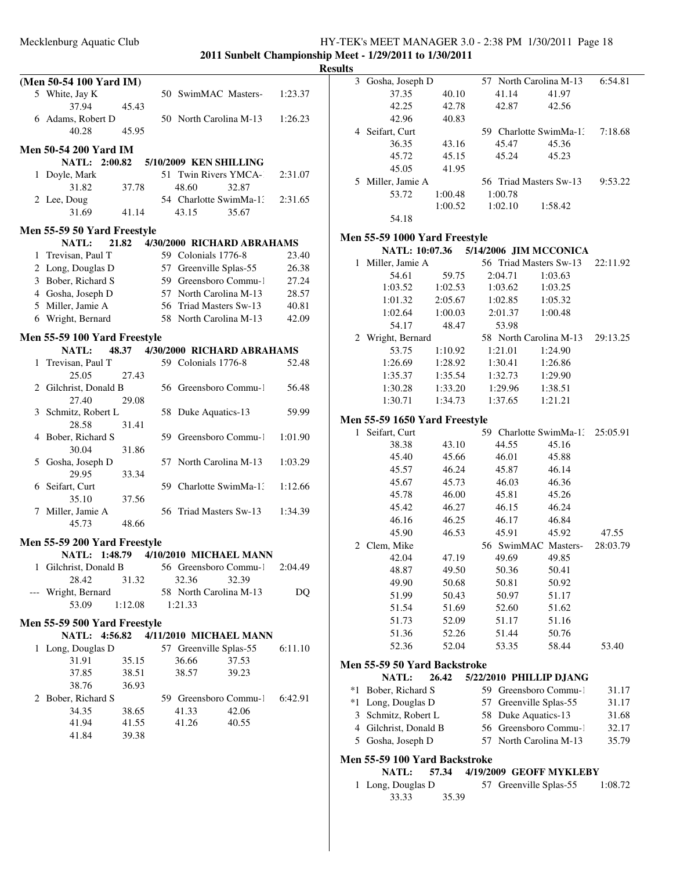### Mecklenburg Aquatic Club HY-TEK's MEET MANAGER 3.0 - 2:38 PM 1/30/2011 Page 18 **2011 Sunbelt Championship Meet - 1/29/2011 to 1/30/2011**

**Results**

|              | (Men 50-54 100 Yard IM)                                              |         |                                   |       |         |
|--------------|----------------------------------------------------------------------|---------|-----------------------------------|-------|---------|
|              | 5 White, Jay K                                                       |         | 50 SwimMAC Masters-               |       | 1:23.37 |
|              | 37.94                                                                | 45.43   |                                   |       |         |
|              | 6 Adams, Robert D                                                    |         | 50 North Carolina M-13            |       | 1:26.23 |
|              | 40.28                                                                | 45.95   |                                   |       |         |
|              |                                                                      |         |                                   |       |         |
|              | <b>Men 50-54 200 Yard IM</b><br>NATL: 2:00.82 5/10/2009 KEN SHILLING |         |                                   |       |         |
|              |                                                                      |         | 51 Twin Rivers YMCA-              |       | 2:31.07 |
|              | 1 Doyle, Mark<br>31.82                                               | 37.78   | 48.60                             | 32.87 |         |
|              | 2 Lee, Doug                                                          |         | 54 Charlotte SwimMa-1:            |       | 2:31.65 |
|              | 31.69                                                                | 41.14   | 43.15                             | 35.67 |         |
|              |                                                                      |         |                                   |       |         |
|              | Men 55-59 50 Yard Freestyle                                          |         |                                   |       |         |
|              | <b>NATL:</b>                                                         | 21.82   | 4/30/2000 RICHARD ABRAHAMS        |       |         |
|              | 1 Trevisan, Paul T                                                   |         | 59 Colonials 1776-8               |       | 23.40   |
|              | 2 Long, Douglas D                                                    |         | 57 Greenville Splas-55            |       | 26.38   |
|              | 3 Bober, Richard S                                                   |         | 59 Greensboro Commu-1             |       | 27.24   |
|              | 4 Gosha, Joseph D                                                    |         | 57 North Carolina M-13            |       | 28.57   |
|              | 5 Miller, Jamie A                                                    |         | 56 Triad Masters Sw-13            |       | 40.81   |
|              | 6 Wright, Bernard                                                    |         | 58 North Carolina M-13            |       | 42.09   |
|              | Men 55-59 100 Yard Freestyle                                         |         |                                   |       |         |
|              | <b>NATL:</b>                                                         |         | 48.37  4/30/2000 RICHARD ABRAHAMS |       |         |
| $\mathbf{1}$ | Trevisan, Paul T                                                     |         | 59 Colonials 1776-8               |       | 52.48   |
|              | 25.05                                                                | 27.43   |                                   |       |         |
|              | 2 Gilchrist, Donald B                                                |         | 56 Greensboro Commu-1             |       | 56.48   |
|              | 27.40                                                                | 29.08   |                                   |       |         |
|              | 3 Schmitz, Robert L                                                  |         | 58 Duke Aquatics-13               |       | 59.99   |
|              | 28.58                                                                | 31.41   |                                   |       |         |
|              | 4 Bober, Richard S                                                   |         | 59 Greensboro Commu-1             |       | 1:01.90 |
|              | 30.04                                                                | 31.86   |                                   |       |         |
|              | 5 Gosha, Joseph D                                                    |         | 57 North Carolina M-13            |       | 1:03.29 |
|              | 29.95                                                                | 33.34   |                                   |       |         |
|              | 6 Seifart, Curt                                                      |         | 59 Charlotte SwimMa-1:            |       | 1:12.66 |
|              | 35.10                                                                | 37.56   |                                   |       |         |
|              | 7 Miller, Jamie A                                                    |         | 56 Triad Masters Sw-13            |       | 1:34.39 |
|              | 45.73                                                                | 48.66   |                                   |       |         |
|              | Men 55-59 200 Yard Freestyle                                         |         |                                   |       |         |
|              | NATL: 1:48.79 4/10/2010 MICHAEL MANN                                 |         |                                   |       |         |
| 1            | Gilchrist, Donald B                                                  |         | 56 Greensboro Commu-1             |       | 2:04.49 |
|              | 28.42                                                                | 31.32   | 32.36                             | 32.39 |         |
|              | Wright, Bernard                                                      |         | 58 North Carolina M-13            |       | DQ      |
|              | 53.09                                                                | 1:12.08 | 1:21.33                           |       |         |
|              |                                                                      |         |                                   |       |         |
|              | Men 55-59 500 Yard Freestyle                                         |         |                                   |       |         |
|              | NATL: 4:56.82                                                        |         | 4/11/2010 MICHAEL MANN            |       |         |
|              | 1 Long, Douglas D                                                    |         | 57 Greenville Splas-55            |       | 6:11.10 |
|              | 31.91                                                                | 35.15   | 36.66                             | 37.53 |         |
|              | 37.85                                                                | 38.51   | 38.57                             | 39.23 |         |
|              | 38.76                                                                | 36.93   |                                   |       |         |
|              | 2 Bober, Richard S                                                   |         | 59 Greensboro Commu-1             |       | 6:42.91 |
|              | 34.35                                                                | 38.65   | 41.33                             | 42.06 |         |
|              | 41.94                                                                | 41.55   | 41.26                             | 40.55 |         |
|              | 41.84                                                                | 39.38   |                                   |       |         |
|              |                                                                      |         |                                   |       |         |
|              |                                                                      |         |                                   |       |         |

| யக           |                                      |         |    |         |                                       |          |
|--------------|--------------------------------------|---------|----|---------|---------------------------------------|----------|
| 3            | Gosha, Joseph D                      |         |    |         | 57 North Carolina M-13                | 6:54.81  |
|              | 37.35                                | 40.10   |    | 41.14   | 41.97                                 |          |
|              | 42.25                                | 42.78   |    | 42.87   | 42.56                                 |          |
|              | 42.96                                | 40.83   |    |         |                                       |          |
|              | 4 Seifart, Curt                      |         |    |         | 59 Charlotte SwimMa-1:                | 7:18.68  |
|              | 36.35                                | 43.16   |    | 45.47   | 45.36                                 |          |
|              | 45.72                                | 45.15   |    | 45.24   | 45.23                                 |          |
|              | 45.05                                | 41.95   |    |         |                                       |          |
|              | 5 Miller, Jamie A                    |         |    |         | 56 Triad Masters Sw-13                | 9:53.22  |
|              | 53.72                                | 1:00.48 |    | 1:00.78 |                                       |          |
|              |                                      | 1:00.52 |    | 1:02.10 | 1:58.42                               |          |
|              | 54.18                                |         |    |         |                                       |          |
|              |                                      |         |    |         |                                       |          |
|              | Men 55-59 1000 Yard Freestyle        |         |    |         |                                       |          |
|              |                                      |         |    |         | NATL: 10:07.36 5/14/2006 JIM MCCONICA |          |
| $\mathbf{1}$ | Miller, Jamie A                      |         |    |         | 56 Triad Masters Sw-13                | 22:11.92 |
|              | 54.61                                | 59.75   |    | 2:04.71 | 1:03.63                               |          |
|              | 1:03.52                              | 1:02.53 |    | 1:03.62 | 1:03.25                               |          |
|              | 1:01.32                              | 2:05.67 |    | 1:02.85 | 1:05.32                               |          |
|              | 1:02.64                              | 1:00.03 |    | 2:01.37 | 1:00.48                               |          |
|              | 54.17                                | 48.47   |    | 53.98   |                                       |          |
|              | 2 Wright, Bernard                    |         |    |         | 58 North Carolina M-13                | 29:13.25 |
|              | 53.75                                | 1:10.92 |    | 1:21.01 | 1:24.90                               |          |
|              | 1:26.69                              | 1:28.92 |    | 1:30.41 | 1:26.86                               |          |
|              | 1:35.37                              | 1:35.54 |    | 1:32.73 | 1:29.90                               |          |
|              | 1:30.28                              | 1:33.20 |    | 1:29.96 | 1:38.51                               |          |
|              | 1:30.71                              | 1:34.73 |    | 1:37.65 | 1:21.21                               |          |
|              |                                      |         |    |         |                                       |          |
|              | <b>Men 55-59 1650 Yard Freestyle</b> |         |    |         |                                       |          |
| $\mathbf{1}$ | Seifart, Curt                        |         |    |         | 59 Charlotte SwimMa-1:                | 25:05.91 |
|              | 38.38                                | 43.10   |    | 44.55   | 45.16                                 |          |
|              | 45.40                                | 45.66   |    | 46.01   | 45.88                                 |          |
|              | 45.57                                | 46.24   |    | 45.87   | 46.14                                 |          |
|              | 45.67                                | 45.73   |    | 46.03   | 46.36                                 |          |
|              | 45.78                                | 46.00   |    | 45.81   | 45.26                                 |          |
|              | 45.42                                | 46.27   |    | 46.15   | 46.24                                 |          |
|              | 46.16                                | 46.25   |    | 46.17   | 46.84                                 |          |
|              | 45.90                                | 46.53   |    | 45.91   | 45.92                                 | 47.55    |
| 2            | Clem, Mike                           |         |    |         | 56 SwimMAC Masters-                   | 28:03.79 |
|              | 42.04                                | 47.19   |    | 49.69   | 49.85                                 |          |
|              | 48.87                                | 49.50   |    | 50.36   | 50.41                                 |          |
|              | 49.90                                | 50.68   |    | 50.81   | 50.92                                 |          |
|              | 51.99                                | 50.43   |    | 50.97   | 51.17                                 |          |
|              | 51.54                                | 51.69   |    | 52.60   | 51.62                                 |          |
|              |                                      |         |    |         |                                       |          |
|              | 51.73                                | 52.09   |    | 51.17   | 51.16                                 |          |
|              | 51.36                                | 52.26   |    | 51.44   | 50.76                                 |          |
|              | 52.36                                | 52.04   |    | 53.35   | 58.44                                 | 53.40    |
|              | Men 55-59 50 Yard Backstroke         |         |    |         |                                       |          |
|              | <b>NATL:</b>                         | 26.42   |    |         | 5/22/2010 PHILLIP DJANG               |          |
| $*1$         | Bober, Richard S                     |         |    |         | 59 Greensboro Commu-1                 | 31.17    |
| *1           | Long, Douglas D                      |         | 57 |         | Greenville Splas-55                   | 31.17    |
| 3            | Schmitz, Robert L                    |         | 58 |         | Duke Aquatics-13                      | 31.68    |
|              | 4 Gilchrist, Donald B                |         |    |         | 56 Greensboro Commu-1                 | 32.17    |
|              | 5 Gosha, Joseph D                    |         | 57 |         | North Carolina M-13                   | 35.79    |
|              |                                      |         |    |         |                                       |          |
|              | <b>Men 55-59 100 Yard Backstroke</b> |         |    |         |                                       |          |
|              | <b>NATL:</b>                         | 57.34   |    |         | 4/19/2009 GEOFF MYKLEBY               |          |

1 Long, Douglas D 57 Greenville Splas-55 1:08.72

33.33 35.39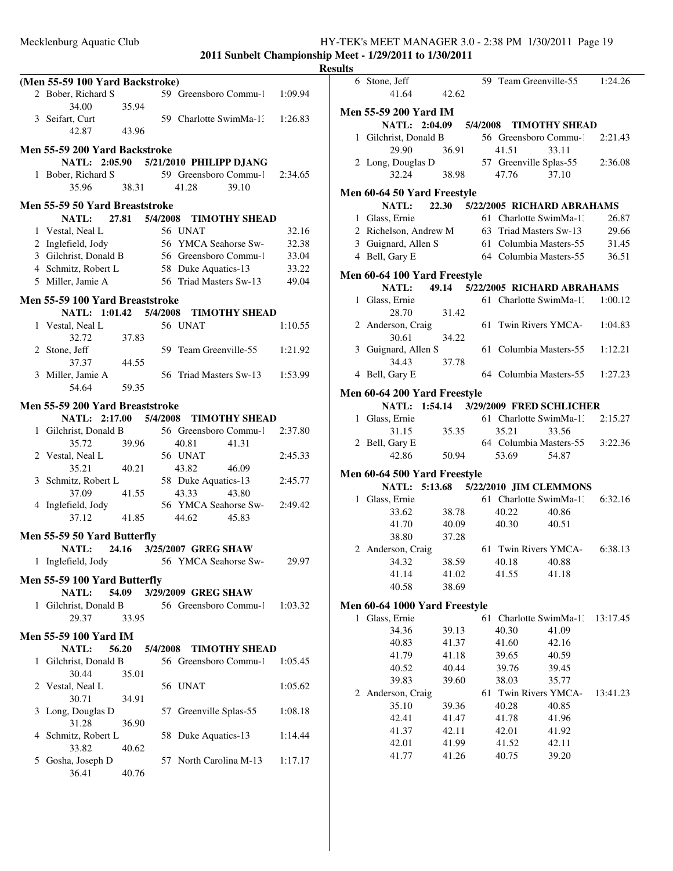|              |                                 |       |          |                                             | R       |
|--------------|---------------------------------|-------|----------|---------------------------------------------|---------|
|              | (Men 55-59 100 Yard Backstroke) |       |          |                                             |         |
|              | 2 Bober, Richard S              |       |          | 59 Greensboro Commu-1                       | 1:09.94 |
|              | 34.00<br>3 Seifart, Curt        | 35.94 |          | 59 Charlotte SwimMa-1.                      | 1:26.83 |
|              | 42.87                           | 43.96 |          |                                             |         |
|              | Men 55-59 200 Yard Backstroke   |       |          |                                             |         |
|              |                                 |       |          | NATL: 2:05.90 5/21/2010 PHILIPP DJANG       |         |
|              | 1 Bober, Richard S              |       |          | 59 Greensboro Commu-1                       | 2:34.65 |
|              | 35.96                           | 38.31 |          | 41.28<br>39.10                              |         |
|              | Men 55-59 50 Yard Breaststroke  |       |          |                                             |         |
|              | NATL: 27.81 5/4/2008            |       |          | <b>TIMOTHY SHEAD</b>                        |         |
|              | 1 Vestal, Neal L                |       |          | 56 UNAT                                     | 32.16   |
|              | 2 Inglefield, Jody              |       |          | 56 YMCA Seahorse Sw-                        | 32.38   |
|              |                                 |       |          | 3 Gilchrist, Donald B 56 Greensboro Commu-1 | 33.04   |
|              | 4 Schmitz, Robert L             |       |          | 58 Duke Aquatics-13                         | 33.22   |
|              | 5 Miller, Jamie A               |       |          | 56 Triad Masters Sw-13                      | 49.04   |
|              | Men 55-59 100 Yard Breaststroke |       |          |                                             |         |
|              |                                 |       |          | NATL: 1:01.42 5/4/2008 TIMOTHY SHEAD        |         |
|              | 1 Vestal, Neal L                |       |          | 56 UNAT                                     | 1:10.55 |
|              | 32.72                           | 37.83 |          |                                             |         |
|              | 2 Stone, Jeff                   |       |          | 59 Team Greenville-55                       | 1:21.92 |
|              | 37.37                           | 44.55 |          |                                             |         |
|              | 3 Miller, Jamie A               |       |          | 56 Triad Masters Sw-13                      | 1:53.99 |
|              | 54.64                           | 59.35 |          |                                             |         |
|              | Men 55-59 200 Yard Breaststroke |       |          |                                             |         |
|              | NATL: 2:17.00 5/4/2008          |       |          | <b>TIMOTHY SHEAD</b>                        |         |
|              | 1 Gilchrist, Donald B           |       |          | 56 Greensboro Commu-1                       | 2:37.80 |
|              | 35.72                           | 39.96 |          | 40.81<br>41.31                              |         |
|              | 2 Vestal, Neal L                |       |          | 56 UNAT                                     | 2:45.33 |
|              | 35.21                           | 40.21 |          | 43.82<br>46.09                              |         |
|              | 3 Schmitz, Robert L             |       |          | 58 Duke Aquatics-13                         | 2:45.77 |
|              | 37.09                           | 41.55 |          | 43.33<br>43.80                              |         |
|              | 4 Inglefield, Jody              |       |          | 56 YMCA Seahorse Sw-                        | 2:49.42 |
|              | 37.12                           | 41.85 |          | 44.62<br>45.83                              |         |
|              | Men 55-59 50 Yard Butterfly     |       |          |                                             |         |
|              | NATL:                           |       |          | 24.16 3/25/2007 GREG SHAW                   |         |
|              | 1 Inglefield, Jody              |       |          | 56 YMCA Seahorse Sw-                        | 29.97   |
|              |                                 |       |          |                                             |         |
|              | Men 55-59 100 Yard Butterfly    |       |          |                                             |         |
|              | <b>NATL:</b>                    | 54.09 |          | 3/29/2009 GREG SHAW                         |         |
| $\mathbf{1}$ | Gilchrist, Donald B<br>29.37    | 33.95 |          | 56 Greensboro Commu-1                       | 1:03.32 |
|              |                                 |       |          |                                             |         |
|              | <b>Men 55-59 100 Yard IM</b>    |       |          |                                             |         |
|              | NATL:                           | 56.20 | 5/4/2008 | <b>TIMOTHY SHEAD</b>                        |         |
| 1            | Gilchrist, Donald B             |       |          | 56 Greensboro Commu-1                       | 1:05.45 |
|              | 30.44                           | 35.01 |          |                                             |         |
| 2            | Vestal, Neal L                  |       |          | 56 UNAT                                     | 1:05.62 |
|              | 30.71                           | 34.91 |          |                                             |         |
| 3            | Long, Douglas D                 |       | 57       | Greenville Splas-55                         | 1:08.18 |
|              | 31.28                           | 36.90 |          |                                             |         |
| 4            | Schmitz, Robert L               |       |          | 58 Duke Aquatics-13                         | 1:14.44 |
|              | 33.82                           | 40.62 |          |                                             |         |
| 5            | Gosha, Joseph D                 |       | 57       | North Carolina M-13                         | 1:17.17 |
|              | 36.41                           | 40.76 |          |                                             |         |

| <b>Results</b> |                               |       |    |       |                                        |          |
|----------------|-------------------------------|-------|----|-------|----------------------------------------|----------|
|                | 6 Stone, Jeff<br>41.64        | 42.62 |    |       | 59 Team Greenville-55 1:24.26          |          |
|                | <b>Men 55-59 200 Yard IM</b>  |       |    |       |                                        |          |
|                | NATL: 2:04.09                 |       |    |       | 5/4/2008 TIMOTHY SHEAD                 |          |
|                | 1 Gilchrist, Donald B         |       |    |       | 56 Greensboro Commu-1 2:21.43          |          |
|                | 29.90                         | 36.91 |    | 41.51 | 33.11                                  |          |
|                | 2 Long, Douglas D             |       |    |       | 57 Greenville Splas-55                 | 2:36.08  |
|                | 32.24                         | 38.98 |    | 47.76 | 37.10                                  |          |
|                | Men 60-64 50 Yard Freestyle   |       |    |       |                                        |          |
|                |                               |       |    |       | NATL: 22.30 5/22/2005 RICHARD ABRAHAMS |          |
|                | 1 Glass, Ernie                |       |    |       | 61 Charlotte SwimMa-1.                 | 26.87    |
|                | 2 Richelson, Andrew M         |       |    |       | 63 Triad Masters Sw-13                 | 29.66    |
|                | 3 Guignard, Allen S           |       |    |       | 61 Columbia Masters-55                 | 31.45    |
|                | 4 Bell, Gary E                |       |    |       | 64 Columbia Masters-55                 | 36.51    |
|                | Men 60-64 100 Yard Freestyle  |       |    |       |                                        |          |
|                | <b>NATL:</b>                  |       |    |       | 49.14 5/22/2005 RICHARD ABRAHAMS       |          |
|                | 1 Glass, Ernie                |       |    |       | 61 Charlotte SwimMa-1.                 | 1:00.12  |
|                | 28.70                         | 31.42 |    |       |                                        |          |
|                | 2 Anderson, Craig             |       |    |       | 61 Twin Rivers YMCA-                   | 1:04.83  |
|                | 30.61                         | 34.22 |    |       |                                        |          |
|                | 3 Guignard, Allen S           |       |    |       | 61 Columbia Masters-55                 | 1:12.21  |
|                | 34.43                         | 37.78 |    |       |                                        |          |
|                | 4 Bell, Gary E                |       |    |       | 64 Columbia Masters-55                 | 1:27.23  |
|                |                               |       |    |       |                                        |          |
|                | Men 60-64 200 Yard Freestyle  |       |    |       |                                        |          |
|                |                               |       |    |       | NATL: 1:54.14 3/29/2009 FRED SCHLICHER |          |
|                | 1 Glass, Ernie                |       |    |       | 61 Charlotte SwimMa-1, 2:15.27         |          |
|                | 31.15                         | 35.35 |    | 35.21 | 33.56                                  |          |
|                | 2 Bell, Gary E                |       |    |       | 64 Columbia Masters-55 3:22.36         |          |
|                | 42.86                         | 50.94 |    | 53.69 | 54.87                                  |          |
|                | Men 60-64 500 Yard Freestyle  |       |    |       |                                        |          |
|                |                               |       |    |       | NATL: 5:13.68 5/22/2010 JIM CLEMMONS   |          |
|                | 1 Glass, Ernie                |       |    |       | 61 Charlotte SwimMa-1.                 | 6:32.16  |
|                | 33.62                         | 38.78 |    | 40.22 | 40.86                                  |          |
|                | 41.70                         | 40.09 |    | 40.30 | 40.51                                  |          |
|                | 38.80                         | 37.28 |    |       |                                        |          |
|                | 2 Anderson, Craig             |       |    |       | 61 Twin Rivers YMCA- 6:38.13           |          |
|                | 34.32                         | 38.59 |    | 40.18 | 40.88                                  |          |
|                | 41.14                         | 41.02 |    | 41.55 | 41.18                                  |          |
|                | 40.58                         | 38.69 |    |       |                                        |          |
|                | Men 60-64 1000 Yard Freestyle |       |    |       |                                        |          |
|                | 1 Glass, Ernie                |       | 61 |       | Charlotte SwimMa-1.                    | 13:17.45 |
|                | 34.36                         | 39.13 |    | 40.30 | 41.09                                  |          |
|                | 40.83                         | 41.37 |    | 41.60 | 42.16                                  |          |
|                | 41.79                         | 41.18 |    | 39.65 | 40.59                                  |          |
|                | 40.52                         | 40.44 |    | 39.76 | 39.45                                  |          |
|                | 39.83                         | 39.60 |    | 38.03 | 35.77                                  |          |
|                | 2 Anderson, Craig             |       |    |       | 61 Twin Rivers YMCA-                   | 13:41.23 |
|                | 35.10                         | 39.36 |    | 40.28 | 40.85                                  |          |
|                | 42.41                         | 41.47 |    | 41.78 | 41.96                                  |          |
|                | 41.37                         | 42.11 |    | 42.01 | 41.92                                  |          |
|                | 42.01                         | 41.99 |    | 41.52 | 42.11                                  |          |
|                | 41.77                         | 41.26 |    | 40.75 | 39.20                                  |          |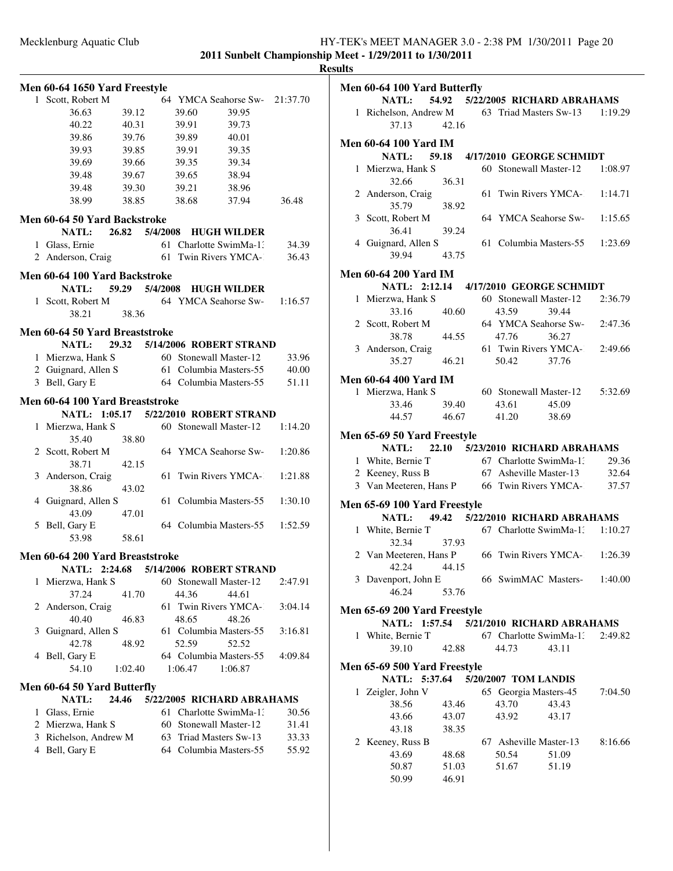|   | Men 60-64 1650 Yard Freestyle   |                |    |         |                                       |          |
|---|---------------------------------|----------------|----|---------|---------------------------------------|----------|
|   | 1 Scott, Robert M               |                |    |         | 64 YMCA Seahorse Sw-                  | 21:37.70 |
|   | 36.63                           | 39.12          |    | 39.60   | 39.95                                 |          |
|   | 40.22                           | 40.31          |    | 39.91   | 39.73                                 |          |
|   | 39.86                           | 39.76          |    | 39.89   | 40.01                                 |          |
|   | 39.93                           | 39.85          |    | 39.91   | 39.35                                 |          |
|   | 39.69                           | 39.66          |    | 39.35   | 39.34                                 |          |
|   | 39.48                           | 39.67          |    | 39.65   | 38.94                                 |          |
|   | 39.48                           | 39.30          |    | 39.21   | 38.96                                 |          |
|   | 38.99                           | 38.85          |    | 38.68   | 37.94                                 | 36.48    |
|   | Men 60-64 50 Yard Backstroke    |                |    |         |                                       |          |
|   | NATL: 26.82 5/4/2008            |                |    |         | <b>HUGH WILDER</b>                    |          |
|   | 1 Glass, Ernie                  |                |    |         | 61 Charlotte SwimMa-1:                | 34.39    |
|   | 2 Anderson, Craig               |                |    |         | 61 Twin Rivers YMCA-                  | 36.43    |
|   |                                 |                |    |         |                                       |          |
|   | Men 60-64 100 Yard Backstroke   |                |    |         |                                       |          |
|   | <b>NATL:</b>                    | 59.29 5/4/2008 |    |         | <b>HUGH WILDER</b>                    |          |
|   | 1 Scott, Robert M               |                |    |         | 64 YMCA Seahorse Sw-                  | 1:16.57  |
|   | 38.21                           | 38.36          |    |         |                                       |          |
|   | Men 60-64 50 Yard Breaststroke  |                |    |         |                                       |          |
|   | <b>NATL:</b>                    |                |    |         | 29.32 5/14/2006 ROBERT STRAND         |          |
| 1 | Mierzwa, Hank S                 |                |    |         | 60 Stonewall Master-12                | 33.96    |
|   | 2 Guignard, Allen S             |                |    |         | 61 Columbia Masters-55                | 40.00    |
|   | 3 Bell, Gary E                  |                |    |         | 64 Columbia Masters-55                | 51.11    |
|   |                                 |                |    |         |                                       |          |
|   | Men 60-64 100 Yard Breaststroke |                |    |         |                                       |          |
|   |                                 |                |    |         | NATL: 1:05.17 5/22/2010 ROBERT STRAND |          |
| 1 | Mierzwa, Hank S                 |                |    |         | 60 Stonewall Master-12                | 1:14.20  |
|   | 35.40                           | 38.80          |    |         |                                       |          |
|   | 2 Scott, Robert M               |                |    |         | 64 YMCA Seahorse Sw-                  | 1:20.86  |
|   | 38.71                           | 42.15          |    |         |                                       |          |
|   | 3 Anderson, Craig               |                | 61 |         | Twin Rivers YMCA-                     | 1:21.88  |
|   | 38.86                           | 43.02          |    |         |                                       |          |
|   | 4 Guignard, Allen S             |                | 61 |         | Columbia Masters-55                   | 1:30.10  |
|   | 43.09                           | 47.01          |    |         | 64 Columbia Masters-55                |          |
|   | 5 Bell, Gary E                  |                |    |         |                                       | 1:52.59  |
|   | 53.98                           | 58.61          |    |         |                                       |          |
|   | Men 60-64 200 Yard Breaststroke |                |    |         |                                       |          |
|   |                                 |                |    |         | NATL: 2:24.68 5/14/2006 ROBERT STRAND |          |
| 1 | Mierzwa, Hank S                 |                |    |         | 60 Stonewall Master-12                | 2:47.91  |
|   | 37.24                           | 41.70          |    | 44.36   | 44.61                                 |          |
| 2 | Anderson, Craig                 |                |    |         | 61 Twin Rivers YMCA-1                 | 3:04.14  |
|   | 40.40                           | 46.83          |    | 48.65   | 48.26                                 |          |
| 3 | Guignard, Allen S               |                |    |         | 61 Columbia Masters-55                | 3:16.81  |
|   | 42.78                           | 48.92          |    | 52.59   | 52.52                                 |          |
|   | 4 Bell, Gary E                  |                |    |         | 64 Columbia Masters-55                | 4:09.84  |
|   | 54.10                           | 1:02.40        |    | 1:06.47 | 1:06.87                               |          |
|   | Men 60-64 50 Yard Butterfly     |                |    |         |                                       |          |
|   | <b>NATL:</b>                    | 24.46          |    |         | 5/22/2005 RICHARD ABRAHAMS            |          |
|   | 1 Glass, Ernie                  |                |    |         | 61 Charlotte SwimMa-1:                | 30.56    |
|   | 2 Mierzwa, Hank S               |                |    |         | 60 Stonewall Master-12                | 31.41    |
|   | 3 Richelson, Andrew M           |                |    |         | 63 Triad Masters Sw-13                | 33.33    |
|   | 4 Bell, Gary E                  |                |    |         | 64 Columbia Masters-55                | 55.92    |
|   |                                 |                |    |         |                                       |          |
|   |                                 |                |    |         |                                       |          |
|   |                                 |                |    |         |                                       |          |
|   |                                 |                |    |         |                                       |          |

| шь           |                                                      |       |                        |                                  |         |
|--------------|------------------------------------------------------|-------|------------------------|----------------------------------|---------|
|              | Men 60-64 100 Yard Butterfly                         |       |                        |                                  |         |
|              | NATL: 54.92 5/22/2005 RICHARD ABRAHAMS               |       |                        |                                  |         |
|              | 1 Richelson, Andrew M 63 Triad Masters Sw-13 1:19.29 |       |                        |                                  |         |
|              | 37.13                                                | 42.16 |                        |                                  |         |
|              | <b>Men 60-64 100 Yard IM</b>                         |       |                        |                                  |         |
|              | NATL: 59.18                                          |       |                        | 4/17/2010 GEORGE SCHMIDT         |         |
|              | 1 Mierzwa, Hank S                                    |       |                        | 60 Stonewall Master-12           | 1:08.97 |
|              | 32.66                                                | 36.31 |                        |                                  |         |
|              | 2 Anderson, Craig                                    |       |                        | 61 Twin Rivers YMCA-             | 1:14.71 |
|              | 35.79                                                | 38.92 |                        |                                  |         |
|              | 3 Scott, Robert M                                    |       |                        | 64 YMCA Seahorse Sw-             | 1:15.65 |
|              | 36.41                                                | 39.24 |                        |                                  |         |
|              | 4 Guignard, Allen S                                  |       |                        | 61 Columbia Masters-55           | 1:23.69 |
|              | 39.94                                                | 43.75 |                        |                                  |         |
|              | <b>Men 60-64 200 Yard IM</b>                         |       |                        |                                  |         |
|              | NATL: 2:12.14 4/17/2010 GEORGE SCHMIDT               |       |                        |                                  |         |
|              | 1 Mierzwa, Hank S                                    |       |                        | 60 Stonewall Master-12           | 2:36.79 |
|              | 33.16                                                | 40.60 | 43.59                  | 39.44                            |         |
|              | 2 Scott, Robert M                                    |       |                        | 64 YMCA Seahorse Sw-             | 2:47.36 |
|              | 38.78                                                | 44.55 | 47.76 36.27            |                                  |         |
|              | 3 Anderson, Craig                                    |       |                        | 61 Twin Rivers YMCA-             | 2:49.66 |
|              | 35.27                                                | 46.21 | 50.42 37.76            |                                  |         |
|              | <b>Men 60-64 400 Yard IM</b>                         |       |                        |                                  |         |
|              | 1 Mierzwa, Hank S                                    |       |                        | 60 Stonewall Master-12   5:32.69 |         |
|              | 33.46                                                | 39.40 | 43.61                  | 45.09                            |         |
|              | 44.57                                                | 46.67 | 41.20                  | 38.69                            |         |
|              |                                                      |       |                        |                                  |         |
|              | Men 65-69 50 Yard Freestyle                          |       |                        |                                  |         |
|              | NATL: 22.10 5/23/2010 RICHARD ABRAHAMS               |       |                        |                                  |         |
|              | 1 White, Bernie T                                    |       | 67 Charlotte SwimMa-1. |                                  | 29.36   |
|              | 2 Keeney, Russ B                                     |       |                        | 67 Asheville Master-13 32.64     |         |
|              | 3 Van Meeteren, Hans P 66 Twin Rivers YMCA-          |       |                        |                                  | 37.57   |
|              | Men 65-69 100 Yard Freestyle                         |       |                        |                                  |         |
|              | NATL: 49.42 5/22/2010 RICHARD ABRAHAMS               |       |                        |                                  |         |
|              | 1 White, Bernie T                                    |       |                        | 67 Charlotte SwimMa-1, 1:10.27   |         |
|              | 32.34                                                | 37.93 |                        |                                  |         |
|              | 2 Van Meeteren, Hans P 66 Twin Rivers YMCA- 1:26.39  |       |                        |                                  |         |
|              | 42.24                                                | 44.15 |                        |                                  |         |
|              | 3 Davenport, John E                                  |       |                        | 66 SwimMAC Masters-1:40.00       |         |
|              | 46.24                                                | 53.76 |                        |                                  |         |
|              | Men 65-69 200 Yard Freestyle                         |       |                        |                                  |         |
|              | NATL: 1:57.54 5/21/2010 RICHARD ABRAHAMS             |       |                        |                                  |         |
| $\mathbf{1}$ | White, Bernie T                                      |       |                        | 67 Charlotte SwimMa-1:           | 2:49.82 |
|              | 39.10                                                | 42.88 | 44.73                  | 43.11                            |         |
|              | Men 65-69 500 Yard Freestyle                         |       |                        |                                  |         |
|              | NATL: 5:37.64 5/20/2007 TOM LANDIS                   |       |                        |                                  |         |
|              | 1 Zeigler, John V                                    |       | 65 Georgia Masters-45  |                                  | 7:04.50 |
|              | 38.56                                                | 43.46 | 43.70                  | 43.43                            |         |
|              | 43.66                                                | 43.07 | 43.92                  | 43.17                            |         |
|              | 43.18                                                | 38.35 |                        |                                  |         |
|              |                                                      |       | 67 Asheville Master-13 |                                  | 8:16.66 |
|              | 2 Keeney, Russ B<br>43.69                            | 48.68 | 50.54                  | 51.09                            |         |
|              | 50.87                                                | 51.03 | 51.67                  | 51.19                            |         |
|              | 50.99                                                | 46.91 |                        |                                  |         |
|              |                                                      |       |                        |                                  |         |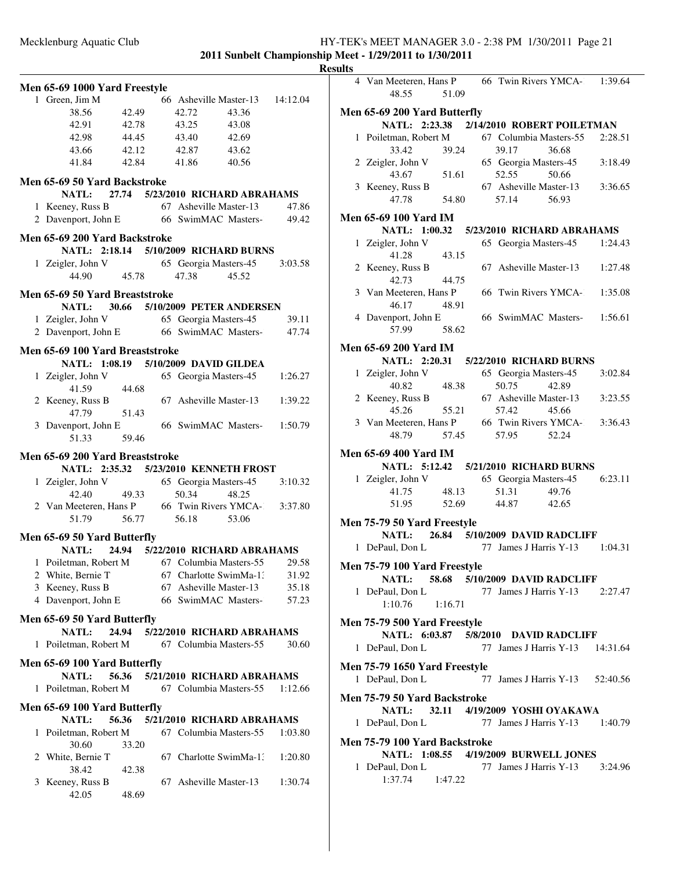**2011 Sunbelt Championship Meet - 1/29/2011 to 1/30/2011**

**Results**

| Men 65-69 1000 Yard Freestyle               |       |                                       |       |          |
|---------------------------------------------|-------|---------------------------------------|-------|----------|
| 1 Green, Jim M                              |       | 66 Asheville Master-13                |       | 14:12.04 |
| 38.56                                       | 42.49 | 42.72                                 | 43.36 |          |
| 42.91                                       | 42.78 | 43.25                                 | 43.08 |          |
| 42.98                                       | 44.45 | 43.40                                 | 42.69 |          |
| 43.66                                       | 42.12 | 42.87                                 | 43.62 |          |
| 41.84                                       | 42.84 | 41.86                                 | 40.56 |          |
| Men 65-69 50 Yard Backstroke                |       |                                       |       |          |
| NATL:                                       |       | 27.74 5/23/2010 RICHARD ABRAHAMS      |       |          |
| 1 Keeney, Russ B                            |       | 67 Asheville Master-13                |       | 47.86    |
| 2 Davenport, John E 66 SwimMAC Masters-     |       |                                       |       | 49.42    |
| Men 65-69 200 Yard Backstroke               |       |                                       |       |          |
|                                             |       | NATL: 2:18.14 5/10/2009 RICHARD BURNS |       |          |
| 1 Zeigler, John V                           |       | 65 Georgia Masters-45                 |       | 3:03.58  |
| 44.90                                       | 45.78 | 47.38                                 | 45.52 |          |
| Men 65-69 50 Yard Breaststroke              |       |                                       |       |          |
| NATL:                                       |       | 30.66 5/10/2009 PETER ANDERSEN        |       |          |
| 1 Zeigler, John V                           |       | 65 Georgia Masters-45                 |       | 39.11    |
| 2 Davenport, John E 66 SwimMAC Masters-     |       |                                       |       | 47.74    |
|                                             |       |                                       |       |          |
| Men 65-69 100 Yard Breaststroke             |       | NATL: 1:08.19 5/10/2009 DAVID GILDEA  |       |          |
| 1 Zeigler, John V                           |       | 65 Georgia Masters-45                 |       | 1:26.27  |
| 41.59                                       | 44.68 |                                       |       |          |
| 2 Keeney, Russ B                            |       | 67 Asheville Master-13                |       | 1:39.22  |
| 47.79                                       | 51.43 |                                       |       |          |
| 3 Davenport, John E                         |       | 66 SwimMAC Masters-                   |       | 1:50.79  |
| 51.33                                       | 59.46 |                                       |       |          |
| Men 65-69 200 Yard Breaststroke             |       |                                       |       |          |
|                                             |       | NATL: 2:35.32 5/23/2010 KENNETH FROST |       |          |
| 1 Zeigler, John V                           |       | 65 Georgia Masters-45                 |       | 3:10.32  |
| 42.40                                       | 49.33 | 50.34                                 | 48.25 |          |
| 2 Van Meeteren, Hans P 66 Twin Rivers YMCA- |       |                                       |       | 3:37.80  |
| 51.79                                       |       | 56.77 56.18                           | 53.06 |          |
| Men 65-69 50 Yard Butterfly                 |       |                                       |       |          |
| <b>NATL:</b>                                | 24.94 | 5/22/2010 RICHARD ABRAHAMS            |       |          |
| 1 Poiletman, Robert M                       |       | 67 Columbia Masters-55                |       | 29.58    |
| 2 White, Bernie T                           |       | 67 Charlotte SwimMa-1:                |       | 31.92    |
| 3 Keeney, Russ B                            |       | 67 Asheville Master-13                |       | 35.18    |
| 4 Davenport, John E                         |       | 66 SwimMAC Masters-                   |       | 57.23    |
| Men 65-69 50 Yard Butterfly                 |       |                                       |       |          |
| <b>NATL:</b>                                | 24.94 | 5/22/2010 RICHARD ABRAHAMS            |       |          |
| 1 Poiletman, Robert M                       |       | 67 Columbia Masters-55                |       | 30.60    |
| Men 65-69 100 Yard Butterfly                |       |                                       |       |          |
| <b>NATL:</b>                                | 56.36 | 5/21/2010 RICHARD ABRAHAMS            |       |          |
| 1 Poiletman, Robert M                       |       | 67 Columbia Masters-55                |       | 1:12.66  |
|                                             |       |                                       |       |          |
| Men 65-69 100 Yard Butterfly<br>NATL:       | 56.36 | 5/21/2010 RICHARD ABRAHAMS            |       |          |
| 1 Poiletman, Robert M                       |       | 67 Columbia Masters-55                |       | 1:03.80  |
| 30.60                                       | 33.20 |                                       |       |          |
| 2 White, Bernie T                           |       | Charlotte SwimMa-1:<br>67             |       | 1:20.80  |
| 38.42                                       | 42.38 |                                       |       |          |
| Keeney, Russ B<br>3                         |       | Asheville Master-13<br>67             |       | 1:30.74  |
| 42.05                                       | 48.69 |                                       |       |          |
|                                             |       |                                       |       |          |

| 4 Van Meeteren, Hans P 66 Twin Rivers YMCA- 1:39.64<br>48.55             | 51.09          |                                 |       |         |
|--------------------------------------------------------------------------|----------------|---------------------------------|-------|---------|
|                                                                          |                |                                 |       |         |
| Men 65-69 200 Yard Butterfly<br>NATL: 2:23.38 2/14/2010 ROBERT POILETMAN |                |                                 |       |         |
| 1 Poiletman, Robert M 67 Columbia Masters-55                             |                |                                 |       | 2:28.51 |
| 33.42                                                                    | 39.24          | 39.17                           | 36.68 |         |
| 2 Zeigler, John V                                                        |                | 65 Georgia Masters-45           |       | 3:18.49 |
| 43.67                                                                    | 51.61          | 52.55                           | 50.66 |         |
| 3 Keeney, Russ B                                                         |                | 67 Asheville Master-13          |       | 3:36.65 |
| 47.78                                                                    | 54.80          | 57.14 56.93                     |       |         |
| <b>Men 65-69 100 Yard IM</b>                                             |                |                                 |       |         |
| NATL: 1:00.32 5/23/2010 RICHARD ABRAHAMS                                 |                |                                 |       |         |
| 1 Zeigler, John V                                                        |                | 65 Georgia Masters-45 1:24.43   |       |         |
| 41.28                                                                    | 43.15          |                                 |       |         |
| 2 Keeney, Russ B                                                         |                | 67 Asheville Master-13 1:27.48  |       |         |
| 42.73                                                                    | 44.75          |                                 |       |         |
| 3 Van Meeteren, Hans P                                                   |                | 66 Twin Rivers YMCA- 1:35.08    |       |         |
| 46.17                                                                    | 48.91          |                                 |       |         |
| 4 Davenport, John E                                                      |                | 66 SwimMAC Masters-1:56.61      |       |         |
| 57.99                                                                    | 58.62          |                                 |       |         |
| <b>Men 65-69 200 Yard IM</b>                                             |                |                                 |       |         |
| NATL: 2:20.31 5/22/2010 RICHARD BURNS                                    |                |                                 |       |         |
| 1 Zeigler, John V                                                        |                | 65 Georgia Masters-45           |       | 3:02.84 |
| 40.82                                                                    | 48.38          | 50.75                           | 42.89 |         |
| 2 Keeney, Russ B                                                         |                | 67 Asheville Master-13          |       | 3:23.55 |
| 45.26                                                                    | 55.21          | 57.42                           | 45.66 |         |
| 3 Van Meeteren, Hans P 66 Twin Rivers YMCA- 3:36.43                      |                |                                 |       |         |
| 48.79                                                                    | 57.45          | 57.95                           | 52.24 |         |
|                                                                          |                |                                 |       |         |
| <b>Men 65-69 400 Yard IM</b>                                             |                |                                 |       |         |
| NATL: 5:12.42 5/21/2010 RICHARD BURNS                                    |                |                                 |       |         |
| 1 Zeigler, John V                                                        |                | 65 Georgia Masters-45           |       | 6:23.11 |
| 41.75<br>51.95                                                           | 48.13<br>52.69 | 51.31<br>44.87 42.65            | 49.76 |         |
|                                                                          |                |                                 |       |         |
| Men 75-79 50 Yard Freestyle                                              |                |                                 |       |         |
| NATL: 26.84 5/10/2009 DAVID RADCLIFF                                     |                |                                 |       |         |
| 1 DePaul, Don L                                                          |                | 77 James J Harris Y-13 1:04.31  |       |         |
| <b>Men 75-79 100 Yard Freestyle</b>                                      |                |                                 |       |         |
| NATL: 58.68 5/10/2009 DAVID RADCLIFF                                     |                |                                 |       |         |
| 1 DePaul, Don L                                                          |                | 77 James J Harris Y-13 2:27.47  |       |         |
| 1:10.76                                                                  | 1:16.71        |                                 |       |         |
| Men 75-79 500 Yard Freestyle                                             |                |                                 |       |         |
| NATL: 6:03.87 5/8/2010 DAVID RADCLIFF                                    |                |                                 |       |         |
| 1 DePaul, Don L 77 James J Harris Y-13 14:31.64                          |                |                                 |       |         |
|                                                                          |                |                                 |       |         |
| Men 75-79 1650 Yard Freestyle                                            |                |                                 |       |         |
| 1 DePaul, Don L                                                          |                | 77 James J Harris Y-13 52:40.56 |       |         |
| Men 75-79 50 Yard Backstroke                                             |                |                                 |       |         |
| NATL: 32.11 4/19/2009 YOSHI OYAKAWA                                      |                |                                 |       |         |
| 1 DePaul, Don L                                                          |                | 77 James J Harris Y-13 1:40.79  |       |         |
|                                                                          |                |                                 |       |         |
| Men 75-79 100 Yard Backstroke                                            |                |                                 |       |         |
| NATL: 1:08.55 4/19/2009 BURWELL JONES                                    |                |                                 |       |         |
| 1 DePaul, Don L 77 James J Harris Y-13 3:24.96<br>1:37.74 1:47.22        |                |                                 |       |         |
|                                                                          |                |                                 |       |         |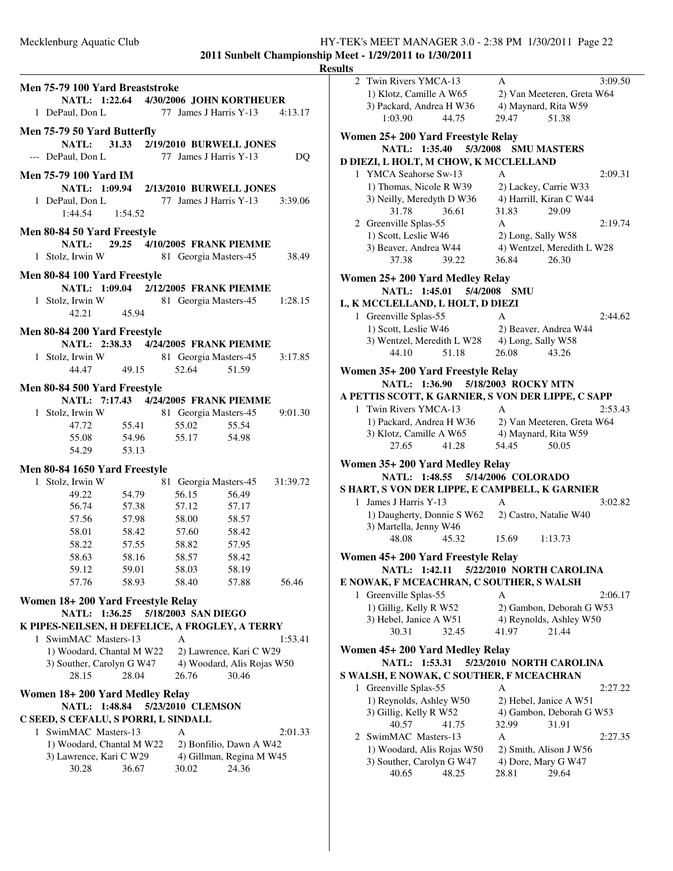|                                          |                                                 | <b>Resul</b> |
|------------------------------------------|-------------------------------------------------|--------------|
| Men 75-79 100 Yard Breaststroke          |                                                 |              |
|                                          | NATL: 1:22.64 4/30/2006 JOHN KORTHEUER          |              |
| 1 DePaul, Don L                          | 77 James J Harris Y-13 4:13.17                  |              |
| Men 75-79 50 Yard Butterfly              |                                                 |              |
|                                          | NATL: 31.33 2/19/2010 BURWELL JONES             | 1            |
| --- DePaul, Don L 77 James J Harris Y-13 | DQ                                              |              |
|                                          |                                                 | I            |
| <b>Men 75-79 100 Yard IM</b>             |                                                 |              |
|                                          | NATL: 1:09.94 2/13/2010 BURWELL JONES           |              |
| 1 DePaul, Don L                          | 77 James J Harris Y-13 3:39.06                  |              |
| $1:44.54$ $1:54.52$                      |                                                 |              |
| Men 80-84 50 Yard Freestyle              |                                                 |              |
|                                          | NATL: 29.25 4/10/2005 FRANK PIEMME              |              |
| 1 Stolz, Irwin W 81 Georgia Masters-45   | 38.49                                           |              |
|                                          |                                                 |              |
| Men 80-84 100 Yard Freestyle             | NATL: 1:09.04 2/12/2005 FRANK PIEMME            | 1            |
|                                          | 81 Georgia Masters-45 1:28.15                   |              |
| 1 Stolz, Irwin W<br>42.21 45.94          |                                                 | I            |
|                                          |                                                 |              |
| Men 80-84 200 Yard Freestyle             |                                                 |              |
|                                          | NATL: 2:38.33 4/24/2005 FRANK PIEMME            |              |
| 1 Stolz, Irwin W                         | 81 Georgia Masters-45 3:17.85                   |              |
| 44.47 49.15                              | 52.64<br>51.59                                  | J            |
| Men 80-84 500 Yard Freestyle             |                                                 |              |
|                                          | NATL: 7:17.43 4/24/2005 FRANK PIEMME            | A            |
| 1 Stolz, Irwin W                         | 81 Georgia Masters-45<br>9:01.30                |              |
| 47.72<br>55.41                           | 55.02<br>55.54                                  |              |
| 55.08<br>54.96                           | 55.17<br>54.98                                  |              |
| 54.29<br>53.13                           |                                                 |              |
| Men 80-84 1650 Yard Freestyle            |                                                 | l            |
| 1 Stolz, Irwin W                         | 81 Georgia Masters-45 31:39.72                  |              |
| 54.79<br>49.22                           | 56.15<br>56.49                                  | S            |
| 56.74 57.38                              | 57.12<br>57.17                                  |              |
| 57.56 57.98                              | 58.00<br>58.57                                  |              |
| 58.01                                    | 58.42 57.60<br>58.42                            |              |
| 57.55<br>58.22                           | 57.95<br>58.82                                  |              |
| 58.63<br>58.16                           | 58.57<br>58.42                                  |              |
| 59.12<br>59.01                           | 58.03<br>58.19                                  |              |
| 57.76<br>58.93                           | 58.40<br>57.88<br>56.46                         | F            |
| Women 18+200 Yard Freestyle Relay        |                                                 |              |
| <b>NATL:</b><br>1:36.25                  | 5/18/2003 SAN DIEGO                             |              |
|                                          | K PIPES-NEILSEN, H DEFELICE, A FROGLEY, A TERRY |              |
| SwimMAC Masters-13<br>1                  | A<br>1:53.41                                    |              |
| 1) Woodard, Chantal M W22                | 2) Lawrence, Kari C W29                         | 1            |
| 3) Souther, Carolyn G W47                | 4) Woodard, Alis Rojas W50                      |              |
| 28.15<br>28.04                           | 26.76<br>30.46                                  | S            |
| Women 18+200 Yard Medley Relay           |                                                 |              |
| NATL: 1:48.84                            | 5/23/2010 CLEMSON                               |              |
| C SEED, S CEFALU, S PORRI, L SINDALL     |                                                 |              |
| 1 SwimMAC Masters-13                     | A<br>2:01.33                                    |              |
| 1) Woodard, Chantal M W22                | 2) Bonfilio, Dawn A W42                         |              |
| 3) Lawrence, Kari C W29                  | 4) Gillman, Regina M W45                        |              |
| 30.28<br>36.67                           | 24.36<br>30.02                                  |              |
|                                          |                                                 |              |

| ılts |                                                    |                                       |  |
|------|----------------------------------------------------|---------------------------------------|--|
| 2    | Twin Rivers YMCA-13                                | 3:09.50<br>А                          |  |
|      | 1) Klotz, Camille A W65                            | 2) Van Meeteren, Greta W64            |  |
|      | 3) Packard, Andrea H W36                           | 4) Maynard, Rita W59                  |  |
|      | 1:03.90<br>44.75                                   | 29.47<br>51.38                        |  |
|      | Women 25+ 200 Yard Freestyle Relay                 |                                       |  |
|      | NATL: 1:35.40<br>5/3/2008                          | <b>SMU MASTERS</b>                    |  |
|      | D DIEZI, L HOLT, M CHOW, K MCCLELLAND              |                                       |  |
|      | 1 YMCA Seahorse Sw-13                              | A<br>2:09.31                          |  |
|      | 1) Thomas, Nicole R W39                            | 2) Lackey, Carrie W33                 |  |
|      | 3) Neilly, Meredyth D W36                          | 4) Harrill, Kiran C W44               |  |
|      | 31.78<br>36.61                                     | 29.09<br>31.83                        |  |
|      | 2 Greenville Splas-55                              | A<br>2:19.74                          |  |
|      | 1) Scott, Leslie W46                               | 2) Long, Sally W58                    |  |
|      | 3) Beaver, Andrea W44                              | 4) Wentzel, Meredith L W28            |  |
|      | 37.38<br>39.22                                     | 36.84<br>26.30                        |  |
|      |                                                    |                                       |  |
|      | Women 25+ 200 Yard Medley Relay                    |                                       |  |
|      | NATL: 1:45.01<br>5/4/2008                          | <b>SMU</b>                            |  |
|      | L, K MCCLELLAND, L HOLT, D DIEZI                   |                                       |  |
|      | 1 Greenville Splas-55                              | A<br>2:44.62                          |  |
|      | 1) Scott, Leslie W46                               | 2) Beaver, Andrea W44                 |  |
|      | 3) Wentzel, Meredith L W28                         | 4) Long, Sally W58<br>26.08           |  |
|      | 44.10<br>51.18                                     | 43.26                                 |  |
|      | Women 35+ 200 Yard Freestyle Relay                 |                                       |  |
|      | NATL: 1:36.90                                      | 5/18/2003 ROCKY MTN                   |  |
|      | A PETTIS SCOTT, K GARNIER, S VON DER LIPPE, C SAPP |                                       |  |
|      | 1 Twin Rivers YMCA-13                              | A<br>2:53.43                          |  |
|      | 1) Packard, Andrea H W36                           | 2) Van Meeteren, Greta W64            |  |
|      | 3) Klotz, Camille A W65                            | 4) Maynard, Rita W59                  |  |
|      | 27.65<br>41.28                                     | 54.45<br>50.05                        |  |
|      | Women 35+200 Yard Medley Relay                     |                                       |  |
|      | NATL: 1:48.55                                      | 5/14/2006 COLORADO                    |  |
|      | S HART, S VON DER LIPPE, E CAMPBELL, K GARNIER     |                                       |  |
|      | 1 James J Harris Y-13                              | A<br>3:02.82                          |  |
|      | 1) Daugherty, Donnie S W62                         | 2) Castro, Natalie W40                |  |
|      | 3) Martella, Jenny W46                             |                                       |  |
|      | 48.08<br>45.32                                     | 15.69<br>1:13.73                      |  |
|      | Women 45+ 200 Yard Freestyle Relay                 |                                       |  |
|      | NATL: 1:42.11                                      | 5/22/2010 NORTH CAROLINA              |  |
|      | E NOWAK, F MCEACHRAN, C SOUTHER, S WALSH           |                                       |  |
| 1    | Greenville Splas-55                                | A<br>2:06.17                          |  |
|      | 1) Gillig, Kelly R W52                             | 2) Gambon, Deborah G W53              |  |
|      | 3) Hebel, Janice A W51                             | 4) Reynolds, Ashley W50               |  |
|      | 30.31<br>32.45                                     | 21.44<br>41.97                        |  |
|      | Women 45+ 200 Yard Medley Relay                    |                                       |  |
|      | NATL: 1:53.31                                      | 5/23/2010 NORTH CAROLINA              |  |
|      |                                                    |                                       |  |
|      |                                                    |                                       |  |
|      | S WALSH, E NOWAK, C SOUTHER, F MCEACHRAN           |                                       |  |
|      | 1 Greenville Splas-55                              | A<br>2:27.22                          |  |
|      | 1) Reynolds, Ashley W50                            | 2) Hebel, Janice A W51                |  |
|      | 3) Gillig, Kelly R W52<br>40.57<br>41.75           | 4) Gambon, Deborah G W53              |  |
|      |                                                    | 32.99<br>31.91<br>A<br>2:27.35        |  |
|      | 2 SwimMAC Masters-13                               |                                       |  |
|      | 1) Woodard, Alis Rojas W50                         | 2) Smith, Alison J W56                |  |
|      | 3) Souther, Carolyn G W47<br>40.65<br>48.25        | 4) Dore, Mary G W47<br>29.64<br>28.81 |  |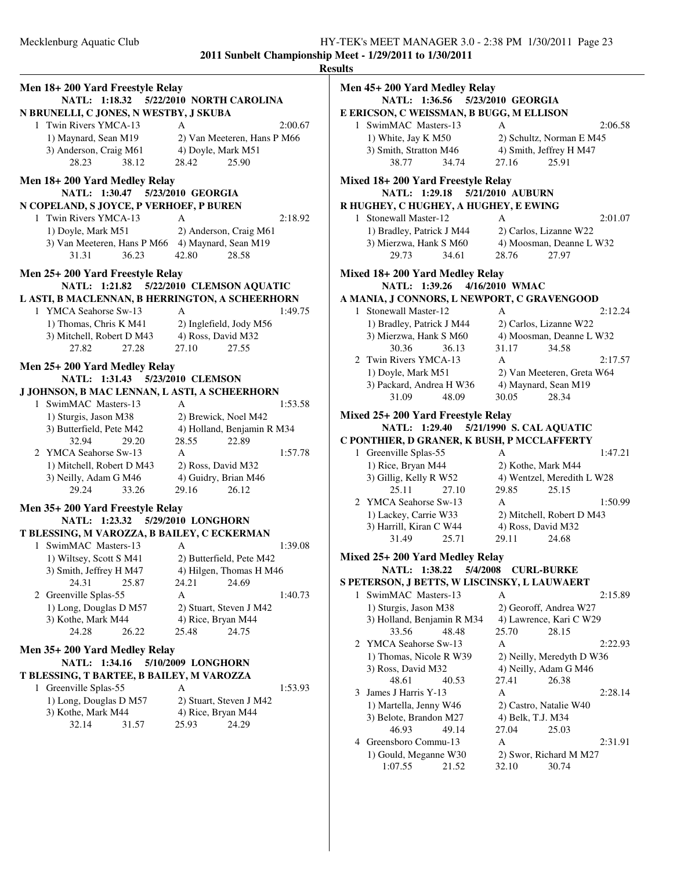| Men 18+200 Yard Freestyle Relay<br>NATL: 1:18.32<br>5/22/2010 NORTH CAROLINA |                                                 |  |  |  |  |
|------------------------------------------------------------------------------|-------------------------------------------------|--|--|--|--|
| N BRUNELLI, C JONES, N WESTBY, J SKUBA                                       |                                                 |  |  |  |  |
| 1 Twin Rivers YMCA-13                                                        | 2:00.67<br>A                                    |  |  |  |  |
| 1) Maynard, Sean M19                                                         | 2) Van Meeteren, Hans P M66                     |  |  |  |  |
| 3) Anderson, Craig M61                                                       | 4) Doyle, Mark M51                              |  |  |  |  |
| 28.23<br>38.12                                                               | 28.42<br>25.90                                  |  |  |  |  |
| Men 18+200 Yard Medley Relay<br>NATL: 1:30.47<br>5/23/2010 GEORGIA           |                                                 |  |  |  |  |
| N COPELAND, S JOYCE, P VERHOEF, P BUREN                                      |                                                 |  |  |  |  |
| 1 Twin Rivers YMCA-13                                                        | A<br>2:18.92                                    |  |  |  |  |
| 1) Doyle, Mark M51                                                           | 2) Anderson, Craig M61                          |  |  |  |  |
| 3) Van Meeteren, Hans P M66 4) Maynard, Sean M19                             |                                                 |  |  |  |  |
| 36.23<br>31.31                                                               | 28.58<br>42.80                                  |  |  |  |  |
| Men 25+200 Yard Freestyle Relay                                              |                                                 |  |  |  |  |
| NATL: 1:21.82                                                                | 5/22/2010 CLEMSON AQUATIC                       |  |  |  |  |
|                                                                              | L ASTI, B MACLENNAN, B HERRINGTON, A SCHEERHORN |  |  |  |  |
| 1 YMCA Seahorse Sw-13                                                        | 1:49.75<br>A                                    |  |  |  |  |
| 1) Thomas, Chris K M41                                                       | 2) Inglefield, Jody M56                         |  |  |  |  |
| 3) Mitchell, Robert D M43                                                    | 4) Ross, David M32                              |  |  |  |  |
| 27.82<br>27.28                                                               | 27.10<br>27.55                                  |  |  |  |  |
| Men 25+200 Yard Medley Relay                                                 |                                                 |  |  |  |  |
| NATL: 1:31.43                                                                | 5/23/2010 CLEMSON                               |  |  |  |  |
| J JOHNSON, B MAC LENNAN, L ASTI, A SCHEERHORN                                |                                                 |  |  |  |  |
| 1 SwimMAC Masters-13                                                         | A<br>1:53.58                                    |  |  |  |  |
| 1) Sturgis, Jason M38                                                        | 2) Brewick, Noel M42                            |  |  |  |  |
| 3) Butterfield, Pete M42                                                     | 4) Holland, Benjamin R M34                      |  |  |  |  |
| 32.94<br>29.20                                                               | 28.55<br>22.89                                  |  |  |  |  |
| 2 YMCA Seahorse Sw-13                                                        | A<br>1:57.78                                    |  |  |  |  |
| 1) Mitchell, Robert D M43                                                    | 2) Ross, David M32                              |  |  |  |  |
| 3) Neilly, Adam G M46                                                        | 4) Guidry, Brian M46                            |  |  |  |  |
| 29.24<br>33.26                                                               | 29.16<br>26.12                                  |  |  |  |  |
| Men 35+200 Yard Freestyle Relay                                              |                                                 |  |  |  |  |
| <b>NATL:</b>                                                                 | 1:23.32 5/29/2010 LONGHORN                      |  |  |  |  |
| T BLESSING, M VAROZZA, B BAILEY, C ECKERMAN                                  |                                                 |  |  |  |  |
| 1 SwimMAC Masters-13                                                         | A<br>1:39.08                                    |  |  |  |  |
| 1) Wiltsey, Scott S M41                                                      | 2) Butterfield, Pete M42                        |  |  |  |  |
| 3) Smith, Jeffrey H M47                                                      | 4) Hilgen, Thomas H M46                         |  |  |  |  |
| 24.31<br>25.87                                                               | 24.21<br>24.69                                  |  |  |  |  |
| 2 Greenville Splas-55                                                        | A<br>1:40.73                                    |  |  |  |  |
| 1) Long, Douglas D M57                                                       | 2) Stuart, Steven J M42                         |  |  |  |  |
| 3) Kothe, Mark M44                                                           | 4) Rice, Bryan M44                              |  |  |  |  |
| 24.28<br>26.22                                                               | 25.48<br>24.75                                  |  |  |  |  |
| Men 35+200 Yard Medley Relay                                                 |                                                 |  |  |  |  |
| <b>NATL:</b><br>1:34.16                                                      | 5/10/2009 LONGHORN                              |  |  |  |  |
| T BLESSING, T BARTEE, B BAILEY, M VAROZZA                                    |                                                 |  |  |  |  |
| Greenville Splas-55<br>1                                                     | А<br>1:53.93                                    |  |  |  |  |
| 1) Long, Douglas D M57                                                       | 2) Stuart, Steven J M42                         |  |  |  |  |
| 3) Kothe, Mark M44                                                           | 4) Rice, Bryan M44                              |  |  |  |  |
| 32.14<br>31.57                                                               | 24.29<br>25.93                                  |  |  |  |  |
|                                                                              |                                                 |  |  |  |  |
|                                                                              |                                                 |  |  |  |  |
|                                                                              |                                                 |  |  |  |  |

|   | Men 45+200 Yard Medley Relay                     |                                                 |         |
|---|--------------------------------------------------|-------------------------------------------------|---------|
|   | NATL: 1:36.56 5/23/2010 GEORGIA                  |                                                 |         |
|   | E ERICSON, C WEISSMAN, B BUGG, M ELLISON         |                                                 |         |
|   | 1 SwimMAC Masters-13                             | A                                               | 2:06.58 |
|   | 1) White, Jay K M50                              | 2) Schultz, Norman E M45                        |         |
|   | 3) Smith, Stratton M46                           | 4) Smith, Jeffrey H M47                         |         |
|   | 34.74<br>38.77                                   | 25.91<br>27.16                                  |         |
|   | Mixed 18+ 200 Yard Freestyle Relay               |                                                 |         |
|   | NATL: 1:29.18 5/21/2010 AUBURN                   |                                                 |         |
|   | R HUGHEY, C HUGHEY, A HUGHEY, E EWING            |                                                 |         |
|   | 1 Stonewall Master-12                            | A                                               | 2:01.07 |
|   | 1) Bradley, Patrick J M44                        | 2) Carlos, Lizanne W22                          |         |
|   | 3) Mierzwa, Hank S M60                           | 4) Moosman, Deanne L W32                        |         |
|   | 29.73<br>34.61                                   | 28.76<br>27.97                                  |         |
|   | Mixed 18+200 Yard Medley Relay                   |                                                 |         |
|   | NATL: 1:39.26 4/16/2010 WMAC                     |                                                 |         |
|   | A MANIA, J CONNORS, L NEWPORT, C GRAVENGOOD      |                                                 |         |
|   | 1 Stonewall Master-12                            | A                                               | 2:12.24 |
|   | 1) Bradley, Patrick J M44                        | 2) Carlos, Lizanne W22                          |         |
|   | 3) Mierzwa, Hank S M60                           | 4) Moosman, Deanne L W32                        |         |
|   | 30.36<br>36.13                                   | 31.17<br>34.58                                  |         |
|   | 2 Twin Rivers YMCA-13                            | A                                               | 2:17.57 |
|   | 1) Doyle, Mark M51                               | 2) Van Meeteren, Greta W64                      |         |
|   | 3) Packard, Andrea H W36                         | 4) Maynard, Sean M19                            |         |
|   | 31.09<br>48.09                                   | 30.05<br>28.34                                  |         |
|   | Mixed 25+ 200 Yard Freestyle Relay               |                                                 |         |
|   |                                                  | NATL: 1:29.40 5/21/1990 S. CAL AQUATIC          |         |
|   |                                                  |                                                 |         |
|   |                                                  |                                                 |         |
|   | C PONTHIER, D GRANER, K BUSH, P MCCLAFFERTY      |                                                 |         |
|   | 1 Greenville Splas-55                            | A                                               | 1:47.21 |
|   | 1) Rice, Bryan M44                               | 2) Kothe, Mark M44                              |         |
|   | 3) Gillig, Kelly R W52<br>25.11<br>27.10         | 4) Wentzel, Meredith L W28<br>29.85<br>25.15    |         |
|   | 2 YMCA Seahorse Sw-13                            | A                                               | 1:50.99 |
|   |                                                  |                                                 |         |
|   | 1) Lackey, Carrie W33<br>3) Harrill, Kiran C W44 | 2) Mitchell, Robert D M43<br>4) Ross, David M32 |         |
|   | 31.49<br>25.71                                   | 29.11<br>24.68                                  |         |
|   |                                                  |                                                 |         |
|   | Mixed 25+ 200 Yard Medley Relay                  |                                                 |         |
|   | NATL: 1:38.22 5/4/2008 CURL-BURKE                |                                                 |         |
|   | S PETERSON, J BETTS, W LISCINSKY, L LAUWAERT     |                                                 |         |
| 1 | SwimMAC Masters-13                               | A                                               | 2:15.89 |
|   | 1) Sturgis, Jason M38                            | 2) Georoff, Andrea W27                          |         |
|   | 3) Holland, Benjamin R M34<br>33.56              | 4) Lawrence, Kari C W29<br>25.70                |         |
| 2 | 48.48<br>YMCA Seahorse Sw-13                     | 28.15<br>A                                      | 2:22.93 |
|   | 1) Thomas, Nicole R W39                          |                                                 |         |
|   | 3) Ross, David M32                               | 2) Neilly, Meredyth D W36                       |         |
|   | 48.61<br>40.53                                   | 4) Neilly, Adam G M46<br>27.41<br>26.38         |         |
| 3 | James J Harris Y-13                              | A                                               | 2:28.14 |
|   | 1) Martella, Jenny W46                           | 2) Castro, Natalie W40                          |         |
|   | 3) Belote, Brandon M27                           | 4) Belk, T.J. M34                               |         |
|   | 46.93<br>49.14                                   | 27.04<br>25.03                                  |         |
|   | 4 Greensboro Commu-13                            | Α                                               | 2:31.91 |
|   | 1) Gould, Meganne W30<br>1:07.55                 | 2) Swor, Richard M M27                          |         |